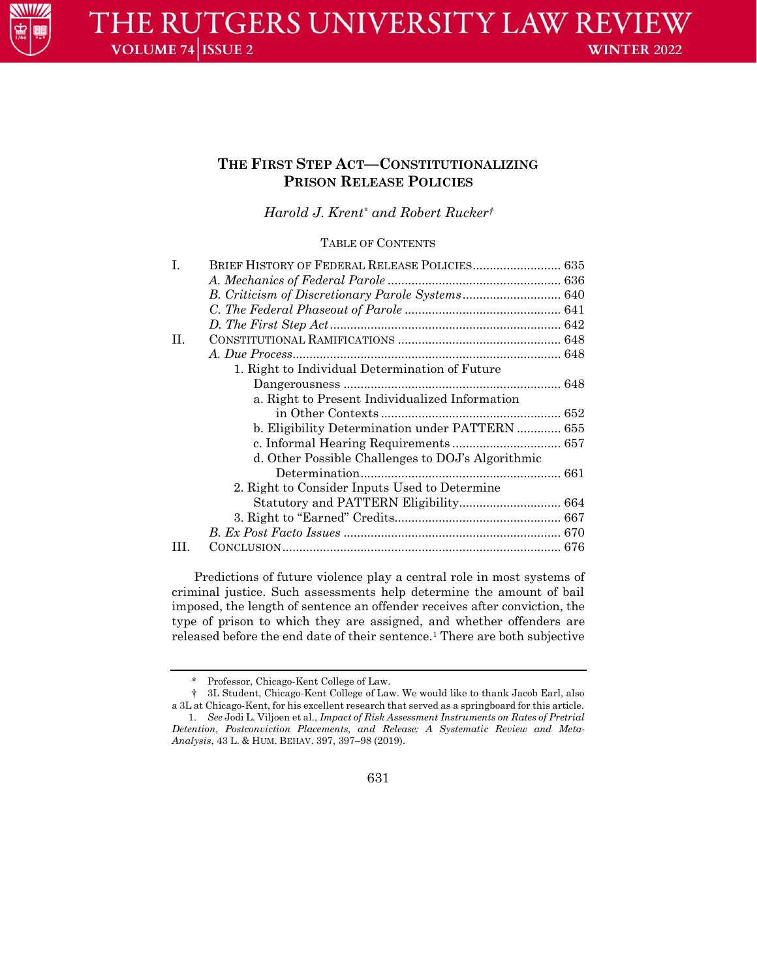

# **THE FIRST STEP ACT—CONSTITUTIONALIZING PRISON RELEASE POLICIES**

*Harold J. Krent\* and Robert Rucker†*

TABLE OF CONTENTS

| L  | BRIEF HISTORY OF FEDERAL RELEASE POLICIES 635     |  |
|----|---------------------------------------------------|--|
|    |                                                   |  |
|    |                                                   |  |
|    |                                                   |  |
|    |                                                   |  |
| H. |                                                   |  |
|    |                                                   |  |
|    | 1. Right to Individual Determination of Future    |  |
|    |                                                   |  |
|    | a. Right to Present Individualized Information    |  |
|    |                                                   |  |
|    | b. Eligibility Determination under PATTERN  655   |  |
|    |                                                   |  |
|    | d. Other Possible Challenges to DOJ's Algorithmic |  |
|    |                                                   |  |
|    | 2. Right to Consider Inputs Used to Determine     |  |
|    |                                                   |  |
|    |                                                   |  |
|    |                                                   |  |
|    |                                                   |  |
|    |                                                   |  |

Predictions of future violence play a central role in most systems of criminal justice. Such assessments help determine the amount of bail imposed, the length of sentence an offender receives after conviction, the type of prison to which they are assigned, and whether offenders are released before the end date of their sentence.<sup>1</sup> There are both subjective

631

<sup>\*</sup> Professor, Chicago-Kent College of Law.

<sup>†</sup> 3L Student, Chicago-Kent College of Law. We would like to thank Jacob Earl, also a 3L at Chicago-Kent, for his excellent research that served as a springboard for this article. 1. *See* Jodi L. Viljoen et al., *Impact of Risk Assessment Instruments on Rates of Pretrial Detention, Postconviction Placements, and Release: A Systematic Review and Meta-Analysis*, 43 L. & HUM. BEHAV. 397, 397–98 (2019).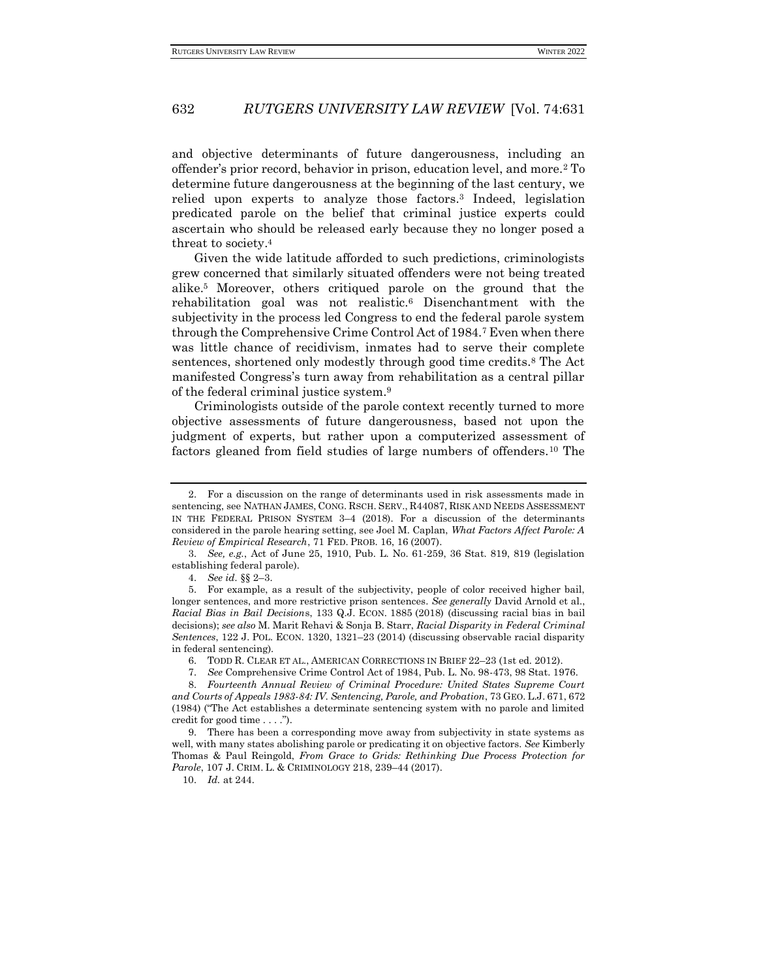and objective determinants of future dangerousness, including an offender's prior record, behavior in prison, education level, and more.<sup>2</sup> To determine future dangerousness at the beginning of the last century, we relied upon experts to analyze those factors.<sup>3</sup> Indeed, legislation predicated parole on the belief that criminal justice experts could ascertain who should be released early because they no longer posed a threat to society.<sup>4</sup>

Given the wide latitude afforded to such predictions, criminologists grew concerned that similarly situated offenders were not being treated alike.<sup>5</sup> Moreover, others critiqued parole on the ground that the rehabilitation goal was not realistic.<sup>6</sup> Disenchantment with the subjectivity in the process led Congress to end the federal parole system through the Comprehensive Crime Control Act of 1984.<sup>7</sup> Even when there was little chance of recidivism, inmates had to serve their complete sentences, shortened only modestly through good time credits.<sup>8</sup> The Act manifested Congress's turn away from rehabilitation as a central pillar of the federal criminal justice system.<sup>9</sup>

Criminologists outside of the parole context recently turned to more objective assessments of future dangerousness, based not upon the judgment of experts, but rather upon a computerized assessment of factors gleaned from field studies of large numbers of offenders.<sup>10</sup> The

4. *See id.* §§ 2–3.

5. For example, as a result of the subjectivity, people of color received higher bail, longer sentences, and more restrictive prison sentences. *See generally* David Arnold et al., *Racial Bias in Bail Decision*s, 133 Q.J. ECON. 1885 (2018) (discussing racial bias in bail decisions); *see also* M. Marit Rehavi & Sonja B. Starr, *Racial Disparity in Federal Criminal Sentences*, 122 J. POL. ECON. 1320, 1321–23 (2014) (discussing observable racial disparity in federal sentencing).

6. TODD R. CLEAR ET AL., AMERICAN CORRECTIONS IN BRIEF 22–23 (1st ed. 2012).

10. *Id.* at 244.

<sup>2.</sup> For a discussion on the range of determinants used in risk assessments made in sentencing, see NATHAN JAMES, CONG. RSCH. SERV., R44087, RISK AND NEEDS ASSESSMENT IN THE FEDERAL PRISON SYSTEM 3–4 (2018). For a discussion of the determinants considered in the parole hearing setting, see Joel M. Caplan, *What Factors Affect Parole: A Review of Empirical Research*, 71 FED. PROB. 16, 16 (2007).

<sup>3.</sup> *See, e.g.*, Act of June 25, 1910, Pub. L. No. 61-259, 36 Stat. 819, 819 (legislation establishing federal parole).

<sup>7.</sup> *See* Comprehensive Crime Control Act of 1984, Pub. L. No. 98-473, 98 Stat. 1976.

<sup>8.</sup> *Fourteenth Annual Review of Criminal Procedure: United States Supreme Court and Courts of Appeals 1983-84: IV. Sentencing, Parole, and Probation*, 73 GEO. L.J. 671, 672 (1984) ("The Act establishes a determinate sentencing system with no parole and limited credit for good time . . . .").

<sup>9.</sup> There has been a corresponding move away from subjectivity in state systems as well, with many states abolishing parole or predicating it on objective factors. *See* Kimberly Thomas & Paul Reingold, *From Grace to Grids: Rethinking Due Process Protection for Parole*, 107 J. CRIM. L. & CRIMINOLOGY 218, 239–44 (2017).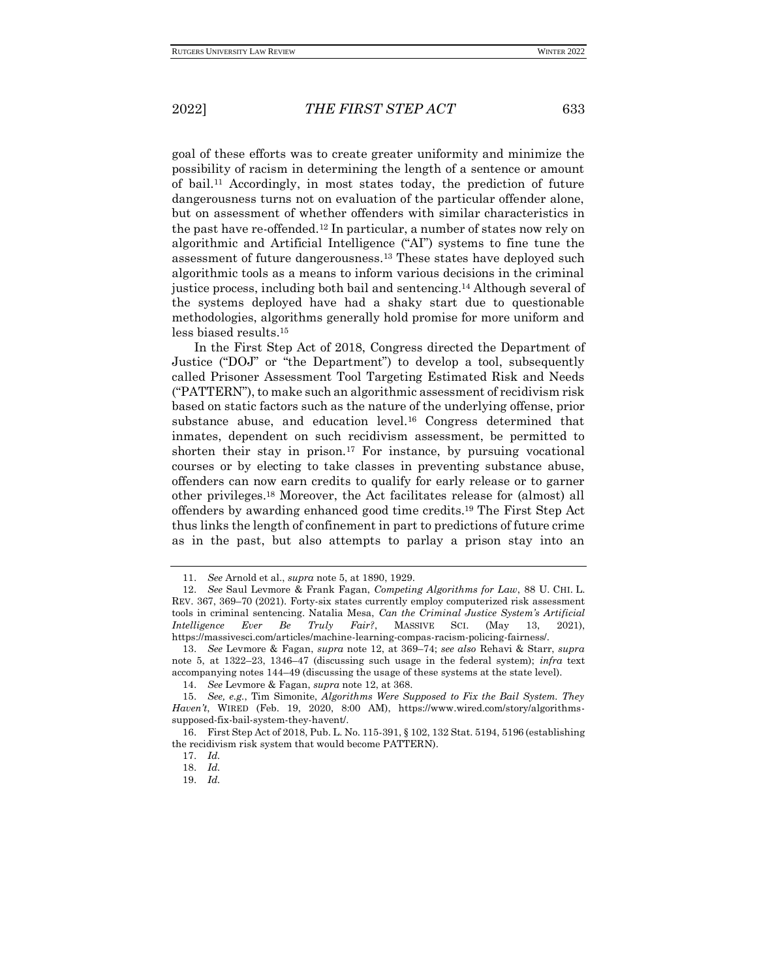goal of these efforts was to create greater uniformity and minimize the possibility of racism in determining the length of a sentence or amount of bail.<sup>11</sup> Accordingly, in most states today, the prediction of future dangerousness turns not on evaluation of the particular offender alone, but on assessment of whether offenders with similar characteristics in the past have re-offended.<sup>12</sup> In particular, a number of states now rely on algorithmic and Artificial Intelligence ("AI") systems to fine tune the assessment of future dangerousness.<sup>13</sup> These states have deployed such algorithmic tools as a means to inform various decisions in the criminal justice process, including both bail and sentencing.<sup>14</sup> Although several of the systems deployed have had a shaky start due to questionable methodologies, algorithms generally hold promise for more uniform and less biased results.<sup>15</sup>

In the First Step Act of 2018, Congress directed the Department of Justice ("DOJ" or "the Department") to develop a tool, subsequently called Prisoner Assessment Tool Targeting Estimated Risk and Needs ("PATTERN"), to make such an algorithmic assessment of recidivism risk based on static factors such as the nature of the underlying offense, prior substance abuse, and education level.<sup>16</sup> Congress determined that inmates, dependent on such recidivism assessment, be permitted to shorten their stay in prison.<sup>17</sup> For instance, by pursuing vocational courses or by electing to take classes in preventing substance abuse, offenders can now earn credits to qualify for early release or to garner other privileges.<sup>18</sup> Moreover, the Act facilitates release for (almost) all offenders by awarding enhanced good time credits.<sup>19</sup> The First Step Act thus links the length of confinement in part to predictions of future crime as in the past, but also attempts to parlay a prison stay into an

<sup>11.</sup> *See* Arnold et al., *supra* note 5, at 1890, 1929.

<sup>12.</sup> *See* Saul Levmore & Frank Fagan, *Competing Algorithms for Law*, 88 U. CHI. L. REV. 367, 369–70 (2021). Forty-six states currently employ computerized risk assessment tools in criminal sentencing. Natalia Mesa, *Can the Criminal Justice System's Artificial Intelligence Ever Be Truly Fair?*, MASSIVE SCI. (May 13, 2021), https://massivesci.com/articles/machine-learning-compas-racism-policing-fairness/.

<sup>13.</sup> *See* Levmore & Fagan, *supra* note 12, at 369–74; *see also* Rehavi & Starr, *supra*  note 5, at 1322–23, 1346–47 (discussing such usage in the federal system); *infra* text accompanying notes 144–49 (discussing the usage of these systems at the state level).

<sup>14.</sup> *See* Levmore & Fagan, *supra* note 12, at 368.

<sup>15.</sup> *See, e.g.*, Tim Simonite, *Algorithms Were Supposed to Fix the Bail System. They Haven't*, WIRED (Feb. 19, 2020, 8:00 AM), https://www.wired.com/story/algorithmssupposed-fix-bail-system-they-havent/.

<sup>16.</sup> First Step Act of 2018, Pub. L. No. 115-391, § 102, 132 Stat. 5194, 5196 (establishing the recidivism risk system that would become PATTERN).

<sup>17.</sup> *Id.*

<sup>18.</sup> *Id.*

<sup>19.</sup> *Id.*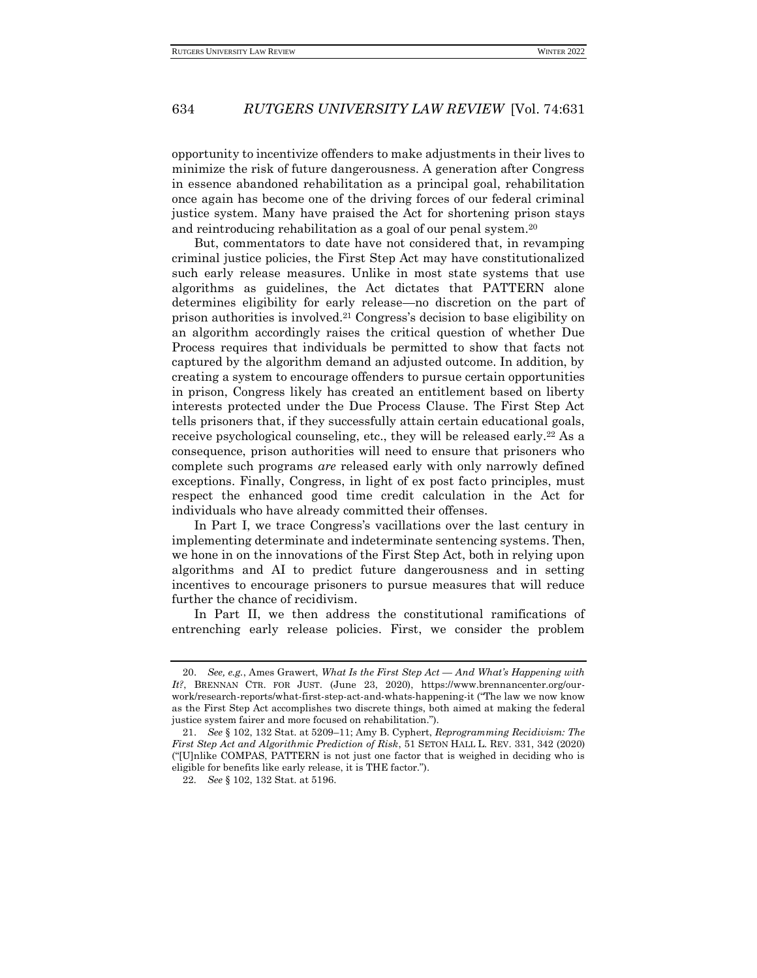opportunity to incentivize offenders to make adjustments in their lives to minimize the risk of future dangerousness. A generation after Congress in essence abandoned rehabilitation as a principal goal, rehabilitation once again has become one of the driving forces of our federal criminal justice system. Many have praised the Act for shortening prison stays and reintroducing rehabilitation as a goal of our penal system.<sup>20</sup>

But, commentators to date have not considered that, in revamping criminal justice policies, the First Step Act may have constitutionalized such early release measures. Unlike in most state systems that use algorithms as guidelines, the Act dictates that PATTERN alone determines eligibility for early release—no discretion on the part of prison authorities is involved.<sup>21</sup> Congress's decision to base eligibility on an algorithm accordingly raises the critical question of whether Due Process requires that individuals be permitted to show that facts not captured by the algorithm demand an adjusted outcome. In addition, by creating a system to encourage offenders to pursue certain opportunities in prison, Congress likely has created an entitlement based on liberty interests protected under the Due Process Clause. The First Step Act tells prisoners that, if they successfully attain certain educational goals, receive psychological counseling, etc., they will be released early.<sup>22</sup> As a consequence, prison authorities will need to ensure that prisoners who complete such programs *are* released early with only narrowly defined exceptions. Finally, Congress, in light of ex post facto principles, must respect the enhanced good time credit calculation in the Act for individuals who have already committed their offenses.

In Part I, we trace Congress's vacillations over the last century in implementing determinate and indeterminate sentencing systems. Then, we hone in on the innovations of the First Step Act, both in relying upon algorithms and AI to predict future dangerousness and in setting incentives to encourage prisoners to pursue measures that will reduce further the chance of recidivism.

In Part II, we then address the constitutional ramifications of entrenching early release policies. First, we consider the problem

<sup>20.</sup> *See, e.g.*, Ames Grawert, *What Is the First Step Act — And What's Happening with It?*, BRENNAN CTR. FOR JUST. (June 23, 2020), https://www.brennancenter.org/ourwork/research-reports/what-first-step-act-and-whats-happening-it ("The law we now know as the First Step Act accomplishes two discrete things, both aimed at making the federal justice system fairer and more focused on rehabilitation.").

<sup>21.</sup> *See* § 102, 132 Stat. at 5209–11; Amy B. Cyphert, *Reprogramming Recidivism: The First Step Act and Algorithmic Prediction of Risk*, 51 SETON HALL L. REV. 331, 342 (2020) ("[U]nlike COMPAS, PATTERN is not just one factor that is weighed in deciding who is eligible for benefits like early release, it is THE factor.").

<sup>22</sup>*. See* § 102, 132 Stat. at 5196.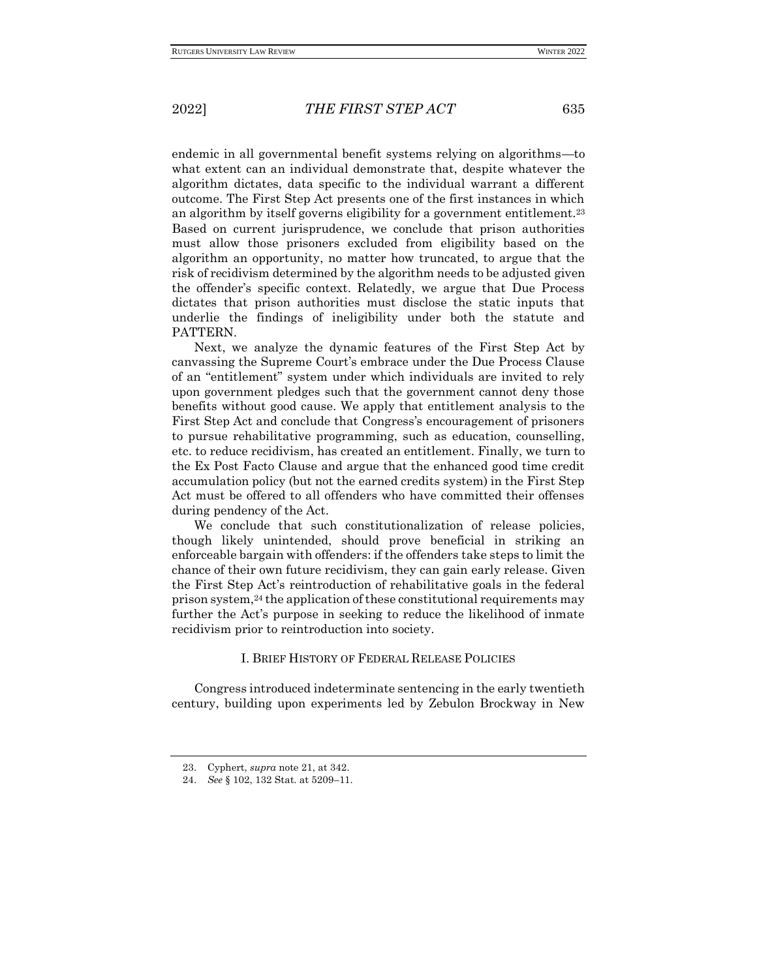endemic in all governmental benefit systems relying on algorithms—to what extent can an individual demonstrate that, despite whatever the algorithm dictates, data specific to the individual warrant a different outcome. The First Step Act presents one of the first instances in which an algorithm by itself governs eligibility for a government entitlement.<sup>23</sup> Based on current jurisprudence, we conclude that prison authorities must allow those prisoners excluded from eligibility based on the algorithm an opportunity, no matter how truncated, to argue that the risk of recidivism determined by the algorithm needs to be adjusted given the offender's specific context. Relatedly, we argue that Due Process dictates that prison authorities must disclose the static inputs that underlie the findings of ineligibility under both the statute and PATTERN.

Next, we analyze the dynamic features of the First Step Act by canvassing the Supreme Court's embrace under the Due Process Clause of an "entitlement" system under which individuals are invited to rely upon government pledges such that the government cannot deny those benefits without good cause. We apply that entitlement analysis to the First Step Act and conclude that Congress's encouragement of prisoners to pursue rehabilitative programming, such as education, counselling, etc. to reduce recidivism, has created an entitlement. Finally, we turn to the Ex Post Facto Clause and argue that the enhanced good time credit accumulation policy (but not the earned credits system) in the First Step Act must be offered to all offenders who have committed their offenses during pendency of the Act.

We conclude that such constitutionalization of release policies, though likely unintended, should prove beneficial in striking an enforceable bargain with offenders: if the offenders take steps to limit the chance of their own future recidivism, they can gain early release. Given the First Step Act's reintroduction of rehabilitative goals in the federal prison system, $24$  the application of these constitutional requirements may further the Act's purpose in seeking to reduce the likelihood of inmate recidivism prior to reintroduction into society.

## I. BRIEF HISTORY OF FEDERAL RELEASE POLICIES

Congress introduced indeterminate sentencing in the early twentieth century, building upon experiments led by Zebulon Brockway in New

<sup>23.</sup> Cyphert, *supra* note 21, at 342.

<sup>24.</sup> *See* § 102, 132 Stat. at 5209–11.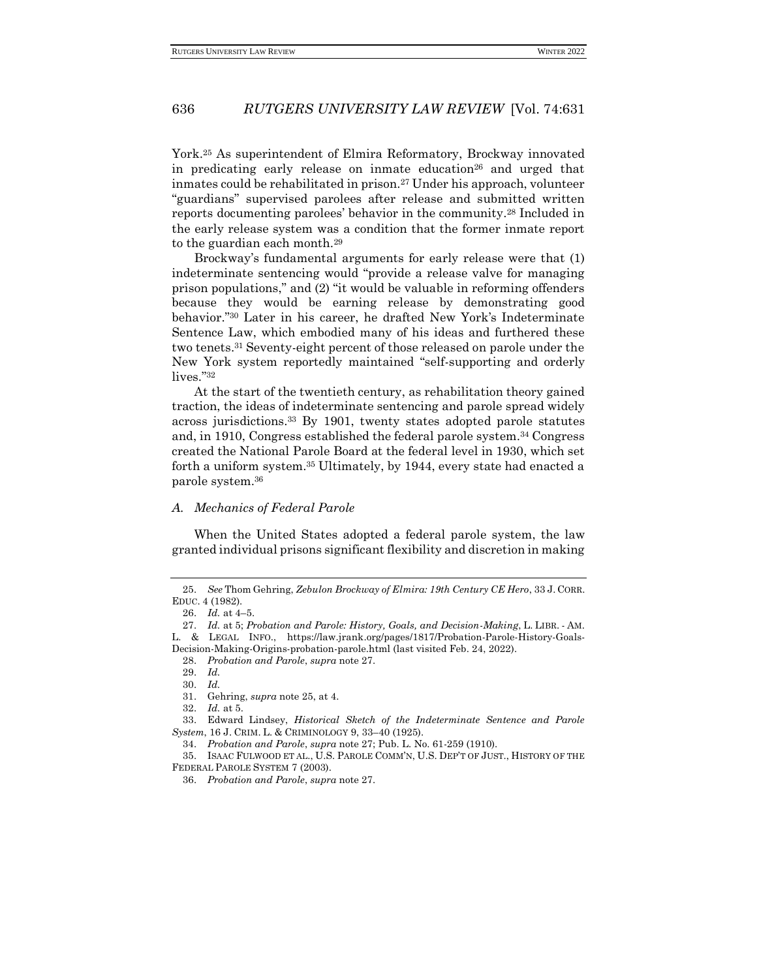York.<sup>25</sup> As superintendent of Elmira Reformatory, Brockway innovated in predicating early release on inmate education<sup>26</sup> and urged that inmates could be rehabilitated in prison.<sup>27</sup> Under his approach, volunteer "guardians" supervised parolees after release and submitted written reports documenting parolees' behavior in the community.<sup>28</sup> Included in the early release system was a condition that the former inmate report to the guardian each month.<sup>29</sup>

Brockway's fundamental arguments for early release were that (1) indeterminate sentencing would "provide a release valve for managing prison populations," and (2) "it would be valuable in reforming offenders because they would be earning release by demonstrating good behavior."<sup>30</sup> Later in his career, he drafted New York's Indeterminate Sentence Law, which embodied many of his ideas and furthered these two tenets.<sup>31</sup> Seventy-eight percent of those released on parole under the New York system reportedly maintained "self-supporting and orderly lives."<sup>32</sup>

At the start of the twentieth century, as rehabilitation theory gained traction, the ideas of indeterminate sentencing and parole spread widely across jurisdictions.<sup>33</sup> By 1901, twenty states adopted parole statutes and, in 1910, Congress established the federal parole system.<sup>34</sup> Congress created the National Parole Board at the federal level in 1930, which set forth a uniform system.<sup>35</sup> Ultimately, by 1944, every state had enacted a parole system.<sup>36</sup>

#### *A. Mechanics of Federal Parole*

When the United States adopted a federal parole system, the law granted individual prisons significant flexibility and discretion in making

<sup>25.</sup> *See* Thom Gehring, *Zebulon Brockway of Elmira: 19th Century CE Hero*, 33 J. CORR. EDUC. 4 (1982).

<sup>26.</sup> *Id.* at 4–5.

<sup>27.</sup> *Id.* at 5; *Probation and Parole: History, Goals, and Decision-Making*, L. LIBR. - AM. L. & LEGAL INFO., https://law.jrank.org/pages/1817/Probation-Parole-History-Goals-

Decision-Making-Origins-probation-parole.html (last visited Feb. 24, 2022).

<sup>28.</sup> *Probation and Parole*, *supra* note 27.

<sup>29.</sup> *Id.*

<sup>30.</sup> *Id.*

<sup>31.</sup> Gehring, *supra* note 25, at 4.

<sup>32.</sup> *Id.* at 5.

<sup>33.</sup> Edward Lindsey, *Historical Sketch of the Indeterminate Sentence and Parole System*, 16 J. CRIM. L. & CRIMINOLOGY 9, 33–40 (1925).

<sup>34.</sup> *Probation and Parole*, *supra* note 27; Pub. L. No. 61-259 (1910).

<sup>35.</sup> ISAAC FULWOOD ET AL., U.S. PAROLE COMM'N, U.S. DEP'T OF JUST., HISTORY OF THE FEDERAL PAROLE SYSTEM 7 (2003).

<sup>36.</sup> *Probation and Parole*, *supra* note 27.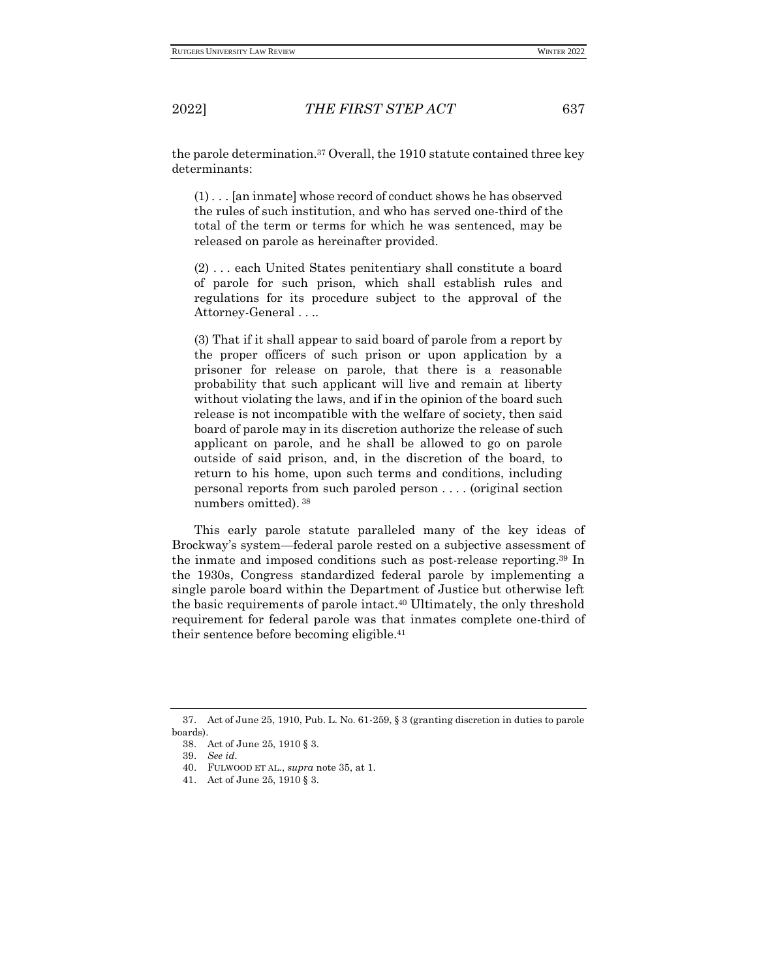the parole determination.<sup>37</sup> Overall, the 1910 statute contained three key determinants:

(1) . . . [an inmate] whose record of conduct shows he has observed the rules of such institution, and who has served one-third of the total of the term or terms for which he was sentenced, may be released on parole as hereinafter provided.

(2) . . . each United States penitentiary shall constitute a board of parole for such prison, which shall establish rules and regulations for its procedure subject to the approval of the Attorney-General . . ..

(3) That if it shall appear to said board of parole from a report by the proper officers of such prison or upon application by a prisoner for release on parole, that there is a reasonable probability that such applicant will live and remain at liberty without violating the laws, and if in the opinion of the board such release is not incompatible with the welfare of society, then said board of parole may in its discretion authorize the release of such applicant on parole, and he shall be allowed to go on parole outside of said prison, and, in the discretion of the board, to return to his home, upon such terms and conditions, including personal reports from such paroled person . . . . (original section numbers omitted). 38

This early parole statute paralleled many of the key ideas of Brockway's system—federal parole rested on a subjective assessment of the inmate and imposed conditions such as post-release reporting.<sup>39</sup> In the 1930s, Congress standardized federal parole by implementing a single parole board within the Department of Justice but otherwise left the basic requirements of parole intact.<sup>40</sup> Ultimately, the only threshold requirement for federal parole was that inmates complete one-third of their sentence before becoming eligible.<sup>41</sup>

<sup>37.</sup> Act of June 25, 1910, Pub. L. No. 61-259, § 3 (granting discretion in duties to parole boards).

<sup>38.</sup> Act of June 25, 1910 § 3.

<sup>39.</sup> *See id.*

<sup>40.</sup> FULWOOD ET AL., *supra* note 35, at 1.

<sup>41.</sup> Act of June 25, 1910 § 3.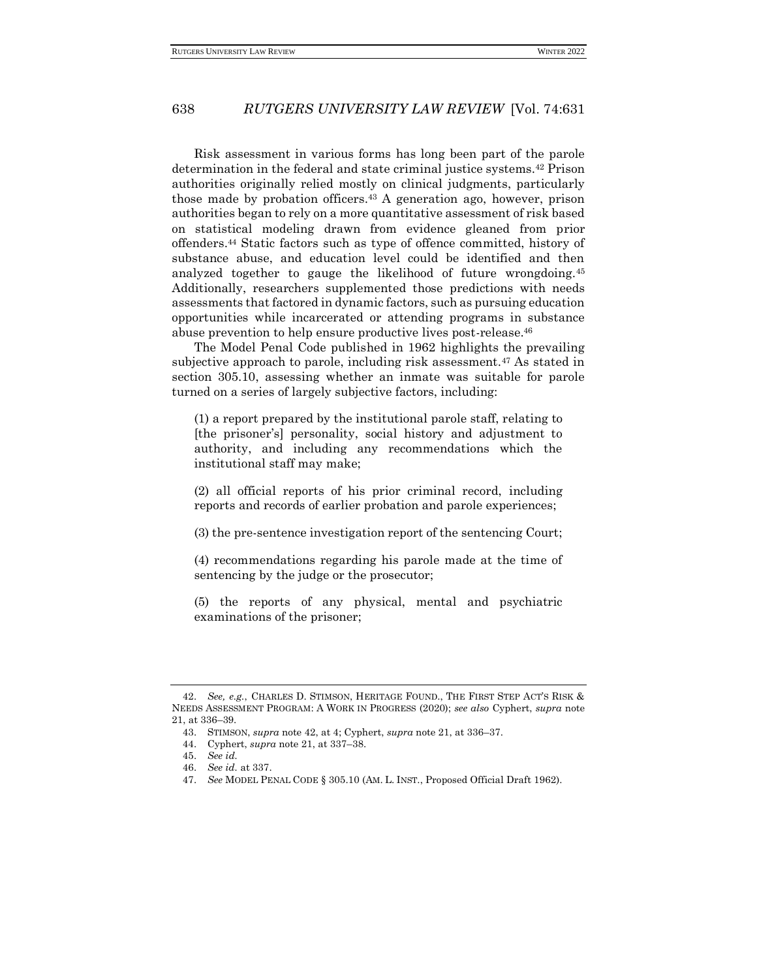Risk assessment in various forms has long been part of the parole determination in the federal and state criminal justice systems.<sup>42</sup> Prison authorities originally relied mostly on clinical judgments, particularly those made by probation officers.<sup>43</sup> A generation ago, however, prison authorities began to rely on a more quantitative assessment of risk based on statistical modeling drawn from evidence gleaned from prior offenders.<sup>44</sup> Static factors such as type of offence committed, history of substance abuse, and education level could be identified and then analyzed together to gauge the likelihood of future wrongdoing.<sup>45</sup> Additionally, researchers supplemented those predictions with needs assessments that factored in dynamic factors, such as pursuing education opportunities while incarcerated or attending programs in substance abuse prevention to help ensure productive lives post-release.<sup>46</sup>

The Model Penal Code published in 1962 highlights the prevailing subjective approach to parole, including risk assessment.<sup>47</sup> As stated in section 305.10, assessing whether an inmate was suitable for parole turned on a series of largely subjective factors, including:

(1) a report prepared by the institutional parole staff, relating to [the prisoner's] personality, social history and adjustment to authority, and including any recommendations which the institutional staff may make;

(2) all official reports of his prior criminal record, including reports and records of earlier probation and parole experiences;

(3) the pre-sentence investigation report of the sentencing Court;

(4) recommendations regarding his parole made at the time of sentencing by the judge or the prosecutor;

(5) the reports of any physical, mental and psychiatric examinations of the prisoner;

<sup>42.</sup> *See, e.g.*, CHARLES D. STIMSON, HERITAGE FOUND., THE FIRST STEP ACT'S RISK & NEEDS ASSESSMENT PROGRAM: A WORK IN PROGRESS (2020); *see also* Cyphert, *supra* note 21, at 336–39.

<sup>43.</sup> STIMSON, *supra* note 42, at 4; Cyphert, *supra* note 21, at 336–37.

<sup>44.</sup> Cyphert, *supra* note 21, at 337–38.

<sup>45.</sup> *See id.*

<sup>46.</sup> *See id.* at 337.

<sup>47.</sup> *See* MODEL PENAL CODE § 305.10 (AM. L. INST., Proposed Official Draft 1962).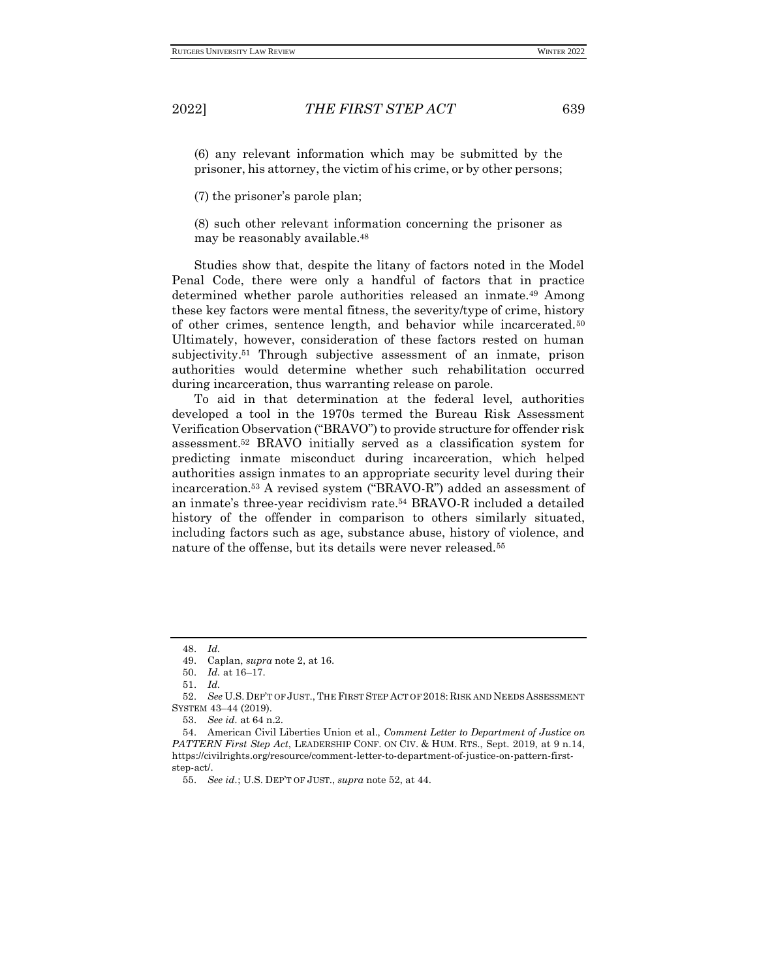(6) any relevant information which may be submitted by the prisoner, his attorney, the victim of his crime, or by other persons;

(7) the prisoner's parole plan;

(8) such other relevant information concerning the prisoner as may be reasonably available.<sup>48</sup>

Studies show that, despite the litany of factors noted in the Model Penal Code, there were only a handful of factors that in practice determined whether parole authorities released an inmate.<sup>49</sup> Among these key factors were mental fitness, the severity/type of crime, history of other crimes, sentence length, and behavior while incarcerated.<sup>50</sup> Ultimately, however, consideration of these factors rested on human subjectivity.<sup>51</sup> Through subjective assessment of an inmate, prison authorities would determine whether such rehabilitation occurred during incarceration, thus warranting release on parole.

To aid in that determination at the federal level, authorities developed a tool in the 1970s termed the Bureau Risk Assessment Verification Observation ("BRAVO") to provide structure for offender risk assessment.<sup>52</sup> BRAVO initially served as a classification system for predicting inmate misconduct during incarceration, which helped authorities assign inmates to an appropriate security level during their incarceration.<sup>53</sup> A revised system ("BRAVO-R") added an assessment of an inmate's three-year recidivism rate.<sup>54</sup> BRAVO-R included a detailed history of the offender in comparison to others similarly situated, including factors such as age, substance abuse, history of violence, and nature of the offense, but its details were never released.<sup>55</sup>

<sup>48.</sup> *Id.*

<sup>49.</sup> Caplan, *supra* note 2, at 16.

<sup>50.</sup> *Id.* at 16–17.

<sup>51.</sup> *Id.*

<sup>52.</sup> *See* U.S. DEP'T OF JUST., THE FIRST STEP ACT OF 2018: RISK AND NEEDS ASSESSMENT SYSTEM 43–44 (2019).

<sup>53.</sup> *See id.* at 64 n.2.

<sup>54.</sup> American Civil Liberties Union et al., *Comment Letter to Department of Justice on PATTERN First Step Act*, LEADERSHIP CONF. ON CIV. & HUM. RTS., Sept. 2019, at 9 n.14, https://civilrights.org/resource/comment-letter-to-department-of-justice-on-pattern-firststep-act/.

<sup>55.</sup> *See id.*; U.S. DEP'T OF JUST., *supra* note 52, at 44.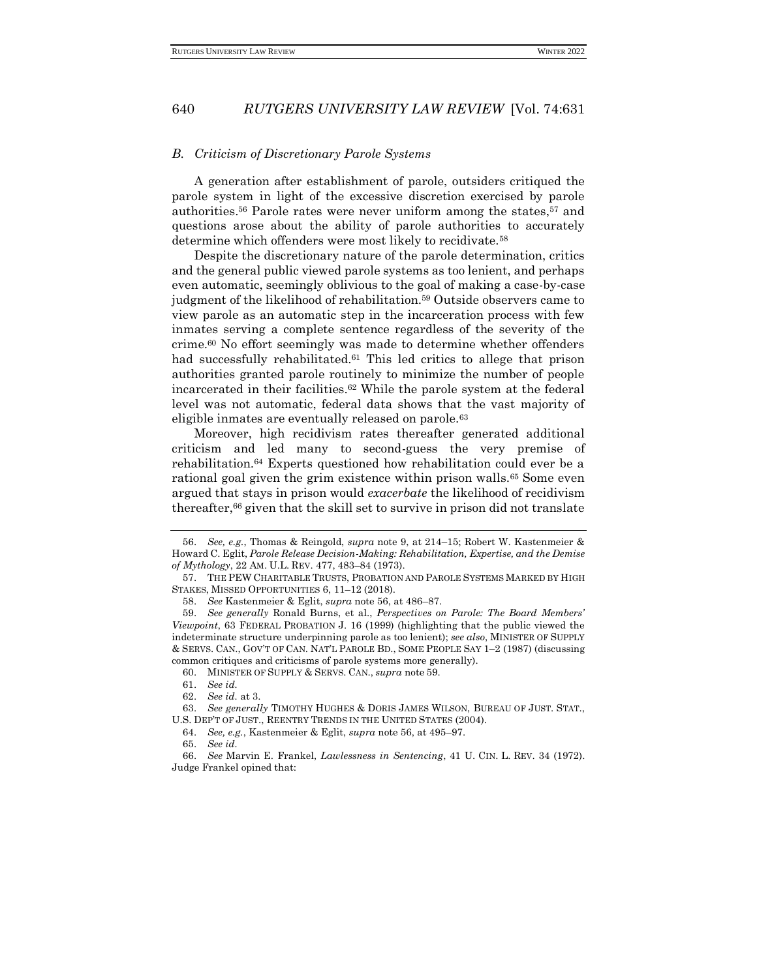#### *B. Criticism of Discretionary Parole Systems*

A generation after establishment of parole, outsiders critiqued the parole system in light of the excessive discretion exercised by parole authorities.<sup>56</sup> Parole rates were never uniform among the states,<sup>57</sup> and questions arose about the ability of parole authorities to accurately determine which offenders were most likely to recidivate.<sup>58</sup>

Despite the discretionary nature of the parole determination, critics and the general public viewed parole systems as too lenient, and perhaps even automatic, seemingly oblivious to the goal of making a case-by-case judgment of the likelihood of rehabilitation.<sup>59</sup> Outside observers came to view parole as an automatic step in the incarceration process with few inmates serving a complete sentence regardless of the severity of the crime.<sup>60</sup> No effort seemingly was made to determine whether offenders had successfully rehabilitated.<sup>61</sup> This led critics to allege that prison authorities granted parole routinely to minimize the number of people incarcerated in their facilities.<sup>62</sup> While the parole system at the federal level was not automatic, federal data shows that the vast majority of eligible inmates are eventually released on parole.<sup>63</sup>

Moreover, high recidivism rates thereafter generated additional criticism and led many to second-guess the very premise of rehabilitation.<sup>64</sup> Experts questioned how rehabilitation could ever be a rational goal given the grim existence within prison walls.<sup>65</sup> Some even argued that stays in prison would *exacerbate* the likelihood of recidivism thereafter,<sup>66</sup> given that the skill set to survive in prison did not translate

<sup>56.</sup> *See, e.g.*, Thomas & Reingold, *supra* note 9, at 214–15; Robert W. Kastenmeier & Howard C. Eglit, *Parole Release Decision-Making: Rehabilitation, Expertise, and the Demise of Mythology*, 22 AM. U.L. REV. 477, 483–84 (1973).

<sup>57.</sup> THE PEW CHARITABLE TRUSTS, PROBATION AND PAROLE SYSTEMS MARKED BY HIGH STAKES, MISSED OPPORTUNITIES 6, 11–12 (2018).

<sup>58.</sup> *See* Kastenmeier & Eglit, *supra* note 56, at 486–87.

<sup>59.</sup> *See generally* Ronald Burns, et al., *Perspectives on Parole: The Board Members' Viewpoint*, 63 FEDERAL PROBATION J. 16 (1999) (highlighting that the public viewed the indeterminate structure underpinning parole as too lenient); *see also*, MINISTER OF SUPPLY & SERVS. CAN., GOV'T OF CAN. NAT'L PAROLE BD., SOME PEOPLE SAY 1–2 (1987) (discussing common critiques and criticisms of parole systems more generally).

<sup>60.</sup> MINISTER OF SUPPLY & SERVS. CAN., *supra* note 59.

<sup>61.</sup> *See id.*

<sup>62.</sup> *See id.* at 3.

<sup>63.</sup> *See generally* TIMOTHY HUGHES & DORIS JAMES WILSON, BUREAU OF JUST. STAT., U.S. DEP'T OF JUST., REENTRY TRENDS IN THE UNITED STATES (2004).

<sup>64.</sup> *See, e.g.*, Kastenmeier & Eglit, *supra* note 56, at 495–97.

<sup>65.</sup> *See id.*

<sup>66.</sup> *See* Marvin E. Frankel, *Lawlessness in Sentencing*, 41 U. CIN. L. REV. 34 (1972). Judge Frankel opined that: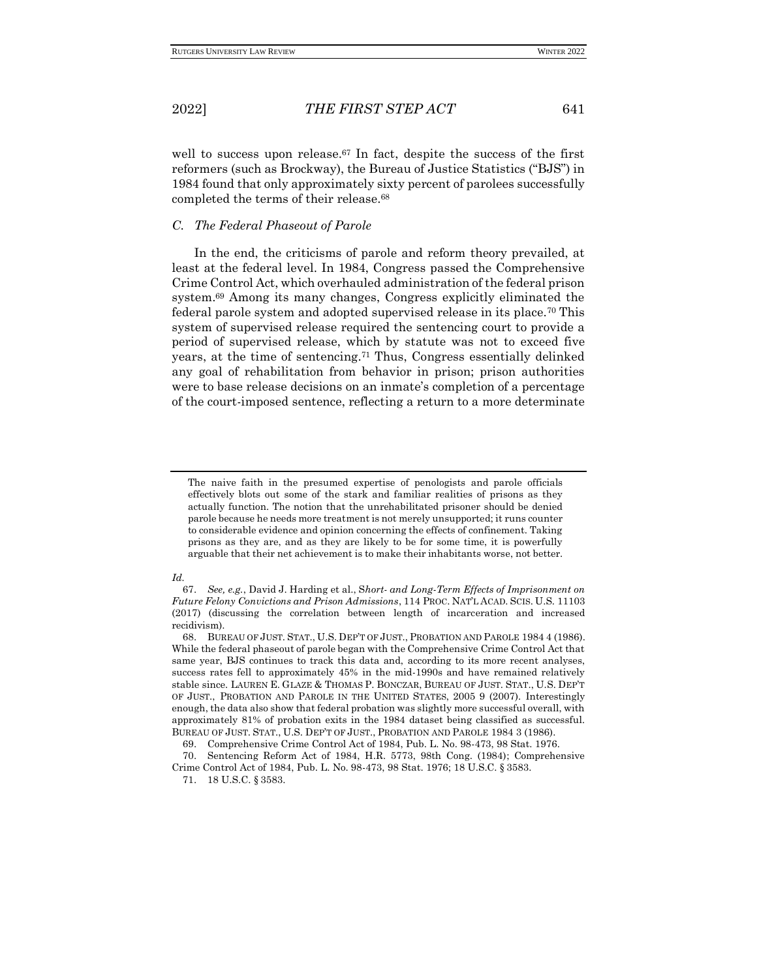well to success upon release.<sup>67</sup> In fact, despite the success of the first reformers (such as Brockway), the Bureau of Justice Statistics ("BJS") in 1984 found that only approximately sixty percent of parolees successfully completed the terms of their release.<sup>68</sup>

## *C. The Federal Phaseout of Parole*

In the end, the criticisms of parole and reform theory prevailed, at least at the federal level. In 1984, Congress passed the Comprehensive Crime Control Act, which overhauled administration of the federal prison system.<sup>69</sup> Among its many changes, Congress explicitly eliminated the federal parole system and adopted supervised release in its place.<sup>70</sup> This system of supervised release required the sentencing court to provide a period of supervised release, which by statute was not to exceed five years, at the time of sentencing.<sup>71</sup> Thus, Congress essentially delinked any goal of rehabilitation from behavior in prison; prison authorities were to base release decisions on an inmate's completion of a percentage of the court-imposed sentence, reflecting a return to a more determinate

#### *Id.*

The naive faith in the presumed expertise of penologists and parole officials effectively blots out some of the stark and familiar realities of prisons as they actually function. The notion that the unrehabilitated prisoner should be denied parole because he needs more treatment is not merely unsupported; it runs counter to considerable evidence and opinion concerning the effects of confinement. Taking prisons as they are, and as they are likely to be for some time, it is powerfully arguable that their net achievement is to make their inhabitants worse, not better.

<sup>67.</sup> *See, e.g.*, David J. Harding et al., S*hort- and Long-Term Effects of Imprisonment on Future Felony Convictions and Prison Admissions*, 114 PROC. NAT'L ACAD. SCIS. U.S. 11103 (2017) (discussing the correlation between length of incarceration and increased recidivism).

<sup>68.</sup> BUREAU OF JUST. STAT., U.S. DEP'T OF JUST., PROBATION AND PAROLE 1984 4 (1986). While the federal phaseout of parole began with the Comprehensive Crime Control Act that same year, BJS continues to track this data and, according to its more recent analyses, success rates fell to approximately 45% in the mid-1990s and have remained relatively stable since. LAUREN E. GLAZE & THOMAS P. BONCZAR, BUREAU OF JUST. STAT., U.S. DEP'T OF JUST., PROBATION AND PAROLE IN THE UNITED STATES, 2005 9 (2007). Interestingly enough, the data also show that federal probation was slightly more successful overall, with approximately 81% of probation exits in the 1984 dataset being classified as successful. BUREAU OF JUST. STAT., U.S. DEP'T OF JUST., PROBATION AND PAROLE 1984 3 (1986).

<sup>69.</sup> Comprehensive Crime Control Act of 1984, Pub. L. No. 98-473, 98 Stat. 1976.

<sup>70.</sup> Sentencing Reform Act of 1984, H.R. 5773, 98th Cong. (1984); Comprehensive Crime Control Act of 1984, Pub. L. No. 98-473, 98 Stat. 1976; 18 U.S.C. § 3583.

<sup>71.</sup> 18 U.S.C. § 3583.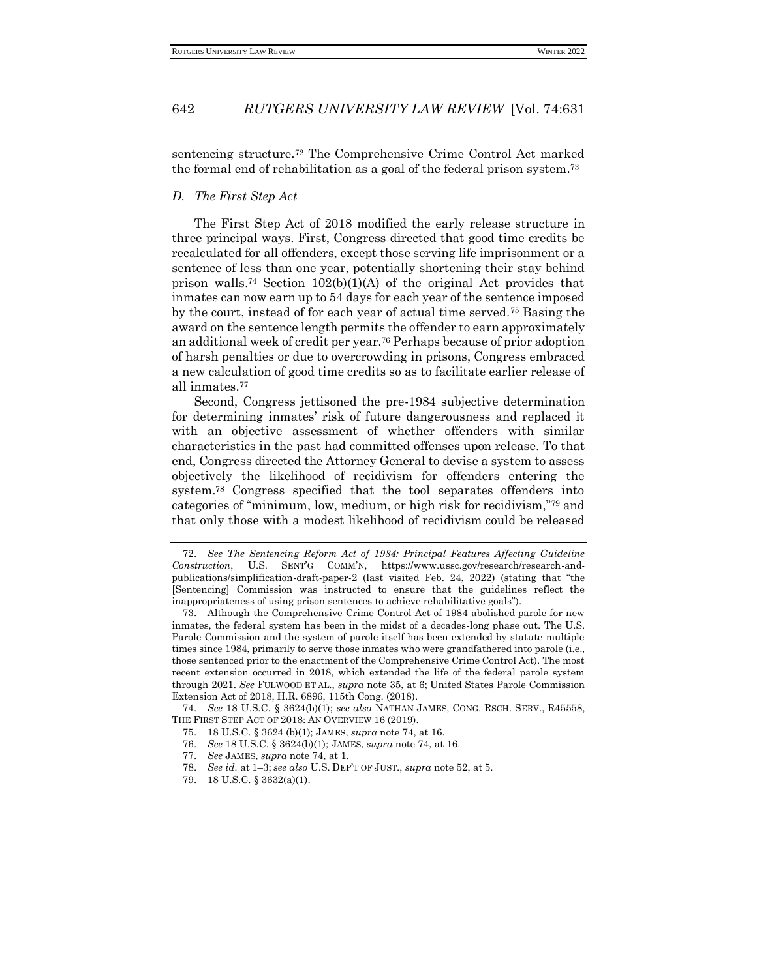sentencing structure.<sup>72</sup> The Comprehensive Crime Control Act marked the formal end of rehabilitation as a goal of the federal prison system.<sup>73</sup>

#### *D. The First Step Act*

The First Step Act of 2018 modified the early release structure in three principal ways. First, Congress directed that good time credits be recalculated for all offenders, except those serving life imprisonment or a sentence of less than one year, potentially shortening their stay behind prison walls.<sup>74</sup> Section  $102(b)(1)(A)$  of the original Act provides that inmates can now earn up to 54 days for each year of the sentence imposed by the court, instead of for each year of actual time served.<sup>75</sup> Basing the award on the sentence length permits the offender to earn approximately an additional week of credit per year.<sup>76</sup> Perhaps because of prior adoption of harsh penalties or due to overcrowding in prisons, Congress embraced a new calculation of good time credits so as to facilitate earlier release of all inmates.<sup>77</sup>

Second, Congress jettisoned the pre-1984 subjective determination for determining inmates' risk of future dangerousness and replaced it with an objective assessment of whether offenders with similar characteristics in the past had committed offenses upon release. To that end, Congress directed the Attorney General to devise a system to assess objectively the likelihood of recidivism for offenders entering the system.<sup>78</sup> Congress specified that the tool separates offenders into categories of "minimum, low, medium, or high risk for recidivism,"<sup>79</sup> and that only those with a modest likelihood of recidivism could be released

74. *See* 18 U.S.C. § 3624(b)(1); *see also* NATHAN JAMES, CONG. RSCH. SERV., R45558, THE FIRST STEP ACT OF 2018: AN OVERVIEW 16 (2019).

<sup>72.</sup> *See The Sentencing Reform Act of 1984: Principal Features Affecting Guideline Construction*, U.S. SENT'G COMM'N, https://www.ussc.gov/research/research-andpublications/simplification-draft-paper-2 (last visited Feb. 24, 2022) (stating that "the [Sentencing] Commission was instructed to ensure that the guidelines reflect the inappropriateness of using prison sentences to achieve rehabilitative goals").

<sup>73.</sup> Although the Comprehensive Crime Control Act of 1984 abolished parole for new inmates, the federal system has been in the midst of a decades-long phase out. The U.S. Parole Commission and the system of parole itself has been extended by statute multiple times since 1984, primarily to serve those inmates who were grandfathered into parole (i.e., those sentenced prior to the enactment of the Comprehensive Crime Control Act). The most recent extension occurred in 2018, which extended the life of the federal parole system through 2021. *See* FULWOOD ET AL., *supra* note 35, at 6; United States Parole Commission Extension Act of 2018, H.R. 6896, 115th Cong. (2018).

<sup>75.</sup> 18 U.S.C. § 3624 (b)(1); JAMES, *supra* note 74, at 16.

<sup>76.</sup> *See* 18 U.S.C. § 3624(b)(1); JAMES, *supra* note 74, at 16.

<sup>77.</sup> *See* JAMES, *supra* note 74, at 1.

<sup>78.</sup> *See id.* at 1–3; *see also* U.S. DEP'T OF JUST., *supra* note 52, at 5.

<sup>79.</sup> 18 U.S.C. § 3632(a)(1).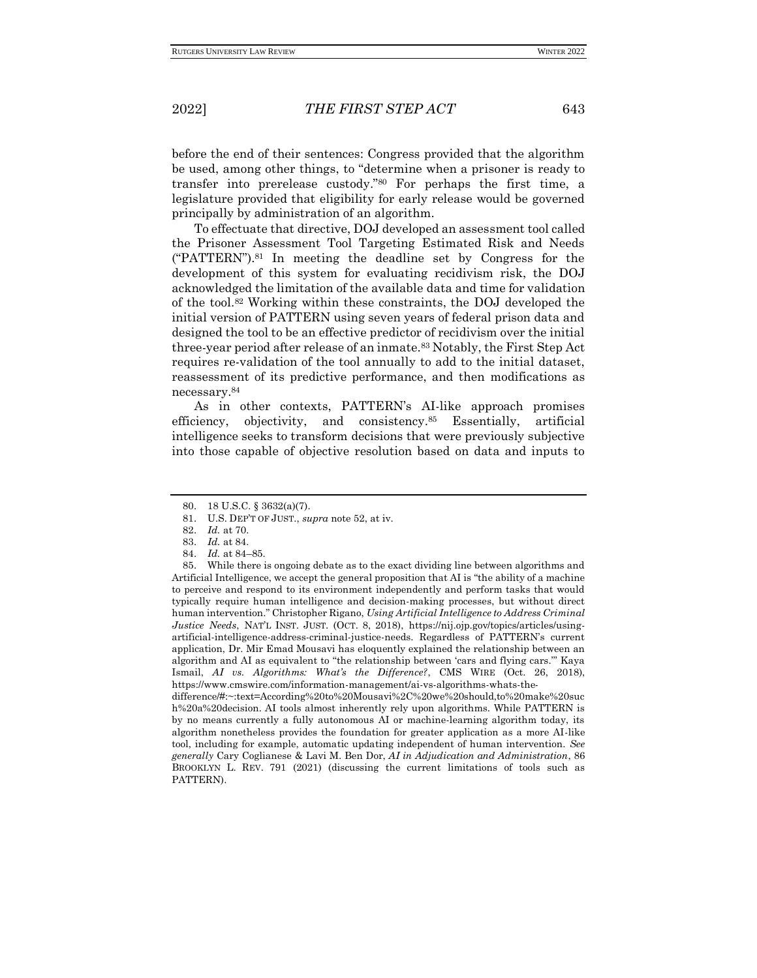before the end of their sentences: Congress provided that the algorithm be used, among other things, to "determine when a prisoner is ready to transfer into prerelease custody."<sup>80</sup> For perhaps the first time, a legislature provided that eligibility for early release would be governed principally by administration of an algorithm.

To effectuate that directive, DOJ developed an assessment tool called the Prisoner Assessment Tool Targeting Estimated Risk and Needs ("PATTERN").<sup>81</sup> In meeting the deadline set by Congress for the development of this system for evaluating recidivism risk, the DOJ acknowledged the limitation of the available data and time for validation of the tool.<sup>82</sup> Working within these constraints, the DOJ developed the initial version of PATTERN using seven years of federal prison data and designed the tool to be an effective predictor of recidivism over the initial three-year period after release of an inmate.<sup>83</sup> Notably, the First Step Act requires re-validation of the tool annually to add to the initial dataset, reassessment of its predictive performance, and then modifications as necessary.<sup>84</sup>

As in other contexts, PATTERN's AI-like approach promises efficiency, objectivity, and consistency.<sup>85</sup> Essentially, artificial intelligence seeks to transform decisions that were previously subjective into those capable of objective resolution based on data and inputs to

difference/#:~:text=According%20to%20Mousavi%2C%20we%20should,to%20make%20suc h%20a%20decision. AI tools almost inherently rely upon algorithms. While PATTERN is by no means currently a fully autonomous AI or machine-learning algorithm today, its algorithm nonetheless provides the foundation for greater application as a more AI-like tool, including for example, automatic updating independent of human intervention. *See generally* Cary Coglianese & Lavi M. Ben Dor, *AI in Adjudication and Administration*, 86 BROOKLYN L. REV. 791 (2021) (discussing the current limitations of tools such as PATTERN).

<sup>80.</sup> 18 U.S.C. § 3632(a)(7).

<sup>81.</sup> U.S. DEP'T OF JUST., *supra* note 52, at iv.

<sup>82.</sup> *Id.* at 70.

<sup>83.</sup> *Id.* at 84.

<sup>84.</sup> *Id.* at 84–85.

<sup>85.</sup> While there is ongoing debate as to the exact dividing line between algorithms and Artificial Intelligence, we accept the general proposition that AI is "the ability of a machine to perceive and respond to its environment independently and perform tasks that would typically require human intelligence and decision-making processes, but without direct human intervention." Christopher Rigano, *Using Artificial Intelligence to Address Criminal Justice Needs*, NAT'L INST. JUST. (OCT. 8, 2018), https://nij.ojp.gov/topics/articles/usingartificial-intelligence-address-criminal-justice-needs. Regardless of PATTERN's current application, Dr. Mir Emad Mousavi has eloquently explained the relationship between an algorithm and AI as equivalent to "the relationship between 'cars and flying cars.'" Kaya Ismail, *AI vs. Algorithms: What's the Difference?*, CMS WIRE (Oct. 26, 2018), https://www.cmswire.com/information-management/ai-vs-algorithms-whats-the-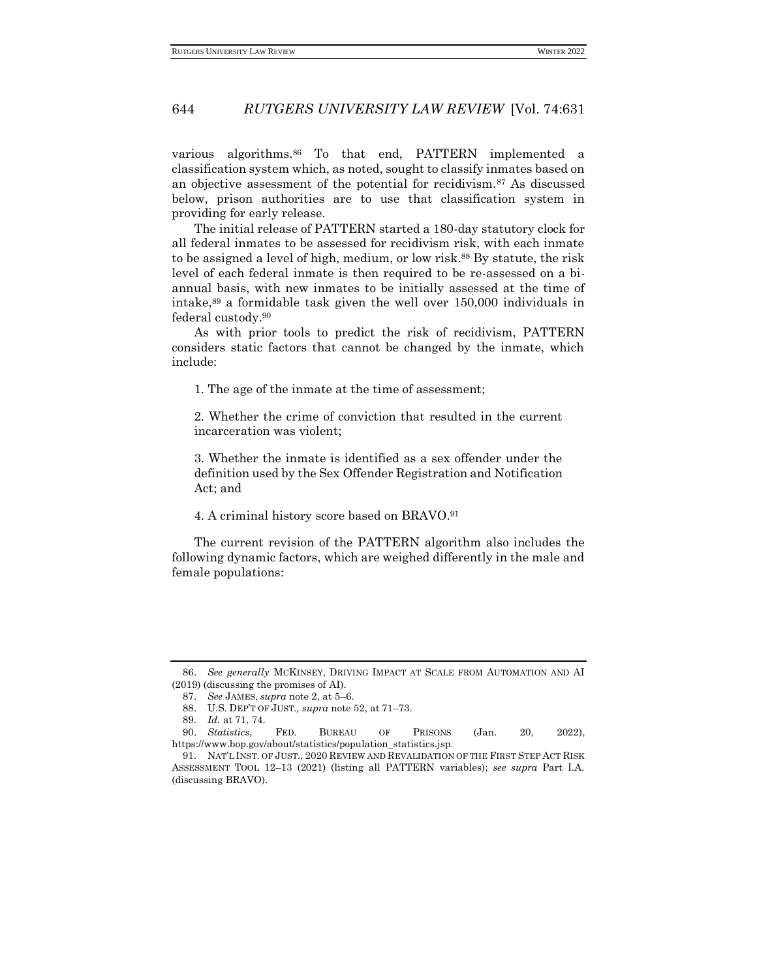various algorithms.<sup>86</sup> To that end, PATTERN implemented a classification system which, as noted, sought to classify inmates based on an objective assessment of the potential for recidivism.<sup>87</sup> As discussed below, prison authorities are to use that classification system in providing for early release.

The initial release of PATTERN started a 180-day statutory clock for all federal inmates to be assessed for recidivism risk, with each inmate to be assigned a level of high, medium, or low risk.<sup>88</sup> By statute, the risk level of each federal inmate is then required to be re-assessed on a biannual basis, with new inmates to be initially assessed at the time of intake, $89$  a formidable task given the well over 150,000 individuals in federal custody.<sup>90</sup>

As with prior tools to predict the risk of recidivism, PATTERN considers static factors that cannot be changed by the inmate, which include:

1. The age of the inmate at the time of assessment;

2. Whether the crime of conviction that resulted in the current incarceration was violent;

3. Whether the inmate is identified as a sex offender under the definition used by the Sex Offender Registration and Notification Act; and

#### 4. A criminal history score based on BRAVO.<sup>91</sup>

The current revision of the PATTERN algorithm also includes the following dynamic factors, which are weighed differently in the male and female populations:

<sup>86.</sup> *See generally* MCKINSEY, DRIVING IMPACT AT SCALE FROM AUTOMATION AND AI (2019) (discussing the promises of AI).

<sup>87.</sup> *See* JAMES, *supra* note 2, at 5–6.

<sup>88.</sup> U.S. DEP'T OF JUST.*, supra* note 52, at 71–73.

<sup>89.</sup> *Id.* at 71, 74.

<sup>90.</sup> *Statistics*, FED. BUREAU OF PRISONS (Jan. 20, 2022), https://www.bop.gov/about/statistics/population\_statistics.jsp.

<sup>91.</sup> NAT'L INST. OF JUST., 2020 REVIEW AND REVALIDATION OF THE FIRST STEP ACT RISK ASSESSMENT TOOL 12–13 (2021) (listing all PATTERN variables); *see supra* Part I.A. (discussing BRAVO).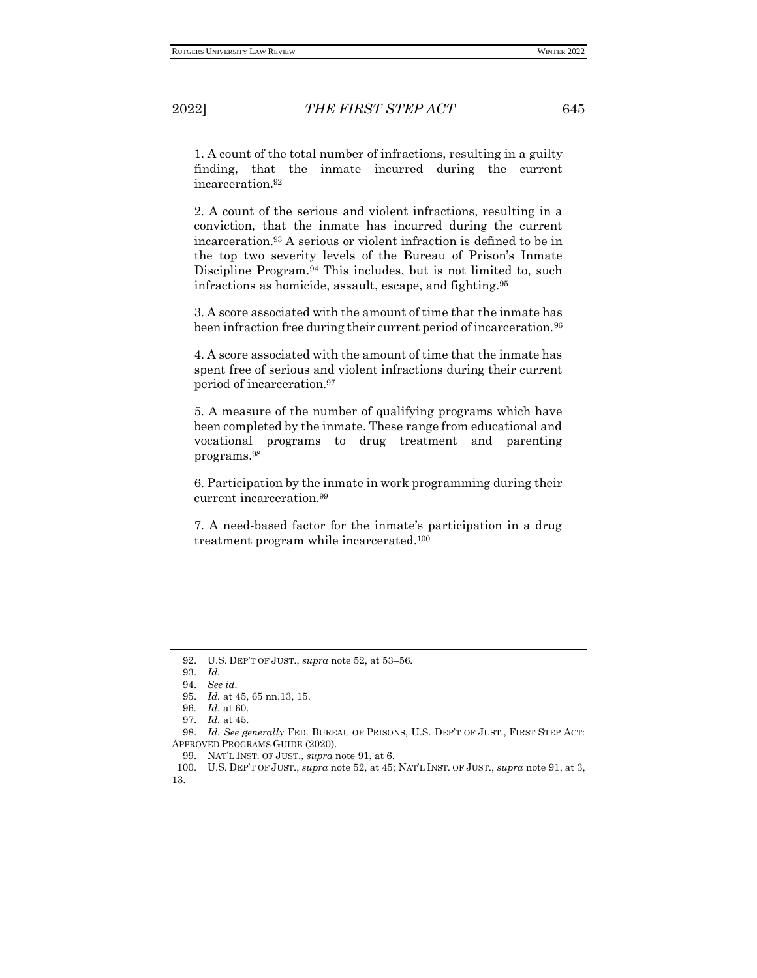1. A count of the total number of infractions, resulting in a guilty finding, that the inmate incurred during the current incarceration.<sup>92</sup>

2. A count of the serious and violent infractions, resulting in a conviction, that the inmate has incurred during the current incarceration.<sup>93</sup> A serious or violent infraction is defined to be in the top two severity levels of the Bureau of Prison's Inmate Discipline Program.<sup>94</sup> This includes, but is not limited to, such infractions as homicide, assault, escape, and fighting.<sup>95</sup>

3. A score associated with the amount of time that the inmate has been infraction free during their current period of incarceration.<sup>96</sup>

4. A score associated with the amount of time that the inmate has spent free of serious and violent infractions during their current period of incarceration.<sup>97</sup>

5. A measure of the number of qualifying programs which have been completed by the inmate. These range from educational and vocational programs to drug treatment and parenting programs.<sup>98</sup>

6. Participation by the inmate in work programming during their current incarceration.<sup>99</sup>

7. A need-based factor for the inmate's participation in a drug treatment program while incarcerated.<sup>100</sup>

<sup>92.</sup> U.S. DEP'T OF JUST., *supra* note 52, at 53–56*.*

<sup>93.</sup> *Id.*

<sup>94.</sup> *See id.*

<sup>95.</sup> *Id.* at 45, 65 nn.13, 15.

<sup>96</sup>*. Id.* at 60.

<sup>97.</sup> *Id.* at 45.

<sup>98.</sup> *Id. See generally* FED. BUREAU OF PRISONS, U.S. DEP'T OF JUST., FIRST STEP ACT: APPROVED PROGRAMS GUIDE (2020).

<sup>99.</sup> NAT'L INST. OF JUST., *supra* note 91, at 6.

<sup>100.</sup> U.S. DEP'T OF JUST., *supra* note 52, at 45; NAT'L INST. OF JUST., *supra* note 91, at 3, 13.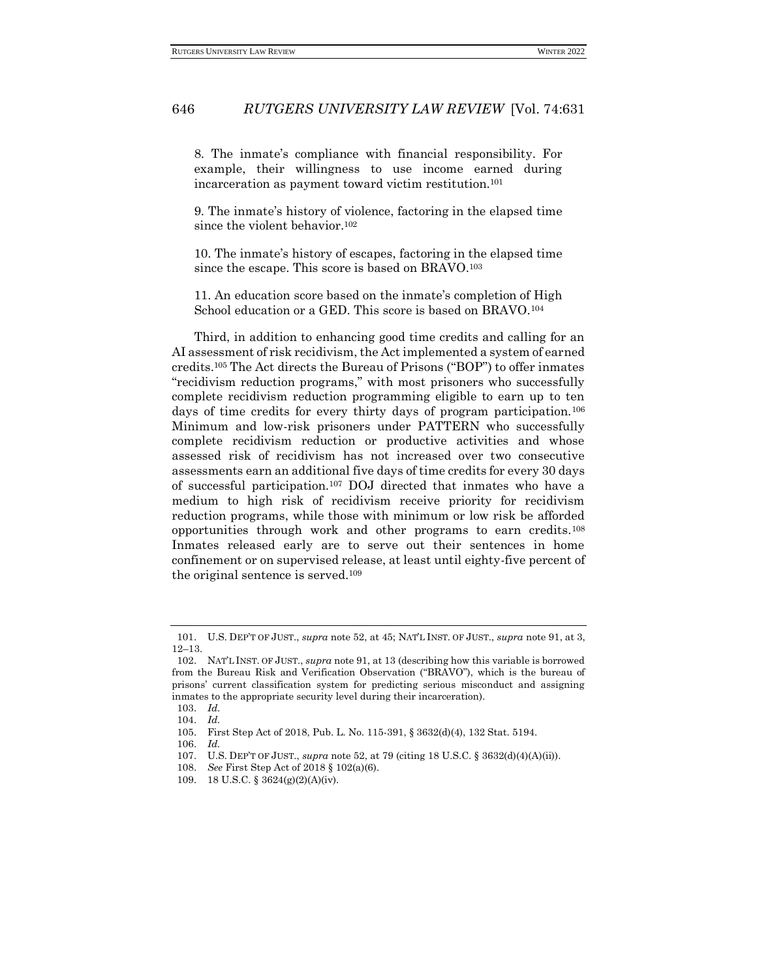8. The inmate's compliance with financial responsibility. For example, their willingness to use income earned during incarceration as payment toward victim restitution.<sup>101</sup>

9. The inmate's history of violence, factoring in the elapsed time since the violent behavior.<sup>102</sup>

10. The inmate's history of escapes, factoring in the elapsed time since the escape. This score is based on BRAVO.<sup>103</sup>

11. An education score based on the inmate's completion of High School education or a GED. This score is based on BRAVO.<sup>104</sup>

Third, in addition to enhancing good time credits and calling for an AI assessment of risk recidivism, the Act implemented a system of earned credits.<sup>105</sup> The Act directs the Bureau of Prisons ("BOP") to offer inmates "recidivism reduction programs," with most prisoners who successfully complete recidivism reduction programming eligible to earn up to ten days of time credits for every thirty days of program participation.<sup>106</sup> Minimum and low-risk prisoners under PATTERN who successfully complete recidivism reduction or productive activities and whose assessed risk of recidivism has not increased over two consecutive assessments earn an additional five days of time credits for every 30 days of successful participation.<sup>107</sup> DOJ directed that inmates who have a medium to high risk of recidivism receive priority for recidivism reduction programs, while those with minimum or low risk be afforded opportunities through work and other programs to earn credits.<sup>108</sup> Inmates released early are to serve out their sentences in home confinement or on supervised release, at least until eighty-five percent of the original sentence is served.<sup>109</sup>

<sup>101.</sup> U.S. DEP'T OF JUST., *supra* note 52, at 45; NAT'L INST. OF JUST., *supra* note 91, at 3, 12–13.

<sup>102.</sup> NAT'L INST. OF JUST., *supra* note 91, at 13 (describing how this variable is borrowed from the Bureau Risk and Verification Observation ("BRAVO"), which is the bureau of prisons' current classification system for predicting serious misconduct and assigning inmates to the appropriate security level during their incarceration).

<sup>103.</sup> *Id.*

<sup>104.</sup> *Id.*

<sup>105.</sup> First Step Act of 2018, Pub. L. No. 115-391, § 3632(d)(4), 132 Stat. 5194.

<sup>106.</sup> *Id.*

<sup>107.</sup> U.S. DEP'T OF JUST., *supra* note 52, at 79 (citing 18 U.S.C. § 3632(d)(4)(A)(ii)).

<sup>108.</sup> *See* First Step Act of 2018 § 102(a)(6).

<sup>109.</sup> 18 U.S.C. § 3624(g)(2)(A)(iv).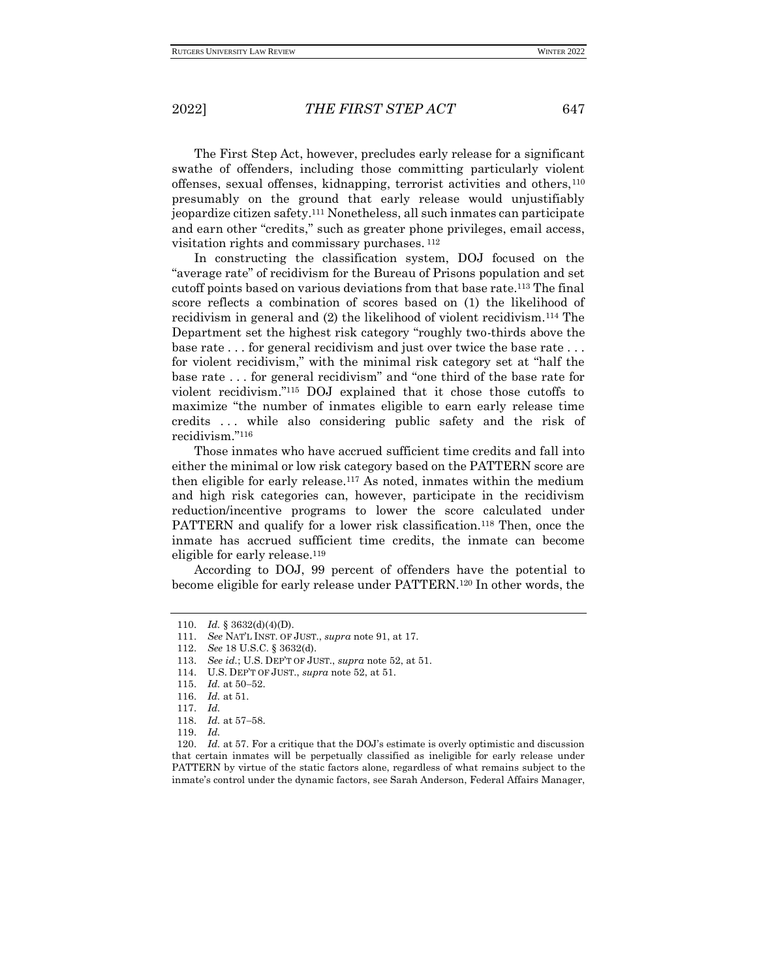The First Step Act, however, precludes early release for a significant swathe of offenders, including those committing particularly violent offenses, sexual offenses, kidnapping, terrorist activities and others,<sup>110</sup> presumably on the ground that early release would unjustifiably jeopardize citizen safety.<sup>111</sup> Nonetheless, all such inmates can participate and earn other "credits," such as greater phone privileges, email access, visitation rights and commissary purchases. <sup>112</sup>

In constructing the classification system, DOJ focused on the "average rate" of recidivism for the Bureau of Prisons population and set cutoff points based on various deviations from that base rate.<sup>113</sup> The final score reflects a combination of scores based on (1) the likelihood of recidivism in general and (2) the likelihood of violent recidivism.<sup>114</sup> The Department set the highest risk category "roughly two-thirds above the base rate . . . for general recidivism and just over twice the base rate . . . for violent recidivism," with the minimal risk category set at "half the base rate . . . for general recidivism" and "one third of the base rate for violent recidivism."<sup>115</sup> DOJ explained that it chose those cutoffs to maximize "the number of inmates eligible to earn early release time credits . . . while also considering public safety and the risk of recidivism."<sup>116</sup>

Those inmates who have accrued sufficient time credits and fall into either the minimal or low risk category based on the PATTERN score are then eligible for early release.<sup>117</sup> As noted, inmates within the medium and high risk categories can, however, participate in the recidivism reduction/incentive programs to lower the score calculated under PATTERN and qualify for a lower risk classification.<sup>118</sup> Then, once the inmate has accrued sufficient time credits, the inmate can become eligible for early release.<sup>119</sup>

According to DOJ, 99 percent of offenders have the potential to become eligible for early release under PATTERN.<sup>120</sup> In other words, the

<sup>110.</sup> *Id.* § 3632(d)(4)(D).

<sup>111.</sup> *See* NAT'L INST. OF JUST., *supra* note 91, at 17.

<sup>112.</sup> *See* 18 U.S.C. § 3632(d).

<sup>113.</sup> *See id.*; U.S. DEP'T OF JUST., *supra* note 52, at 51.

<sup>114.</sup> U.S. DEP'T OF JUST., *supra* note 52, at 51.

<sup>115.</sup> *Id.* at 50−52.

<sup>116.</sup> *Id.* at 51.

<sup>117.</sup> *Id.*

<sup>118.</sup> *Id.* at 57−58.

<sup>119.</sup> *Id.*

<sup>120.</sup> *Id.* at 57. For a critique that the DOJ's estimate is overly optimistic and discussion that certain inmates will be perpetually classified as ineligible for early release under PATTERN by virtue of the static factors alone, regardless of what remains subject to the inmate's control under the dynamic factors, see Sarah Anderson, Federal Affairs Manager,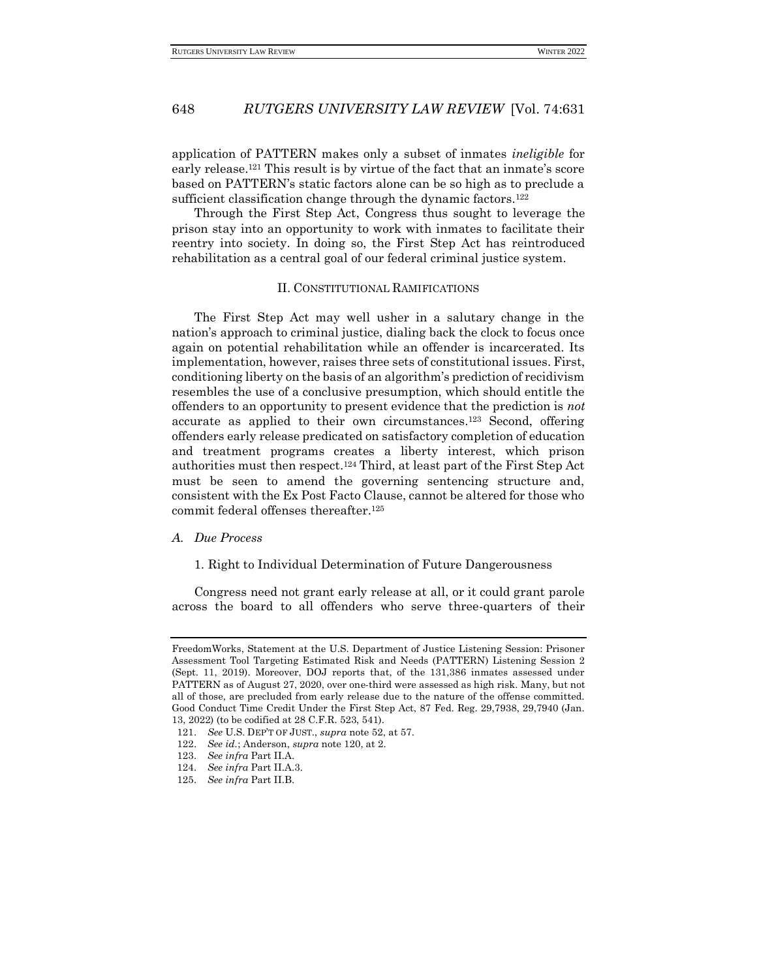application of PATTERN makes only a subset of inmates *ineligible* for early release.<sup>121</sup> This result is by virtue of the fact that an inmate's score based on PATTERN's static factors alone can be so high as to preclude a sufficient classification change through the dynamic factors.<sup>122</sup>

Through the First Step Act, Congress thus sought to leverage the prison stay into an opportunity to work with inmates to facilitate their reentry into society. In doing so, the First Step Act has reintroduced rehabilitation as a central goal of our federal criminal justice system.

#### II. CONSTITUTIONAL RAMIFICATIONS

The First Step Act may well usher in a salutary change in the nation's approach to criminal justice, dialing back the clock to focus once again on potential rehabilitation while an offender is incarcerated. Its implementation, however, raises three sets of constitutional issues. First, conditioning liberty on the basis of an algorithm's prediction of recidivism resembles the use of a conclusive presumption, which should entitle the offenders to an opportunity to present evidence that the prediction is *not*  accurate as applied to their own circumstances.<sup>123</sup> Second, offering offenders early release predicated on satisfactory completion of education and treatment programs creates a liberty interest, which prison authorities must then respect.<sup>124</sup> Third, at least part of the First Step Act must be seen to amend the governing sentencing structure and, consistent with the Ex Post Facto Clause, cannot be altered for those who commit federal offenses thereafter.<sup>125</sup>

#### *A. Due Process*

#### 1. Right to Individual Determination of Future Dangerousness

Congress need not grant early release at all, or it could grant parole across the board to all offenders who serve three-quarters of their

FreedomWorks, Statement at the U.S. Department of Justice Listening Session: Prisoner Assessment Tool Targeting Estimated Risk and Needs (PATTERN) Listening Session 2 (Sept. 11, 2019). Moreover, DOJ reports that, of the 131,386 inmates assessed under PATTERN as of August 27, 2020, over one-third were assessed as high risk. Many, but not all of those, are precluded from early release due to the nature of the offense committed. Good Conduct Time Credit Under the First Step Act, 87 Fed. Reg. 29,7938, 29,7940 (Jan. 13, 2022) (to be codified at 28 C.F.R. 523, 541).

<sup>121.</sup> *See* U.S. DEP'T OF JUST., *supra* note 52, at 57.

<sup>122.</sup> *See id.*; Anderson, *supra* note 120, at 2.

<sup>123.</sup> *See infra* Part II.A.

<sup>124.</sup> *See infra* Part II.A.3.

<sup>125.</sup> *See infra* Part II.B.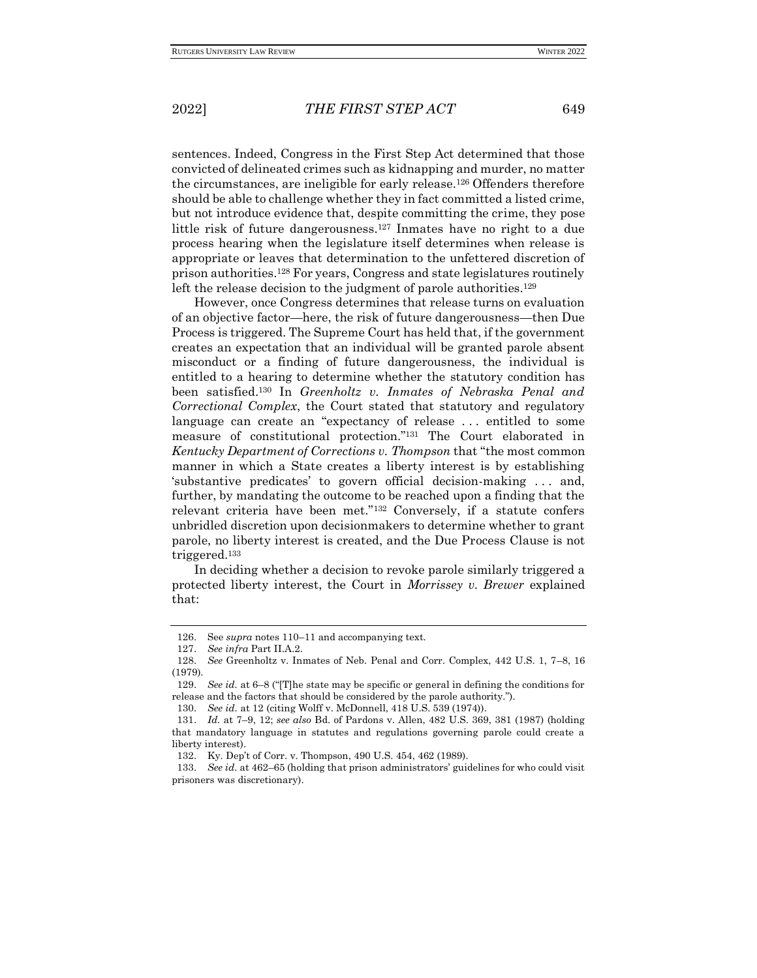sentences. Indeed, Congress in the First Step Act determined that those convicted of delineated crimes such as kidnapping and murder, no matter the circumstances, are ineligible for early release.<sup>126</sup> Offenders therefore should be able to challenge whether they in fact committed a listed crime, but not introduce evidence that, despite committing the crime, they pose little risk of future dangerousness.<sup>127</sup> Inmates have no right to a due process hearing when the legislature itself determines when release is appropriate or leaves that determination to the unfettered discretion of prison authorities.<sup>128</sup> For years, Congress and state legislatures routinely left the release decision to the judgment of parole authorities.<sup>129</sup>

However, once Congress determines that release turns on evaluation of an objective factor—here, the risk of future dangerousness—then Due Process is triggered. The Supreme Court has held that, if the government creates an expectation that an individual will be granted parole absent misconduct or a finding of future dangerousness, the individual is entitled to a hearing to determine whether the statutory condition has been satisfied.<sup>130</sup> In *Greenholtz v. Inmates of Nebraska Penal and Correctional Complex*, the Court stated that statutory and regulatory language can create an "expectancy of release ... entitled to some measure of constitutional protection."<sup>131</sup> The Court elaborated in *Kentucky Department of Corrections v. Thompson* that "the most common manner in which a State creates a liberty interest is by establishing 'substantive predicates' to govern official decision-making . . . and, further, by mandating the outcome to be reached upon a finding that the relevant criteria have been met."<sup>132</sup> Conversely, if a statute confers unbridled discretion upon decisionmakers to determine whether to grant parole, no liberty interest is created, and the Due Process Clause is not triggered.<sup>133</sup>

In deciding whether a decision to revoke parole similarly triggered a protected liberty interest, the Court in *Morrissey v. Brewer* explained that:

<sup>126.</sup> See *supra* notes 110–11 and accompanying text.

<sup>127.</sup> *See infra* Part II.A.2.

<sup>128.</sup> *See* Greenholtz v. Inmates of Neb. Penal and Corr. Complex, 442 U.S. 1, 7–8, 16 (1979).

<sup>129.</sup> *See id.* at 6–8 ("[T]he state may be specific or general in defining the conditions for release and the factors that should be considered by the parole authority.").

<sup>130.</sup> *See id.* at 12 (citing Wolff v. McDonnell, 418 U.S. 539 (1974)).

<sup>131.</sup> *Id.* at 7–9, 12; *see also* Bd. of Pardons v. Allen, 482 U.S. 369, 381 (1987) (holding that mandatory language in statutes and regulations governing parole could create a liberty interest).

<sup>132.</sup> Ky. Dep't of Corr. v. Thompson, 490 U.S. 454, 462 (1989).

<sup>133.</sup> *See id.* at 462–65 (holding that prison administrators' guidelines for who could visit prisoners was discretionary).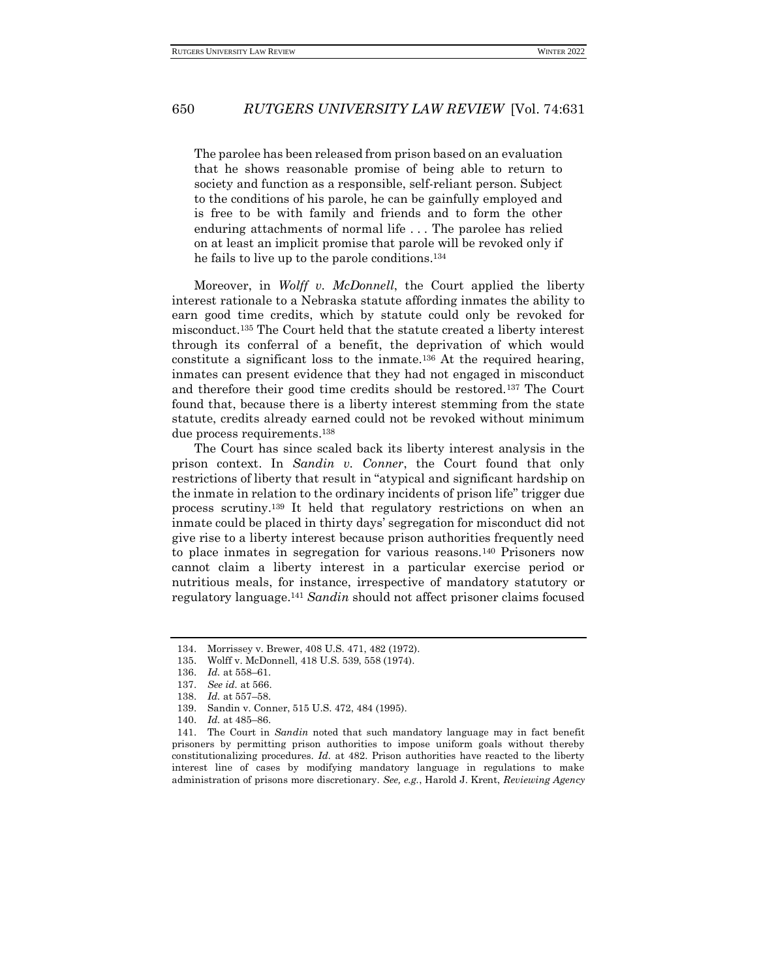The parolee has been released from prison based on an evaluation that he shows reasonable promise of being able to return to society and function as a responsible, self-reliant person. Subject to the conditions of his parole, he can be gainfully employed and is free to be with family and friends and to form the other enduring attachments of normal life . . . The parolee has relied on at least an implicit promise that parole will be revoked only if he fails to live up to the parole conditions.<sup>134</sup>

Moreover, in *Wolff v. McDonnell*, the Court applied the liberty interest rationale to a Nebraska statute affording inmates the ability to earn good time credits, which by statute could only be revoked for misconduct.<sup>135</sup> The Court held that the statute created a liberty interest through its conferral of a benefit, the deprivation of which would constitute a significant loss to the inmate.<sup>136</sup> At the required hearing, inmates can present evidence that they had not engaged in misconduct and therefore their good time credits should be restored.<sup>137</sup> The Court found that, because there is a liberty interest stemming from the state statute, credits already earned could not be revoked without minimum due process requirements.<sup>138</sup>

The Court has since scaled back its liberty interest analysis in the prison context. In *Sandin v. Conner*, the Court found that only restrictions of liberty that result in "atypical and significant hardship on the inmate in relation to the ordinary incidents of prison life" trigger due process scrutiny.<sup>139</sup> It held that regulatory restrictions on when an inmate could be placed in thirty days' segregation for misconduct did not give rise to a liberty interest because prison authorities frequently need to place inmates in segregation for various reasons.<sup>140</sup> Prisoners now cannot claim a liberty interest in a particular exercise period or nutritious meals, for instance, irrespective of mandatory statutory or regulatory language.<sup>141</sup> *Sandin* should not affect prisoner claims focused

<sup>134.</sup> Morrissey v. Brewer, 408 U.S. 471, 482 (1972).

<sup>135.</sup> Wolff v. McDonnell, 418 U.S. 539, 558 (1974).

<sup>136.</sup> *Id.* at 558–61.

<sup>137.</sup> *See id.* at 566.

<sup>138.</sup> *Id.* at 557–58.

<sup>139.</sup> Sandin v. Conner, 515 U.S. 472, 484 (1995).

<sup>140.</sup> *Id.* at 485–86.

<sup>141.</sup> The Court in *Sandin* noted that such mandatory language may in fact benefit prisoners by permitting prison authorities to impose uniform goals without thereby constitutionalizing procedures. *Id.* at 482. Prison authorities have reacted to the liberty interest line of cases by modifying mandatory language in regulations to make administration of prisons more discretionary. *See, e.g.*, Harold J. Krent, *Reviewing Agency*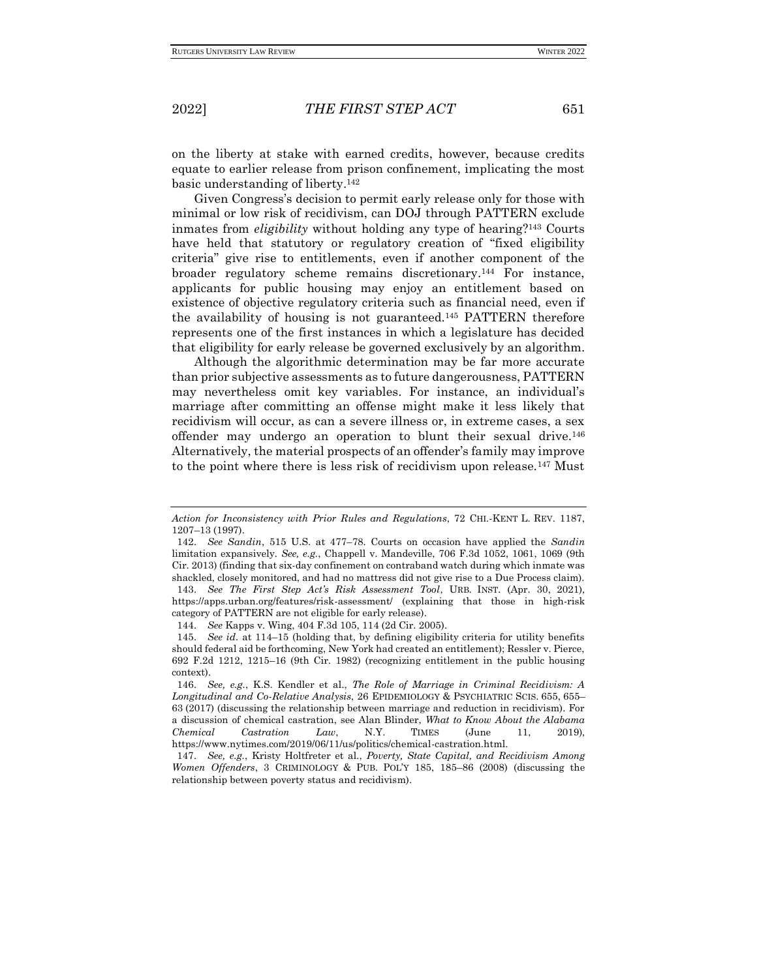on the liberty at stake with earned credits, however, because credits equate to earlier release from prison confinement, implicating the most basic understanding of liberty.<sup>142</sup>

Given Congress's decision to permit early release only for those with minimal or low risk of recidivism, can DOJ through PATTERN exclude inmates from *eligibility* without holding any type of hearing?<sup>143</sup> Courts have held that statutory or regulatory creation of "fixed eligibility criteria" give rise to entitlements, even if another component of the broader regulatory scheme remains discretionary.<sup>144</sup> For instance, applicants for public housing may enjoy an entitlement based on existence of objective regulatory criteria such as financial need, even if the availability of housing is not guaranteed.<sup>145</sup> PATTERN therefore represents one of the first instances in which a legislature has decided that eligibility for early release be governed exclusively by an algorithm.

Although the algorithmic determination may be far more accurate than prior subjective assessments as to future dangerousness, PATTERN may nevertheless omit key variables. For instance, an individual's marriage after committing an offense might make it less likely that recidivism will occur, as can a severe illness or, in extreme cases, a sex offender may undergo an operation to blunt their sexual drive.<sup>146</sup> Alternatively, the material prospects of an offender's family may improve to the point where there is less risk of recidivism upon release.<sup>147</sup> Must

*Action for Inconsistency with Prior Rules and Regulations*, 72 CHI.-KENT L. REV. 1187, 1207–13 (1997).

<sup>142.</sup> *See Sandin*, 515 U.S. at 477–78. Courts on occasion have applied the *Sandin*  limitation expansively. *See, e.g.*, Chappell v. Mandeville, 706 F.3d 1052, 1061, 1069 (9th Cir. 2013) (finding that six-day confinement on contraband watch during which inmate was shackled, closely monitored, and had no mattress did not give rise to a Due Process claim). 143. *See The First Step Act's Risk Assessment Tool*, URB. INST. (Apr. 30, 2021), https://apps.urban.org/features/risk-assessment/ (explaining that those in high-risk category of PATTERN are not eligible for early release).

<sup>144.</sup> *See* Kapps v. Wing, 404 F.3d 105, 114 (2d Cir. 2005).

<sup>145.</sup> *See id.* at 114–15 (holding that, by defining eligibility criteria for utility benefits should federal aid be forthcoming, New York had created an entitlement); Ressler v. Pierce, 692 F.2d 1212, 1215–16 (9th Cir. 1982) (recognizing entitlement in the public housing context).

<sup>146.</sup> *See, e.g.*, K.S. Kendler et al., *The Role of Marriage in Criminal Recidivism: A Longitudinal and Co-Relative Analysis*, 26 EPIDEMIOLOGY & PSYCHIATRIC SCIS. 655, 655– 63 (2017) (discussing the relationship between marriage and reduction in recidivism). For a discussion of chemical castration, see Alan Blinder, *What to Know About the Alabama Chemical Castration Law*, N.Y. TIMES (June 11, 2019), https://www.nytimes.com/2019/06/11/us/politics/chemical-castration.html.

<sup>147.</sup> *See, e.g.*, Kristy Holtfreter et al., *Poverty, State Capital, and Recidivism Among Women Offenders*, 3 CRIMINOLOGY & PUB. POL'Y 185, 185–86 (2008) (discussing the relationship between poverty status and recidivism).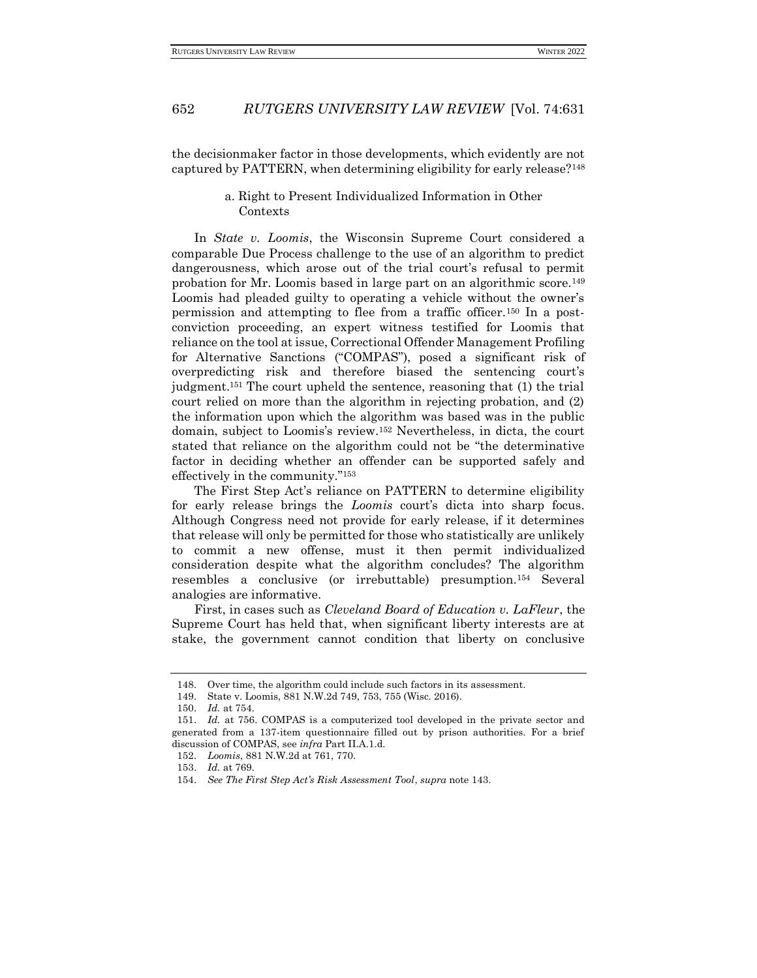the decisionmaker factor in those developments, which evidently are not captured by PATTERN, when determining eligibility for early release?<sup>148</sup>

## a. Right to Present Individualized Information in Other Contexts

In *State v. Loomis*, the Wisconsin Supreme Court considered a comparable Due Process challenge to the use of an algorithm to predict dangerousness, which arose out of the trial court's refusal to permit probation for Mr. Loomis based in large part on an algorithmic score.<sup>149</sup> Loomis had pleaded guilty to operating a vehicle without the owner's permission and attempting to flee from a traffic officer.<sup>150</sup> In a postconviction proceeding, an expert witness testified for Loomis that reliance on the tool at issue, Correctional Offender Management Profiling for Alternative Sanctions ("COMPAS"), posed a significant risk of overpredicting risk and therefore biased the sentencing court's judgment.<sup>151</sup> The court upheld the sentence, reasoning that (1) the trial court relied on more than the algorithm in rejecting probation, and (2) the information upon which the algorithm was based was in the public domain, subject to Loomis's review.<sup>152</sup> Nevertheless, in dicta, the court stated that reliance on the algorithm could not be "the determinative factor in deciding whether an offender can be supported safely and effectively in the community."<sup>153</sup>

The First Step Act's reliance on PATTERN to determine eligibility for early release brings the *Loomis* court's dicta into sharp focus. Although Congress need not provide for early release, if it determines that release will only be permitted for those who statistically are unlikely to commit a new offense, must it then permit individualized consideration despite what the algorithm concludes? The algorithm resembles a conclusive (or irrebuttable) presumption.<sup>154</sup> Several analogies are informative.

First, in cases such as *Cleveland Board of Education v. LaFleur*, the Supreme Court has held that, when significant liberty interests are at stake, the government cannot condition that liberty on conclusive

<sup>148.</sup> Over time, the algorithm could include such factors in its assessment.

<sup>149.</sup> State v. Loomis, 881 N.W.2d 749, 753, 755 (Wisc. 2016).

<sup>150.</sup> *Id.* at 754.

<sup>151.</sup> *Id.* at 756. COMPAS is a computerized tool developed in the private sector and generated from a 137-item questionnaire filled out by prison authorities. For a brief discussion of COMPAS, see *infra* Part II.A.1.d.

<sup>152.</sup> *Loomis*, 881 N.W.2d at 761, 770.

<sup>153.</sup> *Id.* at 769.

<sup>154.</sup> *See The First Step Act's Risk Assessment Tool*, *supra* note 143.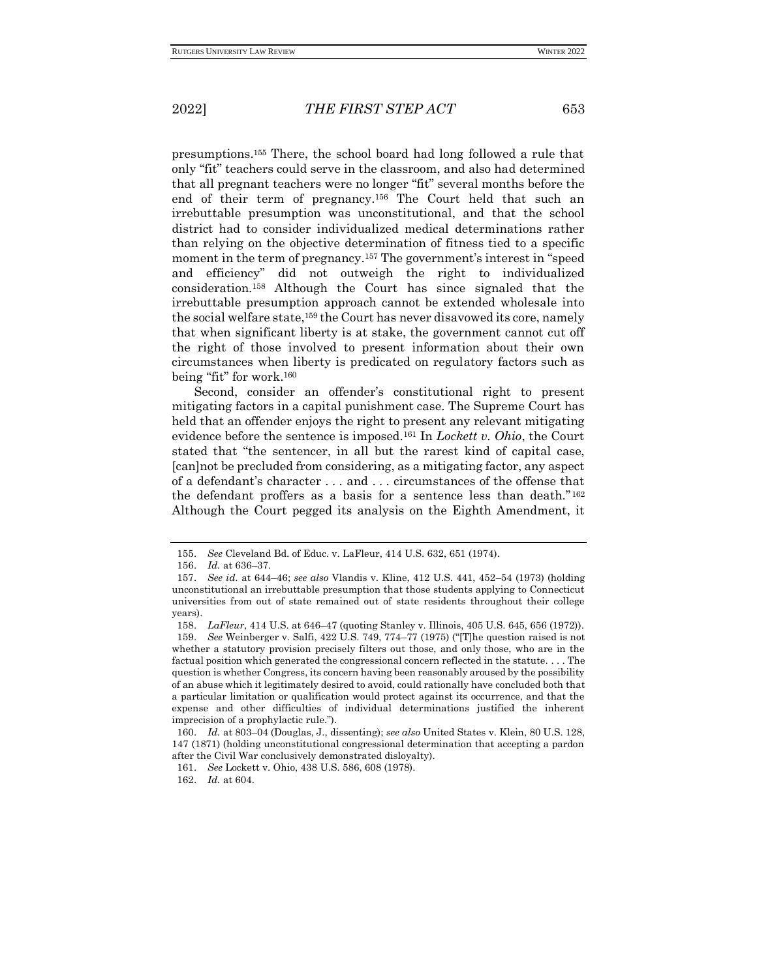presumptions.<sup>155</sup> There, the school board had long followed a rule that only "fit" teachers could serve in the classroom, and also had determined that all pregnant teachers were no longer "fit" several months before the end of their term of pregnancy.<sup>156</sup> The Court held that such an irrebuttable presumption was unconstitutional, and that the school district had to consider individualized medical determinations rather than relying on the objective determination of fitness tied to a specific moment in the term of pregnancy.<sup>157</sup> The government's interest in "speed and efficiency" did not outweigh the right to individualized consideration.<sup>158</sup> Although the Court has since signaled that the irrebuttable presumption approach cannot be extended wholesale into the social welfare state,<sup>159</sup> the Court has never disavowed its core, namely that when significant liberty is at stake, the government cannot cut off the right of those involved to present information about their own circumstances when liberty is predicated on regulatory factors such as being "fit" for work.<sup>160</sup>

Second, consider an offender's constitutional right to present mitigating factors in a capital punishment case. The Supreme Court has held that an offender enjoys the right to present any relevant mitigating evidence before the sentence is imposed.<sup>161</sup> In *Lockett v. Ohio*, the Court stated that "the sentencer, in all but the rarest kind of capital case, [can]not be precluded from considering, as a mitigating factor, any aspect of a defendant's character . . . and . . . circumstances of the offense that the defendant proffers as a basis for a sentence less than death." <sup>162</sup> Although the Court pegged its analysis on the Eighth Amendment, it

<sup>155.</sup> *See* Cleveland Bd. of Educ. v. LaFleur, 414 U.S. 632, 651 (1974).

<sup>156.</sup> *Id.* at 636–37.

<sup>157.</sup> *See id.* at 644–46; *see also* Vlandis v. Kline, 412 U.S. 441, 452–54 (1973) (holding unconstitutional an irrebuttable presumption that those students applying to Connecticut universities from out of state remained out of state residents throughout their college years).

<sup>158.</sup> *LaFleur*, 414 U.S. at 646–47 (quoting Stanley v. Illinois, 405 U.S. 645, 656 (1972)).

<sup>159.</sup> *See* Weinberger v. Salfi, 422 U.S. 749, 774–77 (1975) ("[T]he question raised is not whether a statutory provision precisely filters out those, and only those, who are in the factual position which generated the congressional concern reflected in the statute. . . . The question is whether Congress, its concern having been reasonably aroused by the possibility of an abuse which it legitimately desired to avoid, could rationally have concluded both that a particular limitation or qualification would protect against its occurrence, and that the expense and other difficulties of individual determinations justified the inherent imprecision of a prophylactic rule.").

<sup>160.</sup> *Id.* at 803–04 (Douglas, J., dissenting); *see also* United States v. Klein, 80 U.S. 128, 147 (1871) (holding unconstitutional congressional determination that accepting a pardon after the Civil War conclusively demonstrated disloyalty).

<sup>161.</sup> *See* Lockett v. Ohio, 438 U.S. 586, 608 (1978).

<sup>162.</sup> *Id.* at 604.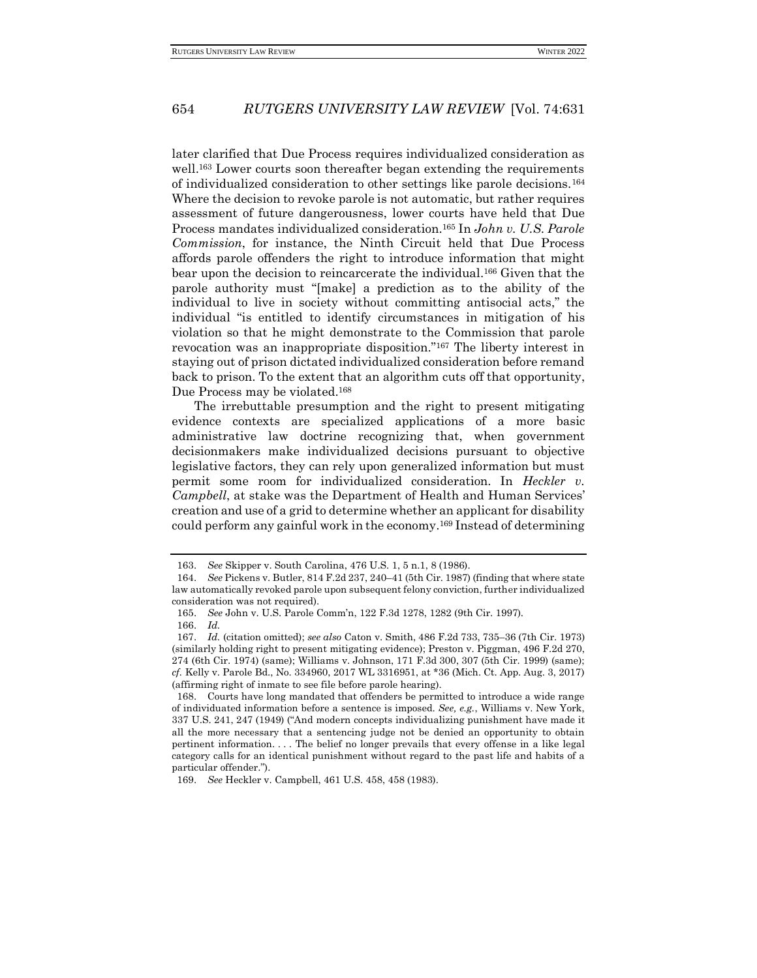later clarified that Due Process requires individualized consideration as well.<sup>163</sup> Lower courts soon thereafter began extending the requirements of individualized consideration to other settings like parole decisions.<sup>164</sup> Where the decision to revoke parole is not automatic, but rather requires assessment of future dangerousness, lower courts have held that Due Process mandates individualized consideration.<sup>165</sup> In *John v. U.S. Parole Commission*, for instance, the Ninth Circuit held that Due Process affords parole offenders the right to introduce information that might bear upon the decision to reincarcerate the individual.<sup>166</sup> Given that the parole authority must "[make] a prediction as to the ability of the individual to live in society without committing antisocial acts," the individual "is entitled to identify circumstances in mitigation of his violation so that he might demonstrate to the Commission that parole revocation was an inappropriate disposition."<sup>167</sup> The liberty interest in staying out of prison dictated individualized consideration before remand back to prison. To the extent that an algorithm cuts off that opportunity, Due Process may be violated.<sup>168</sup>

The irrebuttable presumption and the right to present mitigating evidence contexts are specialized applications of a more basic administrative law doctrine recognizing that, when government decisionmakers make individualized decisions pursuant to objective legislative factors, they can rely upon generalized information but must permit some room for individualized consideration. In *Heckler v. Campbell*, at stake was the Department of Health and Human Services' creation and use of a grid to determine whether an applicant for disability could perform any gainful work in the economy.<sup>169</sup> Instead of determining

<sup>163.</sup> *See* Skipper v. South Carolina, 476 U.S. 1, 5 n.1, 8 (1986).

<sup>164.</sup> *See* Pickens v. Butler, 814 F.2d 237, 240–41 (5th Cir. 1987) (finding that where state law automatically revoked parole upon subsequent felony conviction, further individualized consideration was not required).

<sup>165.</sup> *See* John v. U.S. Parole Comm'n, 122 F.3d 1278, 1282 (9th Cir. 1997).

<sup>166.</sup> *Id.*

<sup>167.</sup> *Id.* (citation omitted); *see also* Caton v. Smith, 486 F.2d 733, 735–36 (7th Cir. 1973) (similarly holding right to present mitigating evidence); Preston v. Piggman, 496 F.2d 270, 274 (6th Cir. 1974) (same); Williams v. Johnson, 171 F.3d 300, 307 (5th Cir. 1999) (same); *cf.* Kelly v. Parole Bd., No. 334960, 2017 WL 3316951, at \*36 (Mich. Ct. App. Aug. 3, 2017) (affirming right of inmate to see file before parole hearing).

<sup>168.</sup> Courts have long mandated that offenders be permitted to introduce a wide range of individuated information before a sentence is imposed. *See, e.g.*, Williams v. New York, 337 U.S. 241, 247 (1949) ("And modern concepts individualizing punishment have made it all the more necessary that a sentencing judge not be denied an opportunity to obtain pertinent information. . . . The belief no longer prevails that every offense in a like legal category calls for an identical punishment without regard to the past life and habits of a particular offender.").

<sup>169.</sup> *See* Heckler v. Campbell, 461 U.S. 458, 458 (1983).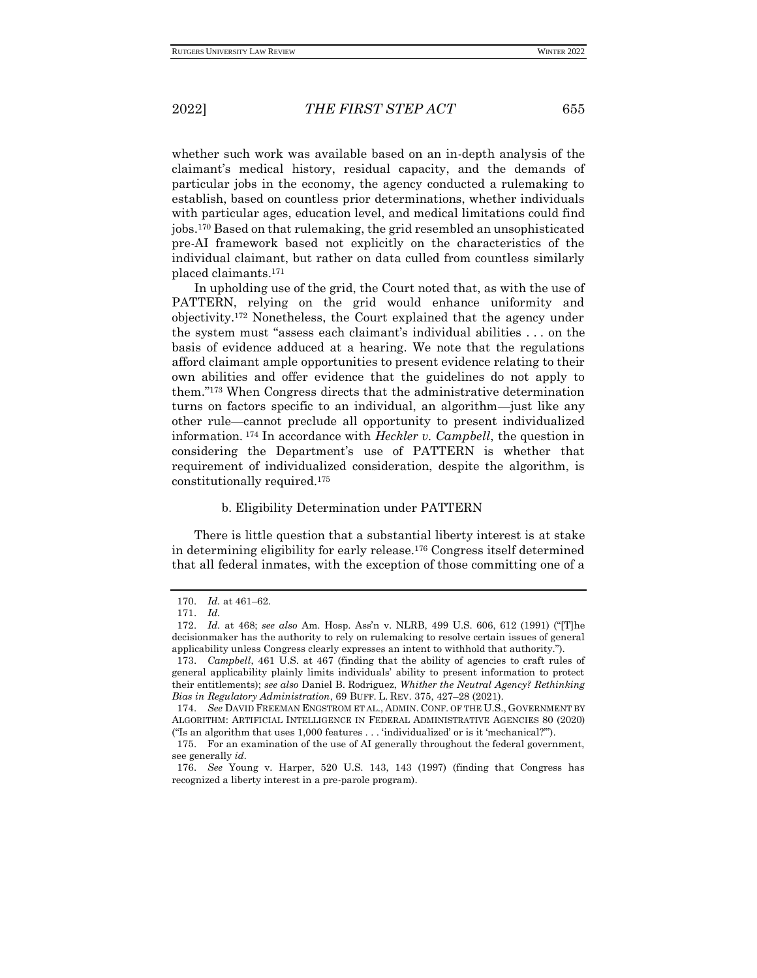whether such work was available based on an in-depth analysis of the claimant's medical history, residual capacity, and the demands of particular jobs in the economy, the agency conducted a rulemaking to establish, based on countless prior determinations, whether individuals with particular ages, education level, and medical limitations could find jobs.<sup>170</sup> Based on that rulemaking, the grid resembled an unsophisticated pre-AI framework based not explicitly on the characteristics of the individual claimant, but rather on data culled from countless similarly placed claimants.<sup>171</sup>

In upholding use of the grid, the Court noted that, as with the use of PATTERN, relying on the grid would enhance uniformity and objectivity.<sup>172</sup> Nonetheless, the Court explained that the agency under the system must "assess each claimant's individual abilities . . . on the basis of evidence adduced at a hearing. We note that the regulations afford claimant ample opportunities to present evidence relating to their own abilities and offer evidence that the guidelines do not apply to them."<sup>173</sup> When Congress directs that the administrative determination turns on factors specific to an individual, an algorithm—just like any other rule—cannot preclude all opportunity to present individualized information. <sup>174</sup> In accordance with *Heckler v. Campbell*, the question in considering the Department's use of PATTERN is whether that requirement of individualized consideration, despite the algorithm, is constitutionally required.<sup>175</sup>

#### b. Eligibility Determination under PATTERN

There is little question that a substantial liberty interest is at stake in determining eligibility for early release.<sup>176</sup> Congress itself determined that all federal inmates, with the exception of those committing one of a

<sup>170.</sup> *Id.* at 461–62.

<sup>171.</sup> *Id.*

<sup>172.</sup> *Id.* at 468; *see also* Am. Hosp. Ass'n v. NLRB, 499 U.S. 606, 612 (1991) ("[T]he decisionmaker has the authority to rely on rulemaking to resolve certain issues of general applicability unless Congress clearly expresses an intent to withhold that authority.").

<sup>173.</sup> *Campbell*, 461 U.S. at 467 (finding that the ability of agencies to craft rules of general applicability plainly limits individuals' ability to present information to protect their entitlements); *see also* Daniel B. Rodriguez, *Whither the Neutral Agency? Rethinking Bias in Regulatory Administration*, 69 BUFF. L. REV. 375, 427–28 (2021).

<sup>174.</sup> *See* DAVID FREEMAN ENGSTROM ET AL., ADMIN. CONF. OF THE U.S., GOVERNMENT BY ALGORITHM: ARTIFICIAL INTELLIGENCE IN FEDERAL ADMINISTRATIVE AGENCIES 80 (2020) ("Is an algorithm that uses 1,000 features . . . 'individualized' or is it 'mechanical?'").

<sup>175.</sup> For an examination of the use of AI generally throughout the federal government, see generally *id.*

<sup>176.</sup> *See* Young v. Harper, 520 U.S. 143, 143 (1997) (finding that Congress has recognized a liberty interest in a pre-parole program).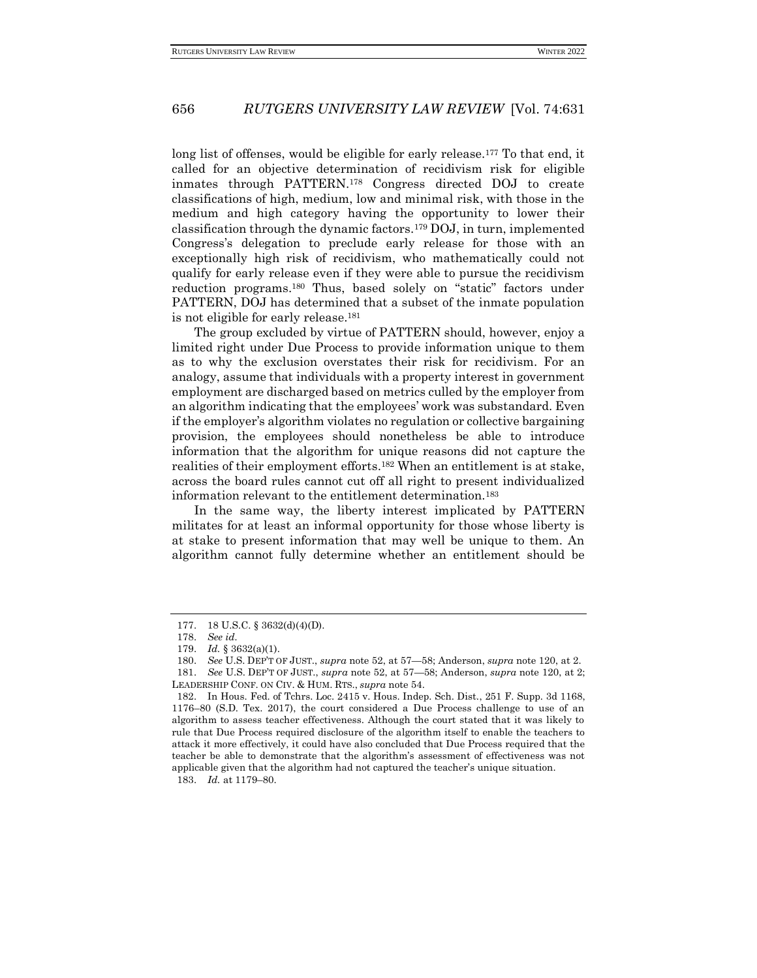long list of offenses, would be eligible for early release.<sup>177</sup> To that end, it called for an objective determination of recidivism risk for eligible inmates through PATTERN.<sup>178</sup> Congress directed DOJ to create classifications of high, medium, low and minimal risk, with those in the medium and high category having the opportunity to lower their classification through the dynamic factors.<sup>179</sup> DOJ, in turn, implemented Congress's delegation to preclude early release for those with an exceptionally high risk of recidivism, who mathematically could not qualify for early release even if they were able to pursue the recidivism reduction programs.<sup>180</sup> Thus, based solely on "static" factors under PATTERN, DOJ has determined that a subset of the inmate population is not eligible for early release.<sup>181</sup>

The group excluded by virtue of PATTERN should, however, enjoy a limited right under Due Process to provide information unique to them as to why the exclusion overstates their risk for recidivism. For an analogy, assume that individuals with a property interest in government employment are discharged based on metrics culled by the employer from an algorithm indicating that the employees' work was substandard. Even if the employer's algorithm violates no regulation or collective bargaining provision, the employees should nonetheless be able to introduce information that the algorithm for unique reasons did not capture the realities of their employment efforts.<sup>182</sup> When an entitlement is at stake, across the board rules cannot cut off all right to present individualized information relevant to the entitlement determination.<sup>183</sup>

In the same way, the liberty interest implicated by PATTERN militates for at least an informal opportunity for those whose liberty is at stake to present information that may well be unique to them. An algorithm cannot fully determine whether an entitlement should be

<sup>177.</sup> 18 U.S.C. § 3632(d)(4)(D).

<sup>178.</sup> *See id.*

<sup>179.</sup> *Id.* § 3632(a)(1).

<sup>180.</sup> *See* U.S. DEP'T OF JUST., *supra* note 52, at 57—58; Anderson, *supra* note 120, at 2.

<sup>181.</sup> *See* U.S. DEP'T OF JUST., *supra* note 52, at 57—58; Anderson, *supra* note 120, at 2; LEADERSHIP CONF. ON CIV. & HUM. RTS., *supra* note 54.

<sup>182.</sup> In Hous. Fed. of Tchrs. Loc. 2415 v. Hous. Indep. Sch. Dist., 251 F. Supp. 3d 1168, 1176–80 (S.D. Tex. 2017), the court considered a Due Process challenge to use of an algorithm to assess teacher effectiveness. Although the court stated that it was likely to rule that Due Process required disclosure of the algorithm itself to enable the teachers to attack it more effectively, it could have also concluded that Due Process required that the teacher be able to demonstrate that the algorithm's assessment of effectiveness was not applicable given that the algorithm had not captured the teacher's unique situation. 183. *Id.* at 1179–80.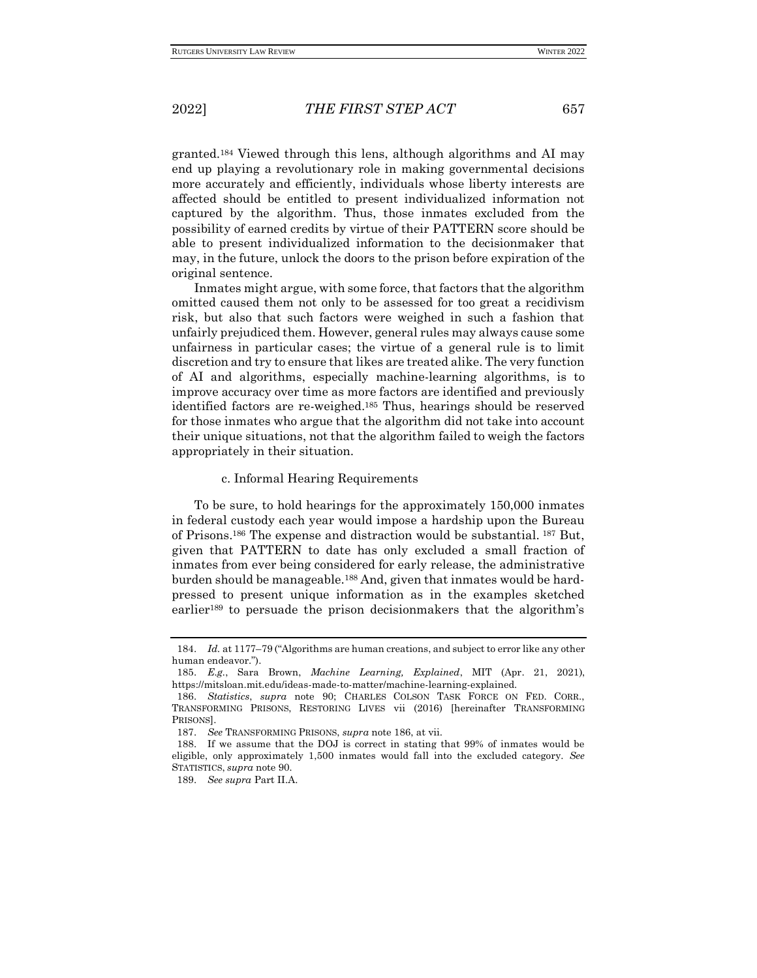granted.<sup>184</sup> Viewed through this lens, although algorithms and AI may end up playing a revolutionary role in making governmental decisions more accurately and efficiently, individuals whose liberty interests are affected should be entitled to present individualized information not captured by the algorithm. Thus, those inmates excluded from the possibility of earned credits by virtue of their PATTERN score should be able to present individualized information to the decisionmaker that may, in the future, unlock the doors to the prison before expiration of the original sentence.

Inmates might argue, with some force, that factors that the algorithm omitted caused them not only to be assessed for too great a recidivism risk, but also that such factors were weighed in such a fashion that unfairly prejudiced them. However, general rules may always cause some unfairness in particular cases; the virtue of a general rule is to limit discretion and try to ensure that likes are treated alike. The very function of AI and algorithms, especially machine-learning algorithms, is to improve accuracy over time as more factors are identified and previously identified factors are re-weighed.<sup>185</sup> Thus, hearings should be reserved for those inmates who argue that the algorithm did not take into account their unique situations, not that the algorithm failed to weigh the factors appropriately in their situation.

#### c. Informal Hearing Requirements

To be sure, to hold hearings for the approximately 150,000 inmates in federal custody each year would impose a hardship upon the Bureau of Prisons.<sup>186</sup> The expense and distraction would be substantial. <sup>187</sup> But, given that PATTERN to date has only excluded a small fraction of inmates from ever being considered for early release, the administrative burden should be manageable.<sup>188</sup> And, given that inmates would be hardpressed to present unique information as in the examples sketched earlier<sup>189</sup> to persuade the prison decisionmakers that the algorithm's

<sup>184.</sup> *Id.* at 1177–79 ("Algorithms are human creations, and subject to error like any other human endeavor.").

<sup>185.</sup> *E.g.*, Sara Brown, *Machine Learning, Explained*, MIT (Apr. 21, 2021), https://mitsloan.mit.edu/ideas-made-to-matter/machine-learning-explained.

<sup>186.</sup> *Statistics*, *supra* note 90; CHARLES COLSON TASK FORCE ON FED. CORR., TRANSFORMING PRISONS, RESTORING LIVES vii (2016) [hereinafter TRANSFORMING PRISONS].

<sup>187.</sup> *See* TRANSFORMING PRISONS, *supra* note 186, at vii.

<sup>188.</sup> If we assume that the DOJ is correct in stating that 99% of inmates would be eligible, only approximately 1,500 inmates would fall into the excluded category. *See*  STATISTICS, *supra* note 90*.*

<sup>189.</sup> *See supra* Part II.A.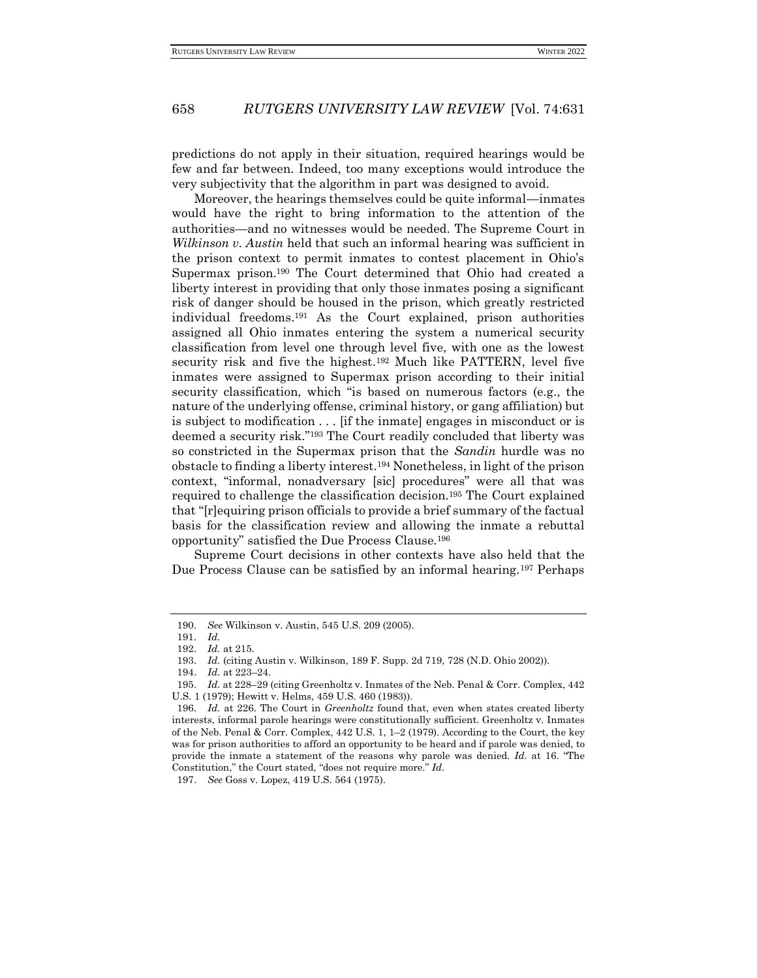predictions do not apply in their situation, required hearings would be few and far between. Indeed, too many exceptions would introduce the very subjectivity that the algorithm in part was designed to avoid.

Moreover, the hearings themselves could be quite informal—inmates would have the right to bring information to the attention of the authorities—and no witnesses would be needed. The Supreme Court in *Wilkinson v. Austin* held that such an informal hearing was sufficient in the prison context to permit inmates to contest placement in Ohio's Supermax prison.<sup>190</sup> The Court determined that Ohio had created a liberty interest in providing that only those inmates posing a significant risk of danger should be housed in the prison, which greatly restricted individual freedoms.<sup>191</sup> As the Court explained, prison authorities assigned all Ohio inmates entering the system a numerical security classification from level one through level five, with one as the lowest security risk and five the highest.<sup>192</sup> Much like PATTERN, level five inmates were assigned to Supermax prison according to their initial security classification, which "is based on numerous factors (e.g., the nature of the underlying offense, criminal history, or gang affiliation) but is subject to modification . . . [if the inmate] engages in misconduct or is deemed a security risk."<sup>193</sup> The Court readily concluded that liberty was so constricted in the Supermax prison that the *Sandin* hurdle was no obstacle to finding a liberty interest.<sup>194</sup> Nonetheless, in light of the prison context, "informal, nonadversary [sic] procedures" were all that was required to challenge the classification decision.<sup>195</sup> The Court explained that "[r]equiring prison officials to provide a brief summary of the factual basis for the classification review and allowing the inmate a rebuttal opportunity" satisfied the Due Process Clause.<sup>196</sup>

Supreme Court decisions in other contexts have also held that the Due Process Clause can be satisfied by an informal hearing.<sup>197</sup> Perhaps

197. *See* Goss v. Lopez, 419 U.S. 564 (1975).

<sup>190.</sup> *See* Wilkinson v. Austin, 545 U.S. 209 (2005).

<sup>191.</sup> *Id.*

<sup>192.</sup> *Id.* at 215.

<sup>193.</sup> *Id.* (citing Austin v. Wilkinson, 189 F. Supp. 2d 719, 728 (N.D. Ohio 2002)).

<sup>194.</sup> *Id.* at 223–24.

<sup>195.</sup> *Id.* at 228–29 (citing Greenholtz v. Inmates of the Neb. Penal & Corr. Complex, 442 U.S. 1 (1979); Hewitt v. Helms, 459 U.S. 460 (1983)).

<sup>196.</sup> *Id.* at 226. The Court in *Greenholtz* found that, even when states created liberty interests, informal parole hearings were constitutionally sufficient. Greenholtz v. Inmates of the Neb. Penal & Corr. Complex, 442 U.S. 1, 1–2 (1979). According to the Court, the key was for prison authorities to afford an opportunity to be heard and if parole was denied, to provide the inmate a statement of the reasons why parole was denied. *Id.* at 16. "The Constitution," the Court stated, "does not require more." *Id.*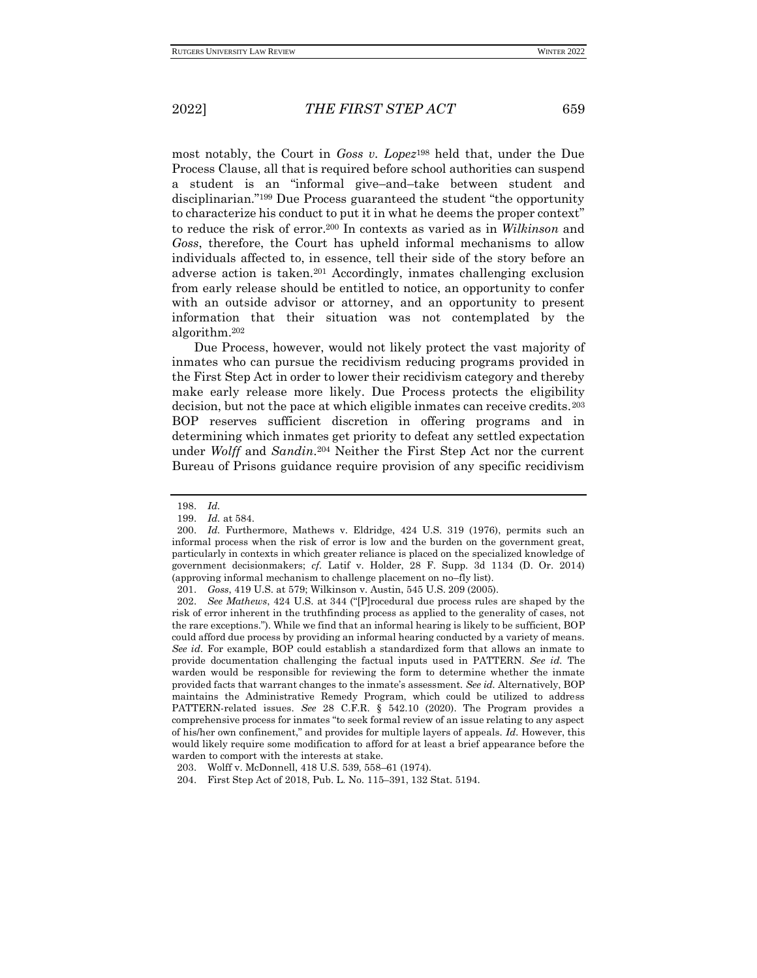most notably, the Court in *Goss v. Lopez*<sup>198</sup> held that, under the Due Process Clause, all that is required before school authorities can suspend a student is an "informal give–and–take between student and disciplinarian."<sup>199</sup> Due Process guaranteed the student "the opportunity to characterize his conduct to put it in what he deems the proper context" to reduce the risk of error.<sup>200</sup> In contexts as varied as in *Wilkinson* and *Goss*, therefore, the Court has upheld informal mechanisms to allow individuals affected to, in essence, tell their side of the story before an adverse action is taken.<sup>201</sup> Accordingly, inmates challenging exclusion from early release should be entitled to notice, an opportunity to confer with an outside advisor or attorney, and an opportunity to present information that their situation was not contemplated by the algorithm.<sup>202</sup>

Due Process, however, would not likely protect the vast majority of inmates who can pursue the recidivism reducing programs provided in the First Step Act in order to lower their recidivism category and thereby make early release more likely. Due Process protects the eligibility decision, but not the pace at which eligible inmates can receive credits.<sup>203</sup> BOP reserves sufficient discretion in offering programs and in determining which inmates get priority to defeat any settled expectation under *Wolff* and *Sandin*. <sup>204</sup> Neither the First Step Act nor the current Bureau of Prisons guidance require provision of any specific recidivism

<sup>198.</sup> *Id.*

<sup>199.</sup> *Id.* at 584.

<sup>200.</sup> *Id.* Furthermore, Mathews v. Eldridge, 424 U.S. 319 (1976), permits such an informal process when the risk of error is low and the burden on the government great, particularly in contexts in which greater reliance is placed on the specialized knowledge of government decisionmakers; *cf.* Latif v. Holder, 28 F. Supp. 3d 1134 (D. Or. 2014) (approving informal mechanism to challenge placement on no–fly list).

<sup>201.</sup> *Goss*, 419 U.S. at 579; Wilkinson v. Austin, 545 U.S. 209 (2005).

<sup>202.</sup> *See Mathews*, 424 U.S. at 344 ("[P]rocedural due process rules are shaped by the risk of error inherent in the truthfinding process as applied to the generality of cases, not the rare exceptions."). While we find that an informal hearing is likely to be sufficient, BOP could afford due process by providing an informal hearing conducted by a variety of means. *See id.* For example, BOP could establish a standardized form that allows an inmate to provide documentation challenging the factual inputs used in PATTERN. *See id.* The warden would be responsible for reviewing the form to determine whether the inmate provided facts that warrant changes to the inmate's assessment. *See id.* Alternatively, BOP maintains the Administrative Remedy Program, which could be utilized to address PATTERN-related issues. *See* 28 C.F.R. § 542.10 (2020). The Program provides a comprehensive process for inmates "to seek formal review of an issue relating to any aspect of his/her own confinement," and provides for multiple layers of appeals. *Id.* However, this would likely require some modification to afford for at least a brief appearance before the warden to comport with the interests at stake.

<sup>203.</sup> Wolff v. McDonnell, 418 U.S. 539, 558–61 (1974).

<sup>204.</sup> First Step Act of 2018, Pub. L. No. 115–391, 132 Stat. 5194.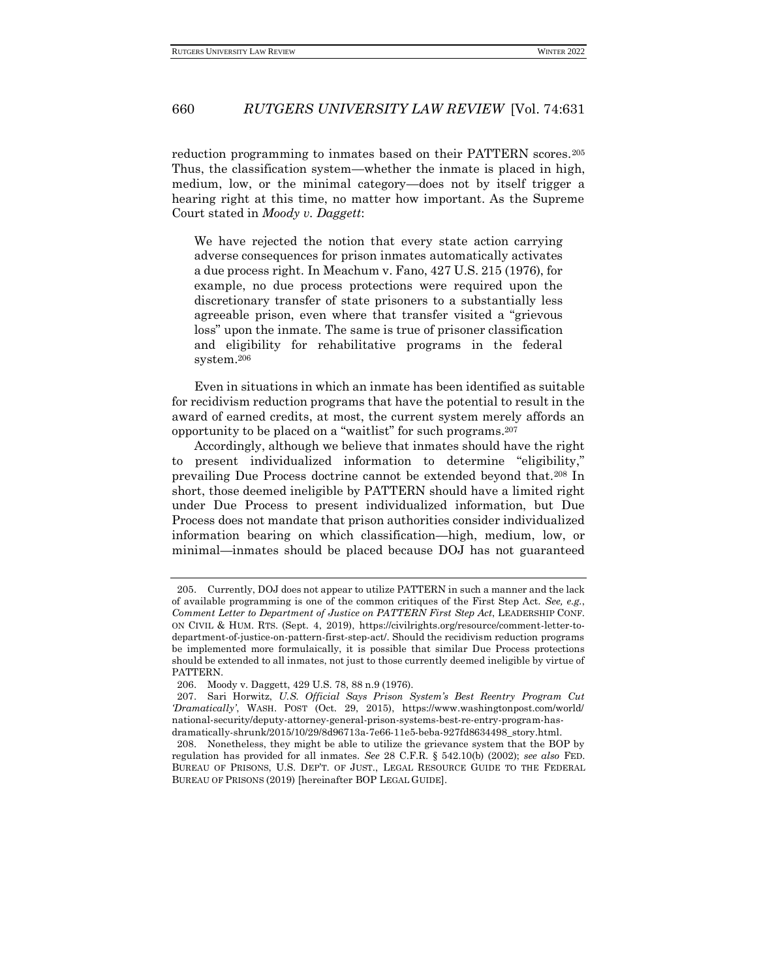reduction programming to inmates based on their PATTERN scores.<sup>205</sup> Thus, the classification system—whether the inmate is placed in high, medium, low, or the minimal category—does not by itself trigger a hearing right at this time, no matter how important. As the Supreme Court stated in *Moody v. Daggett*:

We have rejected the notion that every state action carrying adverse consequences for prison inmates automatically activates a due process right. In Meachum v. Fano, 427 U.S. 215 (1976), for example, no due process protections were required upon the discretionary transfer of state prisoners to a substantially less agreeable prison, even where that transfer visited a "grievous loss" upon the inmate. The same is true of prisoner classification and eligibility for rehabilitative programs in the federal system.<sup>206</sup>

Even in situations in which an inmate has been identified as suitable for recidivism reduction programs that have the potential to result in the award of earned credits, at most, the current system merely affords an opportunity to be placed on a "waitlist" for such programs.<sup>207</sup>

Accordingly, although we believe that inmates should have the right to present individualized information to determine "eligibility," prevailing Due Process doctrine cannot be extended beyond that.<sup>208</sup> In short, those deemed ineligible by PATTERN should have a limited right under Due Process to present individualized information, but Due Process does not mandate that prison authorities consider individualized information bearing on which classification—high, medium, low, or minimal—inmates should be placed because DOJ has not guaranteed

<sup>205.</sup> Currently, DOJ does not appear to utilize PATTERN in such a manner and the lack of available programming is one of the common critiques of the First Step Act. *See, e.g.*, *Comment Letter to Department of Justice on PATTERN First Step Act*, LEADERSHIP CONF. ON CIVIL & HUM. RTS. (Sept. 4, 2019), https://civilrights.org/resource/comment-letter-todepartment-of-justice-on-pattern-first-step-act/. Should the recidivism reduction programs be implemented more formulaically, it is possible that similar Due Process protections should be extended to all inmates, not just to those currently deemed ineligible by virtue of PATTERN.

<sup>206.</sup> Moody v. Daggett, 429 U.S. 78, 88 n.9 (1976).

<sup>207.</sup> Sari Horwitz, *U.S. Official Says Prison System's Best Reentry Program Cut 'Dramatically'*, WASH. POST (Oct. 29, 2015), https://www.washingtonpost.com/world/ national-security/deputy-attorney-general-prison-systems-best-re-entry-program-hasdramatically-shrunk/2015/10/29/8d96713a-7e66-11e5-beba-927fd8634498\_story.html.

<sup>208.</sup> Nonetheless, they might be able to utilize the grievance system that the BOP by regulation has provided for all inmates. *See* 28 C.F.R. § 542.10(b) (2002); *see also* FED. BUREAU OF PRISONS, U.S. DEP'T. OF JUST., LEGAL RESOURCE GUIDE TO THE FEDERAL BUREAU OF PRISONS (2019) [hereinafter BOP LEGAL GUIDE].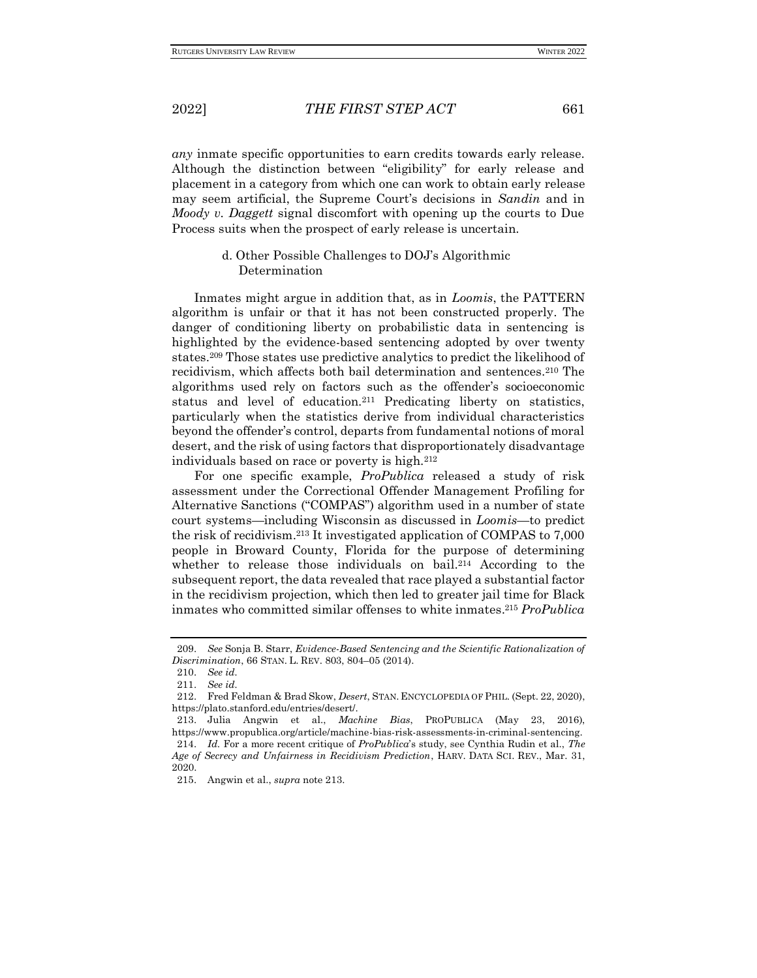*any* inmate specific opportunities to earn credits towards early release. Although the distinction between "eligibility" for early release and placement in a category from which one can work to obtain early release may seem artificial, the Supreme Court's decisions in *Sandin* and in *Moody v. Daggett* signal discomfort with opening up the courts to Due Process suits when the prospect of early release is uncertain.

### d. Other Possible Challenges to DOJ's Algorithmic Determination

Inmates might argue in addition that, as in *Loomis*, the PATTERN algorithm is unfair or that it has not been constructed properly. The danger of conditioning liberty on probabilistic data in sentencing is highlighted by the evidence-based sentencing adopted by over twenty states.<sup>209</sup> Those states use predictive analytics to predict the likelihood of recidivism, which affects both bail determination and sentences.<sup>210</sup> The algorithms used rely on factors such as the offender's socioeconomic status and level of education.<sup>211</sup> Predicating liberty on statistics, particularly when the statistics derive from individual characteristics beyond the offender's control, departs from fundamental notions of moral desert, and the risk of using factors that disproportionately disadvantage individuals based on race or poverty is high.<sup>212</sup>

For one specific example, *ProPublica* released a study of risk assessment under the Correctional Offender Management Profiling for Alternative Sanctions ("COMPAS") algorithm used in a number of state court systems—including Wisconsin as discussed in *Loomis—*to predict the risk of recidivism.<sup>213</sup> It investigated application of COMPAS to 7,000 people in Broward County, Florida for the purpose of determining whether to release those individuals on bail.<sup>214</sup> According to the subsequent report, the data revealed that race played a substantial factor in the recidivism projection, which then led to greater jail time for Black inmates who committed similar offenses to white inmates. <sup>215</sup> *ProPublica*

<sup>209.</sup> *See* Sonja B. Starr, *Evidence-Based Sentencing and the Scientific Rationalization of Discrimination*, 66 STAN. L. REV. 803, 804–05 (2014).

<sup>210.</sup> *See id.*

<sup>211.</sup> *See id.*

<sup>212.</sup> Fred Feldman & Brad Skow, *Desert*, STAN. ENCYCLOPEDIA OF PHIL. (Sept. 22, 2020), https://plato.stanford.edu/entries/desert/.

<sup>213.</sup> Julia Angwin et al., *Machine Bias*, PROPUBLICA (May 23, 2016), https://www.propublica.org/article/machine-bias-risk-assessments-in-criminal-sentencing. 214. *Id.* For a more recent critique of *ProPublica*'s study, see Cynthia Rudin et al., *The Age of Secrecy and Unfairness in Recidivism Prediction*, HARV. DATA SCI. REV., Mar. 31, 2020.

<sup>215.</sup> Angwin et al., *supra* note 213.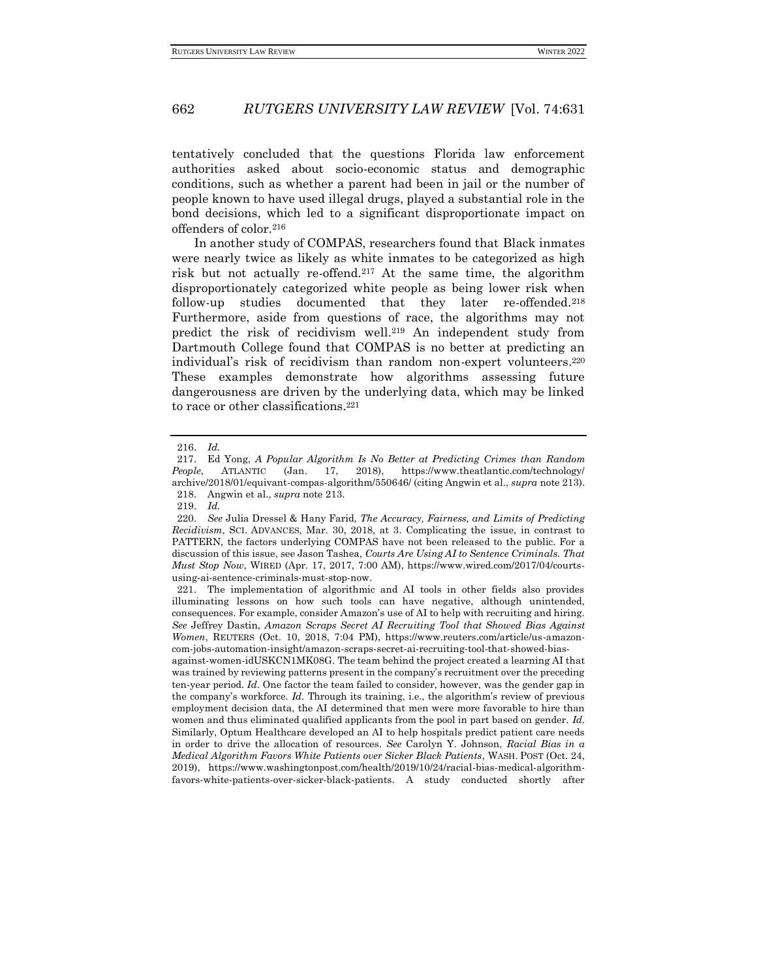tentatively concluded that the questions Florida law enforcement authorities asked about socio-economic status and demographic conditions, such as whether a parent had been in jail or the number of people known to have used illegal drugs, played a substantial role in the bond decisions, which led to a significant disproportionate impact on offenders of color.<sup>216</sup>

In another study of COMPAS, researchers found that Black inmates were nearly twice as likely as white inmates to be categorized as high risk but not actually re-offend.<sup>217</sup> At the same time, the algorithm disproportionately categorized white people as being lower risk when follow-up studies documented that they later re-offended.<sup>218</sup> Furthermore, aside from questions of race, the algorithms may not predict the risk of recidivism well.<sup>219</sup> An independent study from Dartmouth College found that COMPAS is no better at predicting an individual's risk of recidivism than random non-expert volunteers.<sup>220</sup> These examples demonstrate how algorithms assessing future dangerousness are driven by the underlying data, which may be linked to race or other classifications.<sup>221</sup>

against-women-idUSKCN1MK08G. The team behind the project created a learning AI that was trained by reviewing patterns present in the company's recruitment over the preceding ten-year period. *Id.* One factor the team failed to consider, however, was the gender gap in the company's workforce. *Id.* Through its training, i.e., the algorithm's review of previous employment decision data, the AI determined that men were more favorable to hire than women and thus eliminated qualified applicants from the pool in part based on gender. *Id.* Similarly, Optum Healthcare developed an AI to help hospitals predict patient care needs in order to drive the allocation of resources. *See* Carolyn Y. Johnson, *Racial Bias in a Medical Algorithm Favors White Patients over Sicker Black Patients*, WASH. POST (Oct. 24, 2019), https://www.washingtonpost.com/health/2019/10/24/racial-bias-medical-algorithmfavors-white-patients-over-sicker-black-patients. A study conducted shortly after

<sup>216.</sup> *Id.*

<sup>217.</sup> Ed Yong, *A Popular Algorithm Is No Better at Predicting Crimes than Random People*, ATLANTIC (Jan. 17, 2018), https://www.theatlantic.com/technology/ archive/2018/01/equivant-compas-algorithm/550646/ (citing Angwin et al., *supra* note 213). 218. Angwin et al., *supra* note 213.

<sup>219.</sup> *Id.*

<sup>220.</sup> *See* Julia Dressel & Hany Farid, *The Accuracy, Fairness, and Limits of Predicting Recidivism*, SCI. ADVANCES, Mar. 30, 2018, at 3. Complicating the issue, in contrast to PATTERN, the factors underlying COMPAS have not been released to the public. For a discussion of this issue, see Jason Tashea, *Courts Are Using AI to Sentence Criminals. That Must Stop Now*, WIRED (Apr. 17, 2017, 7:00 AM), https://www.wired.com/2017/04/courtsusing-ai-sentence-criminals-must-stop-now.

<sup>221.</sup> The implementation of algorithmic and AI tools in other fields also provides illuminating lessons on how such tools can have negative, although unintended, consequences. For example, consider Amazon's use of AI to help with recruiting and hiring. *See* Jeffrey Dastin, *Amazon Scraps Secret AI Recruiting Tool that Showed Bias Against Women*, REUTERS (Oct. 10, 2018, 7:04 PM), https://www.reuters.com/article/us-amazoncom-jobs-automation-insight/amazon-scraps-secret-ai-recruiting-tool-that-showed-bias-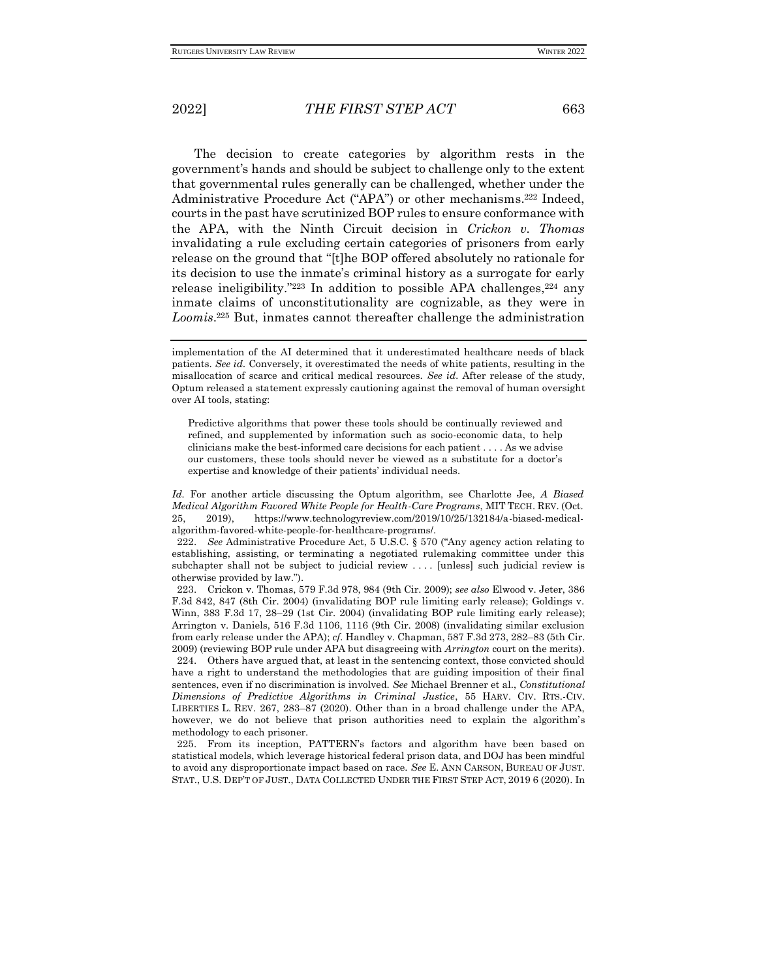The decision to create categories by algorithm rests in the government's hands and should be subject to challenge only to the extent that governmental rules generally can be challenged, whether under the Administrative Procedure Act ("APA") or other mechanisms. <sup>222</sup> Indeed, courts in the past have scrutinized BOP rules to ensure conformance with the APA, with the Ninth Circuit decision in *Crickon v. Thomas*  invalidating a rule excluding certain categories of prisoners from early release on the ground that "[t]he BOP offered absolutely no rationale for its decision to use the inmate's criminal history as a surrogate for early release ineligibility." $223$  In addition to possible APA challenges, $224$  any inmate claims of unconstitutionality are cognizable, as they were in *Loomis*. <sup>225</sup> But, inmates cannot thereafter challenge the administration

*Id.* For another article discussing the Optum algorithm, see Charlotte Jee, *A Biased Medical Algorithm Favored White People for Health-Care Programs*, MIT TECH. REV. (Oct. 25, 2019), https://www.technologyreview.com/2019/10/25/132184/a-biased-medicalalgorithm-favored-white-people-for-healthcare-programs/.

222. *See* Administrative Procedure Act, 5 U.S.C. § 570 ("Any agency action relating to establishing, assisting, or terminating a negotiated rulemaking committee under this subchapter shall not be subject to judicial review . . . . [unless] such judicial review is otherwise provided by law.").

223. Crickon v. Thomas, 579 F.3d 978, 984 (9th Cir. 2009); *see also* Elwood v. Jeter, 386 F.3d 842, 847 (8th Cir. 2004) (invalidating BOP rule limiting early release); Goldings v. Winn, 383 F.3d 17, 28–29 (1st Cir. 2004) (invalidating BOP rule limiting early release); Arrington v. Daniels, 516 F.3d 1106, 1116 (9th Cir. 2008) (invalidating similar exclusion from early release under the APA); *cf.* Handley v. Chapman, 587 F.3d 273, 282–83 (5th Cir. 2009) (reviewing BOP rule under APA but disagreeing with *Arrington* court on the merits). 224. Others have argued that, at least in the sentencing context, those convicted should have a right to understand the methodologies that are guiding imposition of their final sentences, even if no discrimination is involved. *See* Michael Brenner et al., *Constitutional Dimensions of Predictive Algorithms in Criminal Justice*, 55 HARV. CIV. RTS.-CIV. LIBERTIES L. REV. 267, 283–87 (2020). Other than in a broad challenge under the APA, however, we do not believe that prison authorities need to explain the algorithm's

methodology to each prisoner. 225. From its inception, PATTERN's factors and algorithm have been based on statistical models, which leverage historical federal prison data, and DOJ has been mindful to avoid any disproportionate impact based on race. *See* E. ANN CARSON, BUREAU OF JUST. STAT., U.S. DEP'T OF JUST., DATA COLLECTED UNDER THE FIRST STEP ACT, 2019 6 (2020). In

implementation of the AI determined that it underestimated healthcare needs of black patients. *See id.* Conversely, it overestimated the needs of white patients, resulting in the misallocation of scarce and critical medical resources. *See id.* After release of the study, Optum released a statement expressly cautioning against the removal of human oversight over AI tools, stating:

Predictive algorithms that power these tools should be continually reviewed and refined, and supplemented by information such as socio-economic data, to help clinicians make the best-informed care decisions for each patient . . . . As we advise our customers, these tools should never be viewed as a substitute for a doctor's expertise and knowledge of their patients' individual needs.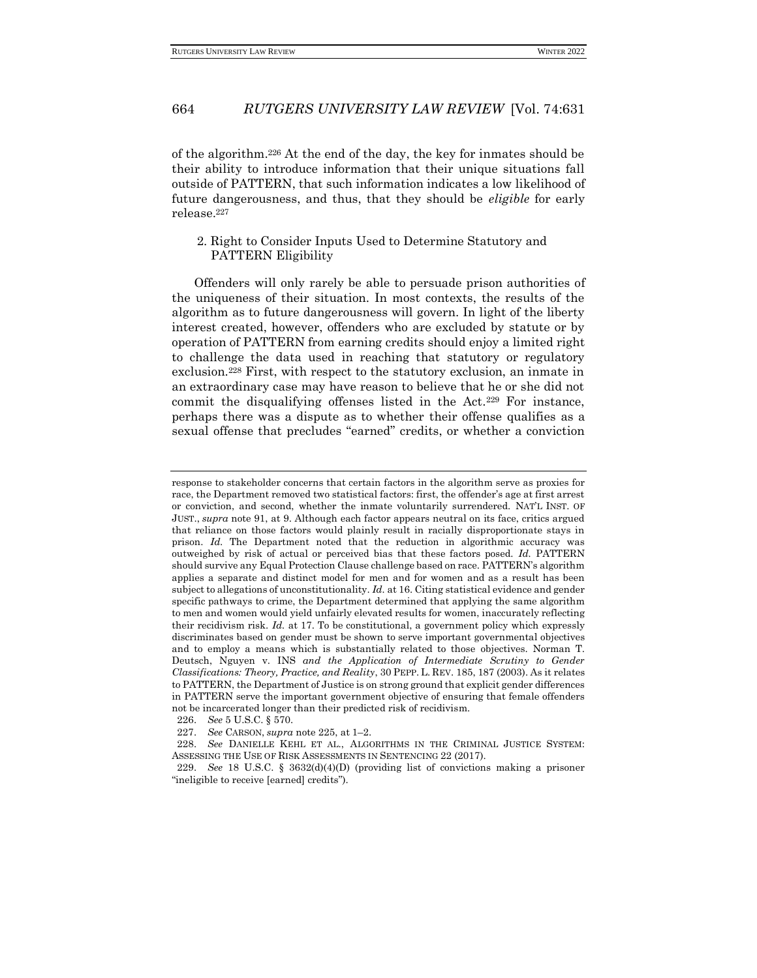of the algorithm.<sup>226</sup> At the end of the day, the key for inmates should be their ability to introduce information that their unique situations fall outside of PATTERN, that such information indicates a low likelihood of future dangerousness, and thus, that they should be *eligible* for early release.<sup>227</sup>

### 2. Right to Consider Inputs Used to Determine Statutory and PATTERN Eligibility

Offenders will only rarely be able to persuade prison authorities of the uniqueness of their situation. In most contexts, the results of the algorithm as to future dangerousness will govern. In light of the liberty interest created, however, offenders who are excluded by statute or by operation of PATTERN from earning credits should enjoy a limited right to challenge the data used in reaching that statutory or regulatory exclusion.<sup>228</sup> First, with respect to the statutory exclusion, an inmate in an extraordinary case may have reason to believe that he or she did not commit the disqualifying offenses listed in the Act.<sup>229</sup> For instance, perhaps there was a dispute as to whether their offense qualifies as a sexual offense that precludes "earned" credits, or whether a conviction

response to stakeholder concerns that certain factors in the algorithm serve as proxies for race, the Department removed two statistical factors: first, the offender's age at first arrest or conviction, and second, whether the inmate voluntarily surrendered. NAT'L INST. OF JUST., *supra* note 91, at 9. Although each factor appears neutral on its face, critics argued that reliance on those factors would plainly result in racially disproportionate stays in prison. *Id.* The Department noted that the reduction in algorithmic accuracy was outweighed by risk of actual or perceived bias that these factors posed. *Id.* PATTERN should survive any Equal Protection Clause challenge based on race. PATTERN's algorithm applies a separate and distinct model for men and for women and as a result has been subject to allegations of unconstitutionality. *Id.* at 16. Citing statistical evidence and gender specific pathways to crime, the Department determined that applying the same algorithm to men and women would yield unfairly elevated results for women, inaccurately reflecting their recidivism risk. *Id.* at 17. To be constitutional, a government policy which expressly discriminates based on gender must be shown to serve important governmental objectives and to employ a means which is substantially related to those objectives. Norman T. Deutsch, Nguyen v. INS *and the Application of Intermediate Scrutiny to Gender Classifications: Theory, Practice, and Reality*, 30 PEPP. L. REV. 185, 187 (2003). As it relates to PATTERN, the Department of Justice is on strong ground that explicit gender differences in PATTERN serve the important government objective of ensuring that female offenders not be incarcerated longer than their predicted risk of recidivism.

<sup>226.</sup> *See* 5 U.S.C. § 570.

<sup>227.</sup> *See* CARSON, *supra* note 225, at 1–2.

<sup>228.</sup> *See* DANIELLE KEHL ET AL., ALGORITHMS IN THE CRIMINAL JUSTICE SYSTEM: ASSESSING THE USE OF RISK ASSESSMENTS IN SENTENCING 22 (2017).

<sup>229.</sup> *See* 18 U.S.C. § 3632(d)(4)(D) (providing list of convictions making a prisoner "ineligible to receive [earned] credits").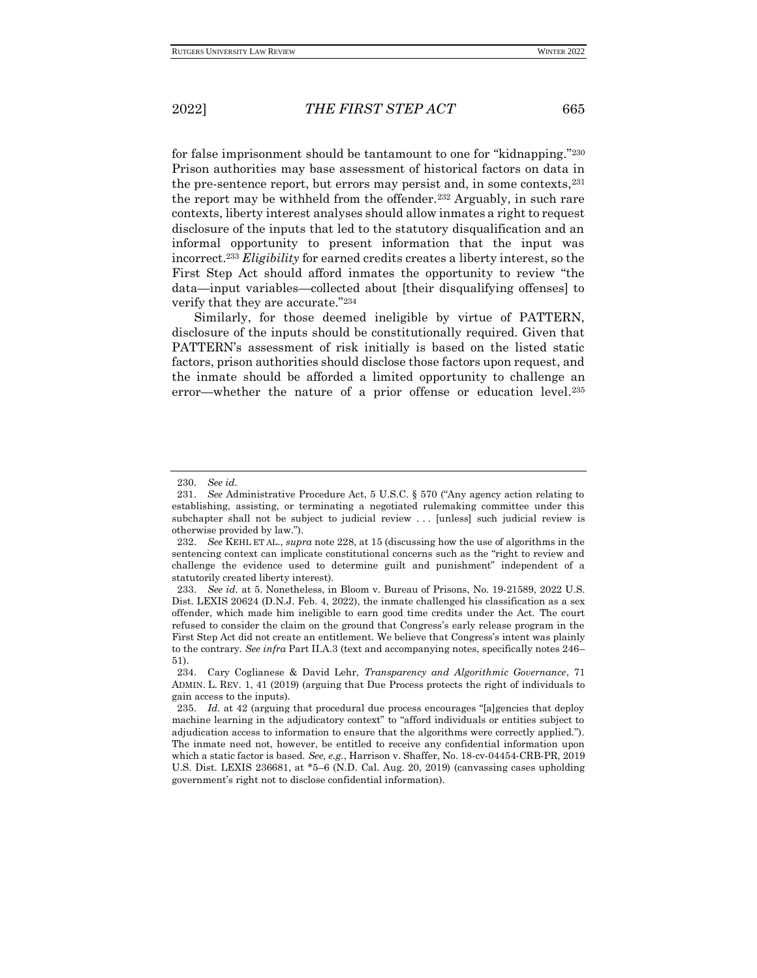for false imprisonment should be tantamount to one for "kidnapping."<sup>230</sup> Prison authorities may base assessment of historical factors on data in the pre-sentence report, but errors may persist and, in some contexts, <sup>231</sup> the report may be withheld from the offender.<sup>232</sup> Arguably, in such rare contexts, liberty interest analyses should allow inmates a right to request disclosure of the inputs that led to the statutory disqualification and an informal opportunity to present information that the input was incorrect.<sup>233</sup> *Eligibility* for earned credits creates a liberty interest, so the First Step Act should afford inmates the opportunity to review "the data—input variables—collected about [their disqualifying offenses] to verify that they are accurate."<sup>234</sup>

Similarly, for those deemed ineligible by virtue of PATTERN, disclosure of the inputs should be constitutionally required. Given that PATTERN's assessment of risk initially is based on the listed static factors, prison authorities should disclose those factors upon request, and the inmate should be afforded a limited opportunity to challenge an error—whether the nature of a prior offense or education level.<sup>235</sup>

<sup>230.</sup> *See id.*

<sup>231.</sup> *See* Administrative Procedure Act, 5 U.S.C. § 570 ("Any agency action relating to establishing, assisting, or terminating a negotiated rulemaking committee under this subchapter shall not be subject to judicial review ... [unless] such judicial review is otherwise provided by law.").

<sup>232.</sup> *See* KEHL ET AL., *supra* note 228, at 15 (discussing how the use of algorithms in the sentencing context can implicate constitutional concerns such as the "right to review and challenge the evidence used to determine guilt and punishment" independent of a statutorily created liberty interest).

<sup>233.</sup> *See id.* at 5. Nonetheless, in Bloom v. Bureau of Prisons, No. 19-21589, 2022 U.S. Dist. LEXIS 20624 (D.N.J. Feb. 4, 2022), the inmate challenged his classification as a sex offender, which made him ineligible to earn good time credits under the Act. The court refused to consider the claim on the ground that Congress's early release program in the First Step Act did not create an entitlement. We believe that Congress's intent was plainly to the contrary. *See infra* Part II.A.3 (text and accompanying notes, specifically notes 246– 51).

<sup>234.</sup> Cary Coglianese & David Lehr, *Transparency and Algorithmic Governance*, 71 ADMIN. L. REV. 1, 41 (2019) (arguing that Due Process protects the right of individuals to gain access to the inputs).

<sup>235.</sup> *Id.* at 42 (arguing that procedural due process encourages "[a]gencies that deploy machine learning in the adjudicatory context" to "afford individuals or entities subject to adjudication access to information to ensure that the algorithms were correctly applied."). The inmate need not, however, be entitled to receive any confidential information upon which a static factor is based. *See, e.g.*, Harrison v. Shaffer, No. 18-cv-04454-CRB-PR, 2019 U.S. Dist. LEXIS 236681, at \*5–6 (N.D. Cal. Aug. 20, 2019) (canvassing cases upholding government's right not to disclose confidential information).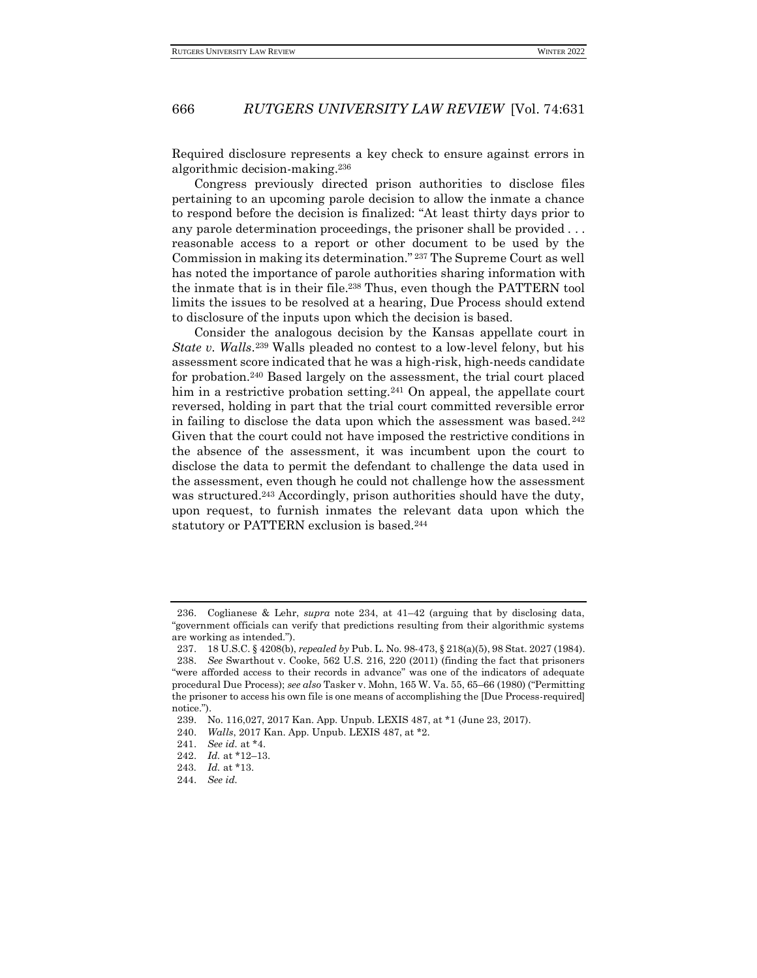Required disclosure represents a key check to ensure against errors in algorithmic decision-making.<sup>236</sup>

Congress previously directed prison authorities to disclose files pertaining to an upcoming parole decision to allow the inmate a chance to respond before the decision is finalized: "At least thirty days prior to any parole determination proceedings, the prisoner shall be provided . . . reasonable access to a report or other document to be used by the Commission in making its determination." <sup>237</sup> The Supreme Court as well has noted the importance of parole authorities sharing information with the inmate that is in their file.<sup>238</sup> Thus, even though the PATTERN tool limits the issues to be resolved at a hearing, Due Process should extend to disclosure of the inputs upon which the decision is based.

Consider the analogous decision by the Kansas appellate court in *State v. Walls*. <sup>239</sup> Walls pleaded no contest to a low-level felony, but his assessment score indicated that he was a high-risk, high-needs candidate for probation.<sup>240</sup> Based largely on the assessment, the trial court placed him in a restrictive probation setting.<sup>241</sup> On appeal, the appellate court reversed, holding in part that the trial court committed reversible error in failing to disclose the data upon which the assessment was based. $242$ Given that the court could not have imposed the restrictive conditions in the absence of the assessment, it was incumbent upon the court to disclose the data to permit the defendant to challenge the data used in the assessment, even though he could not challenge how the assessment was structured.<sup>243</sup> Accordingly, prison authorities should have the duty, upon request, to furnish inmates the relevant data upon which the statutory or PATTERN exclusion is based.<sup>244</sup>

<sup>236.</sup> Coglianese & Lehr, *supra* note 234, at 41–42 (arguing that by disclosing data, "government officials can verify that predictions resulting from their algorithmic systems are working as intended.").

<sup>237.</sup> 18 U.S.C. § 4208(b), *repealed by* Pub. L. No. 98-473, § 218(a)(5), 98 Stat. 2027 (1984).

<sup>238.</sup> *See* Swarthout v. Cooke, 562 U.S. 216, 220 (2011) (finding the fact that prisoners "were afforded access to their records in advance" was one of the indicators of adequate procedural Due Process); *see also* Tasker v. Mohn, 165 W. Va. 55, 65–66 (1980) ("Permitting the prisoner to access his own file is one means of accomplishing the [Due Process-required] notice.").

<sup>239.</sup> No. 116,027, 2017 Kan. App. Unpub. LEXIS 487, at \*1 (June 23, 2017).

<sup>240.</sup> *Walls*, 2017 Kan. App. Unpub. LEXIS 487, at \*2.

<sup>241.</sup> *See id.* at \*4.

<sup>242.</sup> *Id.* at \*12–13.

<sup>243</sup>*. Id.* at \*13.

<sup>244.</sup> *See id.*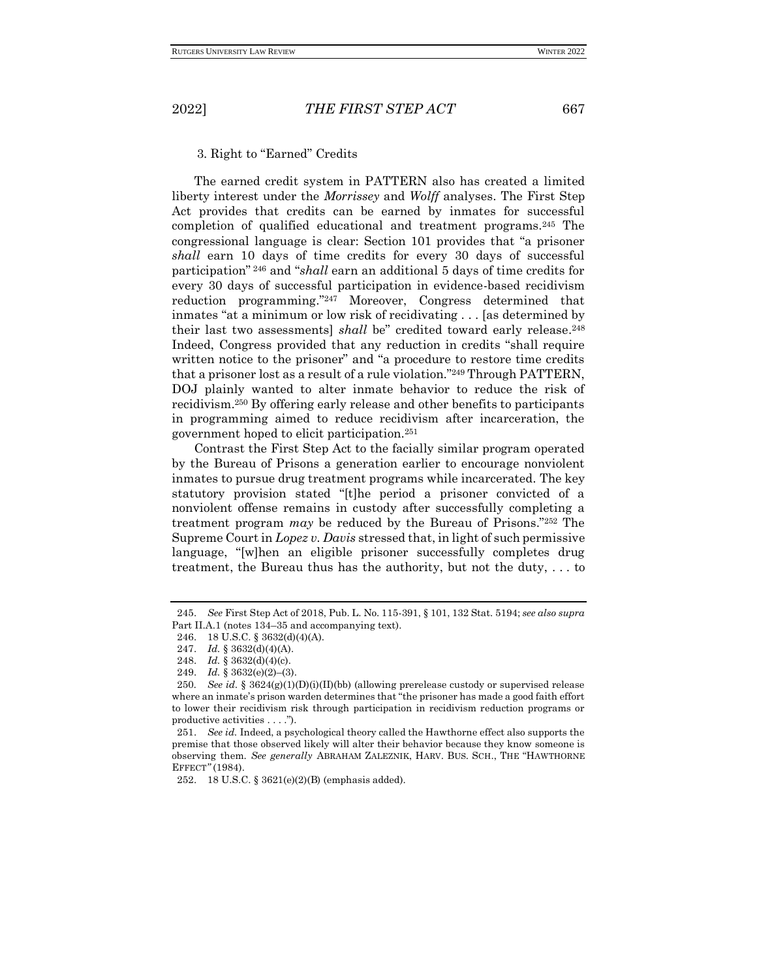3. Right to "Earned" Credits

The earned credit system in PATTERN also has created a limited liberty interest under the *Morrissey* and *Wolff* analyses. The First Step Act provides that credits can be earned by inmates for successful completion of qualified educational and treatment programs.<sup>245</sup> The congressional language is clear: Section 101 provides that "a prisoner *shall* earn 10 days of time credits for every 30 days of successful participation" <sup>246</sup> and "*shall* earn an additional 5 days of time credits for every 30 days of successful participation in evidence-based recidivism reduction programming."<sup>247</sup> Moreover, Congress determined that inmates "at a minimum or low risk of recidivating . . . [as determined by their last two assessments] *shall* be" credited toward early release. 248 Indeed, Congress provided that any reduction in credits "shall require written notice to the prisoner" and "a procedure to restore time credits that a prisoner lost as a result of a rule violation."<sup>249</sup> Through PATTERN, DOJ plainly wanted to alter inmate behavior to reduce the risk of recidivism.<sup>250</sup> By offering early release and other benefits to participants in programming aimed to reduce recidivism after incarceration, the government hoped to elicit participation.<sup>251</sup>

Contrast the First Step Act to the facially similar program operated by the Bureau of Prisons a generation earlier to encourage nonviolent inmates to pursue drug treatment programs while incarcerated. The key statutory provision stated "[t]he period a prisoner convicted of a nonviolent offense remains in custody after successfully completing a treatment program *may* be reduced by the Bureau of Prisons."<sup>252</sup> The Supreme Court in *Lopez v. Davis* stressed that, in light of such permissive language, "[w]hen an eligible prisoner successfully completes drug treatment, the Bureau thus has the authority, but not the duty, . . . to

<sup>245.</sup> *See* First Step Act of 2018, Pub. L. No. 115-391, § 101, 132 Stat. 5194; *see also supra* Part II.A.1 (notes 134–35 and accompanying text).

<sup>246.</sup> 18 U.S.C. § 3632(d)(4)(A).

<sup>247.</sup> *Id.* § 3632(d)(4)(A).

<sup>248.</sup> *Id.* § 3632(d)(4)(c).

<sup>249.</sup> *Id.* § 3632(e)(2)–(3).

<sup>250</sup>*. See id.* § 3624(g)(1)(D)(i)(II)(bb) (allowing prerelease custody or supervised release where an inmate's prison warden determines that "the prisoner has made a good faith effort to lower their recidivism risk through participation in recidivism reduction programs or productive activities . . . .").

<sup>251.</sup> *See id.* Indeed, a psychological theory called the Hawthorne effect also supports the premise that those observed likely will alter their behavior because they know someone is observing them. *See generally* ABRAHAM ZALEZNIK, HARV. BUS. SCH., THE "HAWTHORNE EFFECT*"* (1984).

<sup>252.</sup> 18 U.S.C. § 3621(e)(2)(B) (emphasis added).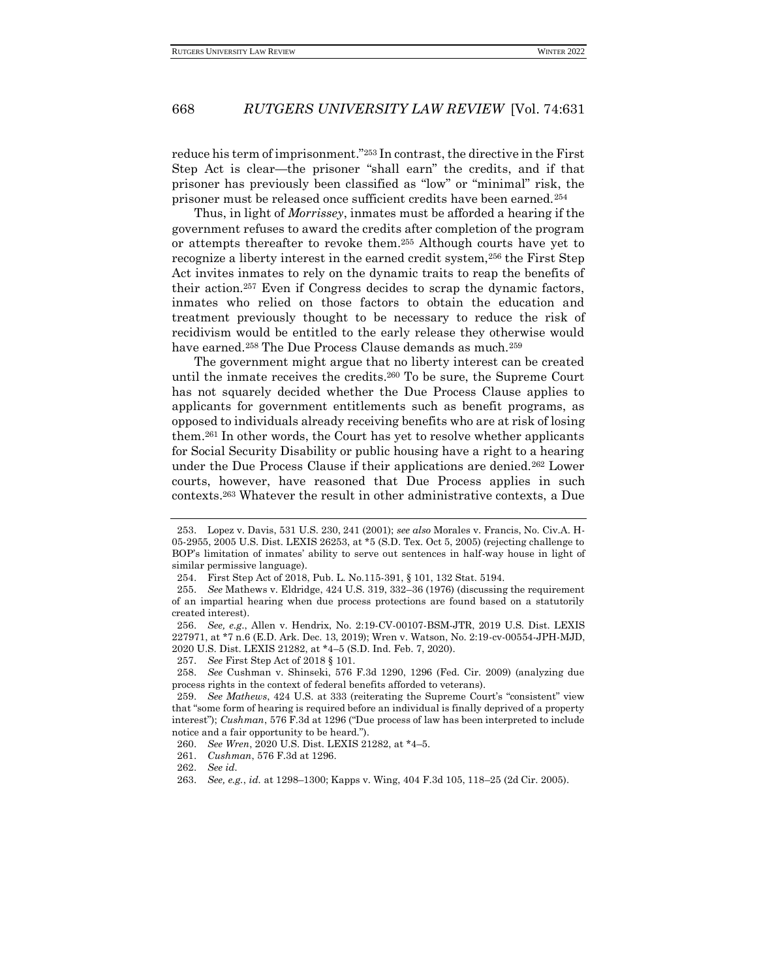reduce his term of imprisonment."<sup>253</sup> In contrast, the directive in the First Step Act is clear—the prisoner "shall earn" the credits, and if that prisoner has previously been classified as "low" or "minimal" risk, the prisoner must be released once sufficient credits have been earned.<sup>254</sup>

Thus, in light of *Morrissey*, inmates must be afforded a hearing if the government refuses to award the credits after completion of the program or attempts thereafter to revoke them.<sup>255</sup> Although courts have yet to recognize a liberty interest in the earned credit system,<sup>256</sup> the First Step Act invites inmates to rely on the dynamic traits to reap the benefits of their action.<sup>257</sup> Even if Congress decides to scrap the dynamic factors, inmates who relied on those factors to obtain the education and treatment previously thought to be necessary to reduce the risk of recidivism would be entitled to the early release they otherwise would have earned.<sup>258</sup> The Due Process Clause demands as much.<sup>259</sup>

The government might argue that no liberty interest can be created until the inmate receives the credits.<sup>260</sup> To be sure, the Supreme Court has not squarely decided whether the Due Process Clause applies to applicants for government entitlements such as benefit programs, as opposed to individuals already receiving benefits who are at risk of losing them.<sup>261</sup> In other words, the Court has yet to resolve whether applicants for Social Security Disability or public housing have a right to a hearing under the Due Process Clause if their applications are denied.<sup>262</sup> Lower courts, however, have reasoned that Due Process applies in such contexts.<sup>263</sup> Whatever the result in other administrative contexts, a Due

<sup>253.</sup> Lopez v. Davis, 531 U.S. 230, 241 (2001); *see also* Morales v. Francis, No. Civ.A. H-05-2955, 2005 U.S. Dist. LEXIS 26253, at \*5 (S.D. Tex. Oct 5, 2005) (rejecting challenge to BOP's limitation of inmates' ability to serve out sentences in half-way house in light of similar permissive language).

<sup>254.</sup> First Step Act of 2018, Pub. L. No.115-391, § 101, 132 Stat. 5194.

<sup>255.</sup> *See* Mathews v. Eldridge, 424 U.S. 319, 332–36 (1976) (discussing the requirement of an impartial hearing when due process protections are found based on a statutorily created interest).

<sup>256.</sup> *See, e.g*., Allen v. Hendrix, No. 2:19-CV-00107-BSM-JTR, 2019 U.S. Dist. LEXIS 227971, at \*7 n.6 (E.D. Ark. Dec. 13, 2019); Wren v. Watson, No. 2:19-cv-00554-JPH-MJD, 2020 U.S. Dist. LEXIS 21282, at \*4–5 (S.D. Ind. Feb. 7, 2020).

<sup>257.</sup> *See* First Step Act of 2018 § 101.

<sup>258.</sup> *See* Cushman v. Shinseki, 576 F.3d 1290, 1296 (Fed. Cir. 2009) (analyzing due process rights in the context of federal benefits afforded to veterans).

<sup>259.</sup> *See Mathews*, 424 U.S. at 333 (reiterating the Supreme Court's "consistent" view that "some form of hearing is required before an individual is finally deprived of a property interest"); *Cushman*, 576 F.3d at 1296 ("Due process of law has been interpreted to include notice and a fair opportunity to be heard.").

<sup>260.</sup> *See Wren*, 2020 U.S. Dist. LEXIS 21282, at \*4–5.

<sup>261.</sup> *Cushman*, 576 F.3d at 1296.

<sup>262.</sup> *See id.*

<sup>263.</sup> *See, e.g.*, *id.* at 1298–1300; Kapps v. Wing, 404 F.3d 105, 118–25 (2d Cir. 2005).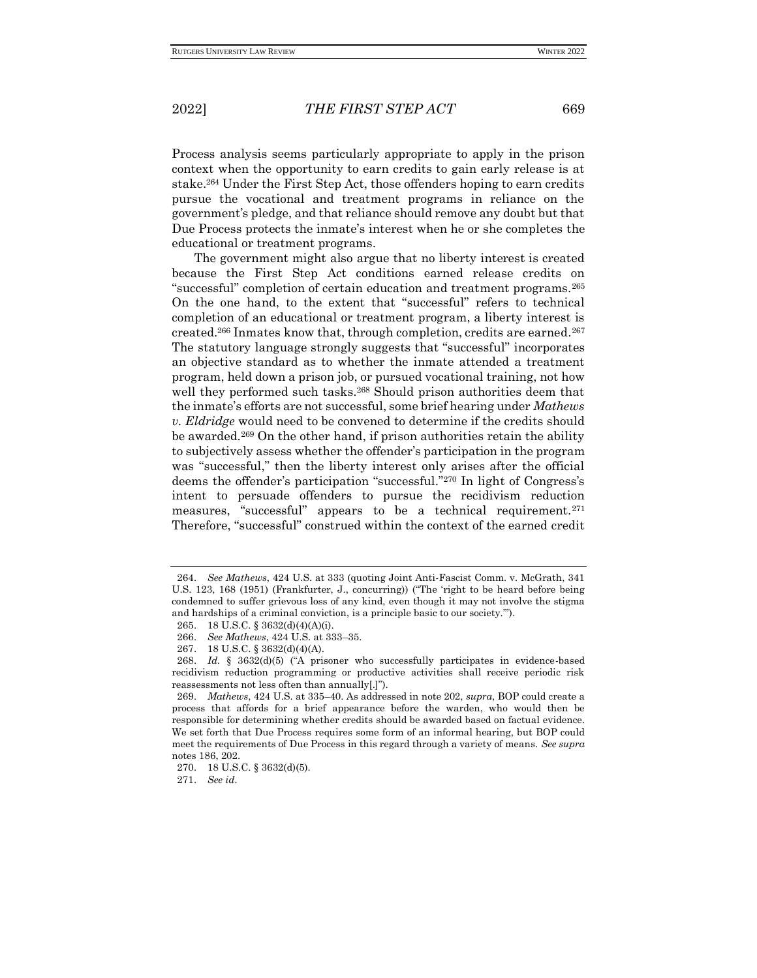Process analysis seems particularly appropriate to apply in the prison context when the opportunity to earn credits to gain early release is at stake.<sup>264</sup> Under the First Step Act, those offenders hoping to earn credits pursue the vocational and treatment programs in reliance on the government's pledge, and that reliance should remove any doubt but that Due Process protects the inmate's interest when he or she completes the educational or treatment programs.

The government might also argue that no liberty interest is created because the First Step Act conditions earned release credits on "successful" completion of certain education and treatment programs.<sup>265</sup> On the one hand, to the extent that "successful" refers to technical completion of an educational or treatment program, a liberty interest is created.<sup>266</sup> Inmates know that, through completion, credits are earned.<sup>267</sup> The statutory language strongly suggests that "successful" incorporates an objective standard as to whether the inmate attended a treatment program, held down a prison job, or pursued vocational training, not how well they performed such tasks.<sup>268</sup> Should prison authorities deem that the inmate's efforts are not successful, some brief hearing under *Mathews v. Eldridge* would need to be convened to determine if the credits should be awarded.<sup>269</sup> On the other hand, if prison authorities retain the ability to subjectively assess whether the offender's participation in the program was "successful," then the liberty interest only arises after the official deems the offender's participation "successful."<sup>270</sup> In light of Congress's intent to persuade offenders to pursue the recidivism reduction measures, "successful" appears to be a technical requirement.<sup>271</sup> Therefore, "successful" construed within the context of the earned credit

271. *See id.* 

<sup>264.</sup> *See Mathews*, 424 U.S. at 333 (quoting Joint Anti-Fascist Comm. v. McGrath, 341 U.S. 123, 168 (1951) (Frankfurter, J., concurring)) ("The 'right to be heard before being condemned to suffer grievous loss of any kind, even though it may not involve the stigma and hardships of a criminal conviction, is a principle basic to our society.'").

<sup>265.</sup> 18 U.S.C. § 3632(d)(4)(A)(i).

<sup>266.</sup> *See Mathews*, 424 U.S. at 333–35.

<sup>267.</sup> 18 U.S.C. § 3632(d)(4)(A).

<sup>268.</sup> *Id.* § 3632(d)(5) ("A prisoner who successfully participates in evidence-based recidivism reduction programming or productive activities shall receive periodic risk reassessments not less often than annually[.]").

<sup>269.</sup> *Mathews*, 424 U.S. at 335–40. As addressed in note 202, *supra*, BOP could create a process that affords for a brief appearance before the warden, who would then be responsible for determining whether credits should be awarded based on factual evidence. We set forth that Due Process requires some form of an informal hearing, but BOP could meet the requirements of Due Process in this regard through a variety of means. *See supra*  notes 186, 202.

<sup>270.</sup> 18 U.S.C. § 3632(d)(5).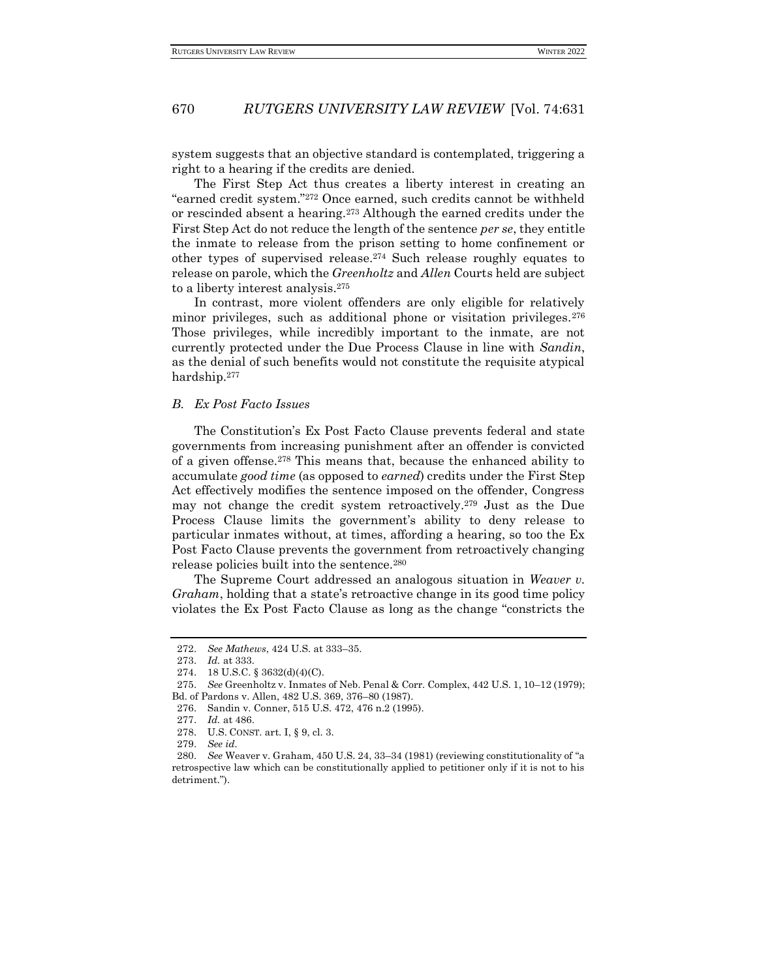system suggests that an objective standard is contemplated, triggering a right to a hearing if the credits are denied.

The First Step Act thus creates a liberty interest in creating an "earned credit system."<sup>272</sup> Once earned, such credits cannot be withheld or rescinded absent a hearing.<sup>273</sup> Although the earned credits under the First Step Act do not reduce the length of the sentence *per se*, they entitle the inmate to release from the prison setting to home confinement or other types of supervised release.<sup>274</sup> Such release roughly equates to release on parole, which the *Greenholtz* and *Allen* Courts held are subject to a liberty interest analysis.<sup>275</sup>

In contrast, more violent offenders are only eligible for relatively minor privileges, such as additional phone or visitation privileges.<sup>276</sup> Those privileges, while incredibly important to the inmate, are not currently protected under the Due Process Clause in line with *Sandin*, as the denial of such benefits would not constitute the requisite atypical hardship.<sup>277</sup>

#### *B. Ex Post Facto Issues*

The Constitution's Ex Post Facto Clause prevents federal and state governments from increasing punishment after an offender is convicted of a given offense.<sup>278</sup> This means that, because the enhanced ability to accumulate *good time* (as opposed to *earned*) credits under the First Step Act effectively modifies the sentence imposed on the offender, Congress may not change the credit system retroactively.<sup>279</sup> Just as the Due Process Clause limits the government's ability to deny release to particular inmates without, at times, affording a hearing, so too the Ex Post Facto Clause prevents the government from retroactively changing release policies built into the sentence.<sup>280</sup>

The Supreme Court addressed an analogous situation in *Weaver v. Graham*, holding that a state's retroactive change in its good time policy violates the Ex Post Facto Clause as long as the change "constricts the

<sup>272.</sup> *See Mathews*, 424 U.S. at 333–35.

<sup>273.</sup> *Id.* at 333.

<sup>274.</sup> 18 U.S.C. § 3632(d)(4)(C).

<sup>275.</sup> *See* Greenholtz v. Inmates of Neb. Penal & Corr. Complex, 442 U.S. 1, 10–12 (1979);

Bd. of Pardons v. Allen, 482 U.S. 369, 376–80 (1987).

<sup>276.</sup> Sandin v. Conner, 515 U.S. 472, 476 n.2 (1995).

<sup>277.</sup> *Id.* at 486.

<sup>278.</sup> U.S. CONST. art. I, § 9, cl. 3.

<sup>279.</sup> *See id.*

<sup>280.</sup> *See* Weaver v. Graham, 450 U.S. 24, 33–34 (1981) (reviewing constitutionality of "a retrospective law which can be constitutionally applied to petitioner only if it is not to his detriment.").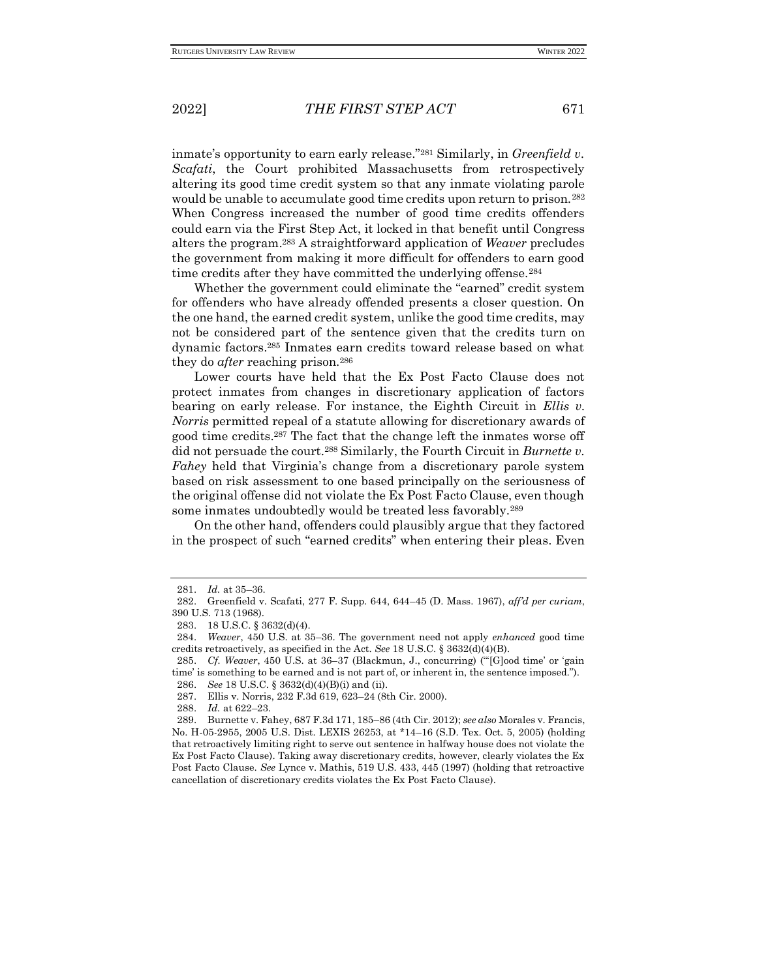inmate's opportunity to earn early release."<sup>281</sup> Similarly, in *Greenfield v. Scafati*, the Court prohibited Massachusetts from retrospectively altering its good time credit system so that any inmate violating parole would be unable to accumulate good time credits upon return to prison.<sup>282</sup> When Congress increased the number of good time credits offenders could earn via the First Step Act, it locked in that benefit until Congress alters the program.<sup>283</sup> A straightforward application of *Weaver* precludes the government from making it more difficult for offenders to earn good time credits after they have committed the underlying offense.<sup>284</sup>

Whether the government could eliminate the "earned" credit system for offenders who have already offended presents a closer question. On the one hand, the earned credit system, unlike the good time credits, may not be considered part of the sentence given that the credits turn on dynamic factors.<sup>285</sup> Inmates earn credits toward release based on what they do *after* reaching prison.<sup>286</sup>

Lower courts have held that the Ex Post Facto Clause does not protect inmates from changes in discretionary application of factors bearing on early release. For instance, the Eighth Circuit in *Ellis v. Norris* permitted repeal of a statute allowing for discretionary awards of good time credits.<sup>287</sup> The fact that the change left the inmates worse off did not persuade the court.<sup>288</sup> Similarly, the Fourth Circuit in *Burnette v. Fahey* held that Virginia's change from a discretionary parole system based on risk assessment to one based principally on the seriousness of the original offense did not violate the Ex Post Facto Clause, even though some inmates undoubtedly would be treated less favorably.<sup>289</sup>

On the other hand, offenders could plausibly argue that they factored in the prospect of such "earned credits" when entering their pleas. Even

<sup>281.</sup> *Id.* at 35–36.

<sup>282.</sup> Greenfield v. Scafati, 277 F. Supp. 644, 644–45 (D. Mass. 1967), *aff'd per curiam*, 390 U.S. 713 (1968).

<sup>283.</sup> 18 U.S.C. § 3632(d)(4).

<sup>284.</sup> *Weaver*, 450 U.S. at 35–36. The government need not apply *enhanced* good time credits retroactively, as specified in the Act. *See* 18 U.S.C. § 3632(d)(4)(B).

<sup>285.</sup> *Cf. Weaver*, 450 U.S. at 36–37 (Blackmun, J., concurring) ("'[G]ood time' or 'gain time' is something to be earned and is not part of, or inherent in, the sentence imposed."). 286. *See* 18 U.S.C. § 3632(d)(4)(B)(i) and (ii).

<sup>287.</sup> Ellis v. Norris, 232 F.3d 619, 623–24 (8th Cir. 2000).

<sup>288.</sup> *Id.* at 622–23.

<sup>289.</sup> Burnette v. Fahey, 687 F.3d 171, 185–86 (4th Cir. 2012); *see also* Morales v. Francis, No. H-05-2955, 2005 U.S. Dist. LEXIS 26253, at \*14–16 (S.D. Tex. Oct. 5, 2005) (holding that retroactively limiting right to serve out sentence in halfway house does not violate the Ex Post Facto Clause). Taking away discretionary credits, however, clearly violates the Ex Post Facto Clause. *See* Lynce v. Mathis, 519 U.S. 433, 445 (1997) (holding that retroactive cancellation of discretionary credits violates the Ex Post Facto Clause).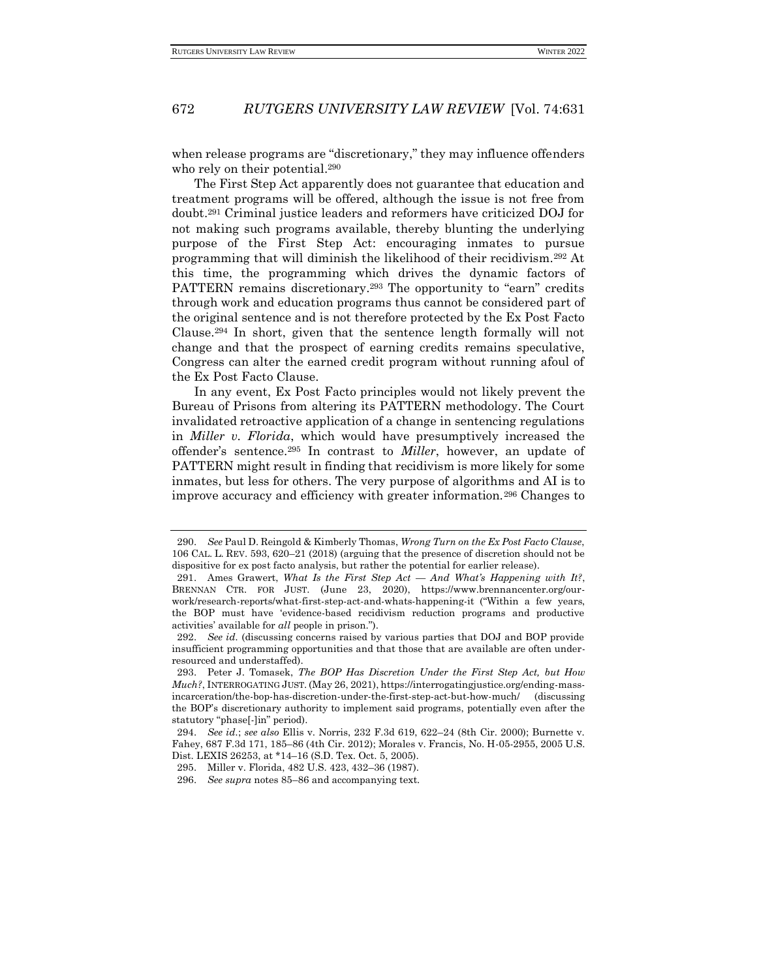when release programs are "discretionary," they may influence offenders who rely on their potential.<sup>290</sup>

The First Step Act apparently does not guarantee that education and treatment programs will be offered, although the issue is not free from doubt.<sup>291</sup> Criminal justice leaders and reformers have criticized DOJ for not making such programs available, thereby blunting the underlying purpose of the First Step Act: encouraging inmates to pursue programming that will diminish the likelihood of their recidivism.<sup>292</sup> At this time, the programming which drives the dynamic factors of PATTERN remains discretionary.<sup>293</sup> The opportunity to "earn" credits through work and education programs thus cannot be considered part of the original sentence and is not therefore protected by the Ex Post Facto Clause.<sup>294</sup> In short, given that the sentence length formally will not change and that the prospect of earning credits remains speculative, Congress can alter the earned credit program without running afoul of the Ex Post Facto Clause.

In any event, Ex Post Facto principles would not likely prevent the Bureau of Prisons from altering its PATTERN methodology. The Court invalidated retroactive application of a change in sentencing regulations in *Miller v. Florida*, which would have presumptively increased the offender's sentence.<sup>295</sup> In contrast to *Miller*, however, an update of PATTERN might result in finding that recidivism is more likely for some inmates, but less for others. The very purpose of algorithms and AI is to improve accuracy and efficiency with greater information.<sup>296</sup> Changes to

<sup>290.</sup> *See* Paul D. Reingold & Kimberly Thomas, *Wrong Turn on the Ex Post Facto Clause*, 106 CAL. L. REV. 593, 620–21 (2018) (arguing that the presence of discretion should not be dispositive for ex post facto analysis, but rather the potential for earlier release).

<sup>291.</sup> Ames Grawert, *What Is the First Step Act — And What's Happening with It?*, BRENNAN CTR. FOR JUST. (June 23, 2020), https://www.brennancenter.org/ourwork/research-reports/what-first-step-act-and-whats-happening-it ("Within a few years, the BOP must have 'evidence-based recidivism reduction programs and productive activities' available for *all* people in prison.").

<sup>292.</sup> *See id.* (discussing concerns raised by various parties that DOJ and BOP provide insufficient programming opportunities and that those that are available are often underresourced and understaffed).

<sup>293.</sup> Peter J. Tomasek, *The BOP Has Discretion Under the First Step Act, but How Much?*, INTERROGATING JUST. (May 26, 2021), https://interrogatingjustice.org/ending-massincarceration/the-bop-has-discretion-under-the-first-step-act-but-how-much/ (discussing the BOP's discretionary authority to implement said programs, potentially even after the statutory "phase[-]in" period).

<sup>294.</sup> *See id.*; *see also* Ellis v. Norris, 232 F.3d 619, 622–24 (8th Cir. 2000); Burnette v. Fahey, 687 F.3d 171, 185–86 (4th Cir. 2012); Morales v. Francis, No. H-05-2955, 2005 U.S. Dist. LEXIS 26253, at \*14–16 (S.D. Tex. Oct. 5, 2005).

<sup>295.</sup> Miller v. Florida, 482 U.S. 423, 432–36 (1987).

<sup>296.</sup> *See supra* notes 85–86 and accompanying text.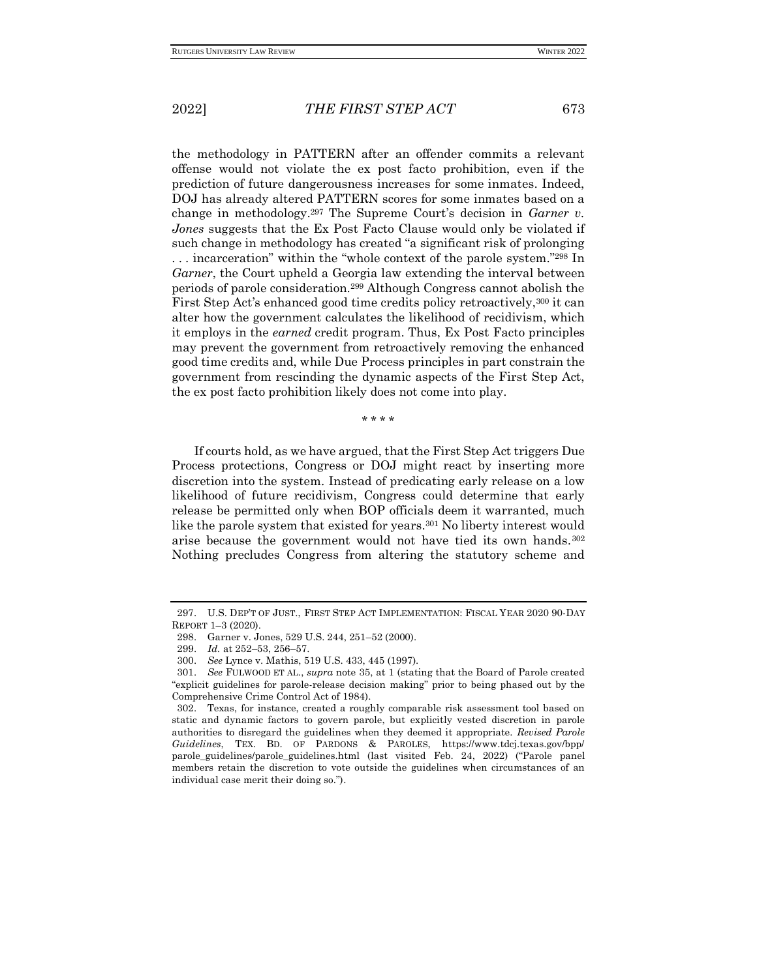the methodology in PATTERN after an offender commits a relevant offense would not violate the ex post facto prohibition, even if the prediction of future dangerousness increases for some inmates. Indeed, DOJ has already altered PATTERN scores for some inmates based on a change in methodology.<sup>297</sup> The Supreme Court's decision in *Garner v. Jones* suggests that the Ex Post Facto Clause would only be violated if such change in methodology has created "a significant risk of prolonging . . . incarceration" within the "whole context of the parole system."<sup>298</sup> In *Garner*, the Court upheld a Georgia law extending the interval between periods of parole consideration.<sup>299</sup> Although Congress cannot abolish the First Step Act's enhanced good time credits policy retroactively,<sup>300</sup> it can alter how the government calculates the likelihood of recidivism, which it employs in the *earned* credit program. Thus, Ex Post Facto principles may prevent the government from retroactively removing the enhanced good time credits and, while Due Process principles in part constrain the government from rescinding the dynamic aspects of the First Step Act, the ex post facto prohibition likely does not come into play.

\* \* \* \*

If courts hold, as we have argued, that the First Step Act triggers Due Process protections, Congress or DOJ might react by inserting more discretion into the system. Instead of predicating early release on a low likelihood of future recidivism, Congress could determine that early release be permitted only when BOP officials deem it warranted, much like the parole system that existed for years.<sup>301</sup> No liberty interest would arise because the government would not have tied its own hands.<sup>302</sup> Nothing precludes Congress from altering the statutory scheme and

<sup>297.</sup> U.S. DEP'T OF JUST., FIRST STEP ACT IMPLEMENTATION: FISCAL YEAR 2020 90-DAY REPORT 1–3 (2020).

<sup>298.</sup> Garner v. Jones, 529 U.S. 244, 251–52 (2000).

<sup>299.</sup> *Id.* at 252–53, 256–57.

<sup>300.</sup> *See* Lynce v. Mathis, 519 U.S. 433, 445 (1997).

<sup>301.</sup> *See* FULWOOD ET AL., *supra* note 35, at 1 (stating that the Board of Parole created "explicit guidelines for parole-release decision making" prior to being phased out by the Comprehensive Crime Control Act of 1984).

<sup>302.</sup> Texas, for instance, created a roughly comparable risk assessment tool based on static and dynamic factors to govern parole, but explicitly vested discretion in parole authorities to disregard the guidelines when they deemed it appropriate. *Revised Parole Guidelines*, TEX. BD. OF PARDONS & PAROLES, https://www.tdcj.texas.gov/bpp/ parole\_guidelines/parole\_guidelines.html (last visited Feb. 24, 2022) ("Parole panel members retain the discretion to vote outside the guidelines when circumstances of an individual case merit their doing so.").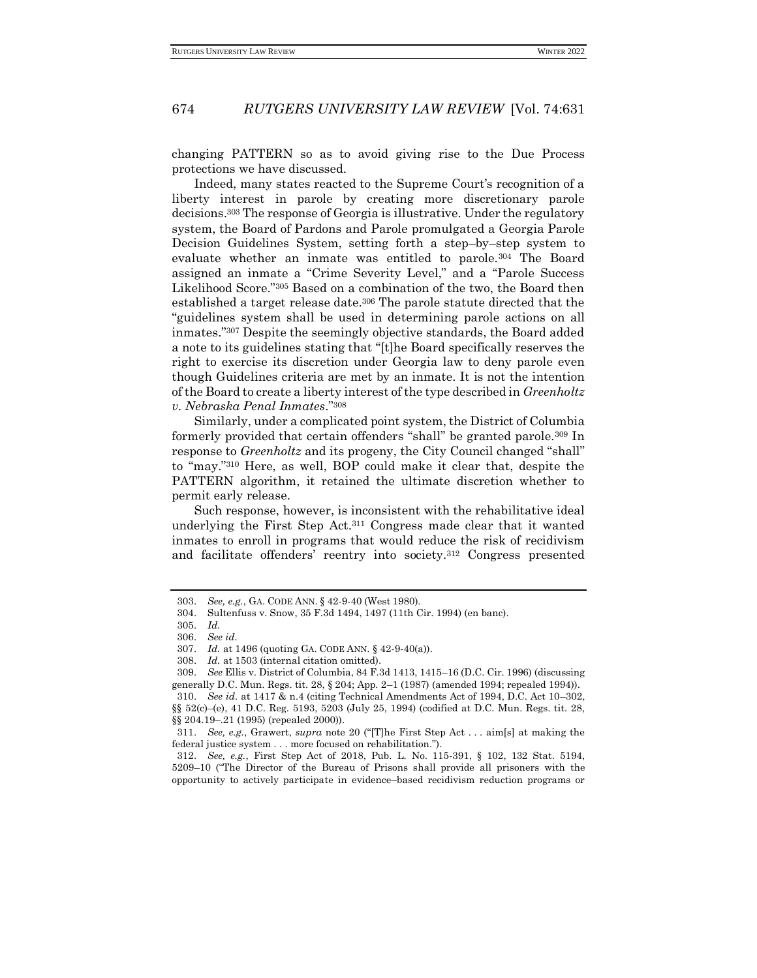changing PATTERN so as to avoid giving rise to the Due Process protections we have discussed.

Indeed, many states reacted to the Supreme Court's recognition of a liberty interest in parole by creating more discretionary parole decisions.<sup>303</sup> The response of Georgia is illustrative. Under the regulatory system, the Board of Pardons and Parole promulgated a Georgia Parole Decision Guidelines System, setting forth a step–by–step system to evaluate whether an inmate was entitled to parole.<sup>304</sup> The Board assigned an inmate a "Crime Severity Level," and a "Parole Success Likelihood Score."<sup>305</sup> Based on a combination of the two, the Board then established a target release date.<sup>306</sup> The parole statute directed that the "guidelines system shall be used in determining parole actions on all inmates."<sup>307</sup> Despite the seemingly objective standards, the Board added a note to its guidelines stating that "[t]he Board specifically reserves the right to exercise its discretion under Georgia law to deny parole even though Guidelines criteria are met by an inmate. It is not the intention of the Board to create a liberty interest of the type described in *Greenholtz v. Nebraska Penal Inmates*."<sup>308</sup>

Similarly, under a complicated point system, the District of Columbia formerly provided that certain offenders "shall" be granted parole.<sup>309</sup> In response to *Greenholtz* and its progeny, the City Council changed "shall" to "may."<sup>310</sup> Here, as well, BOP could make it clear that, despite the PATTERN algorithm, it retained the ultimate discretion whether to permit early release.

Such response, however, is inconsistent with the rehabilitative ideal underlying the First Step Act.<sup>311</sup> Congress made clear that it wanted inmates to enroll in programs that would reduce the risk of recidivism and facilitate offenders' reentry into society.<sup>312</sup> Congress presented

<sup>303.</sup> *See, e.g.*, GA. CODE ANN. § 42-9-40 (West 1980).

<sup>304.</sup> Sultenfuss v. Snow, 35 F.3d 1494, 1497 (11th Cir. 1994) (en banc).

<sup>305.</sup> *Id.*

<sup>306.</sup> *See id.*

<sup>307.</sup> *Id.* at 1496 (quoting GA. CODE ANN. § 42-9-40(a)).

<sup>308.</sup> *Id.* at 1503 (internal citation omitted).

<sup>309.</sup> *See* Ellis v. District of Columbia, 84 F.3d 1413, 1415–16 (D.C. Cir. 1996) (discussing generally D.C. Mun. Regs. tit. 28, § 204; App. 2–1 (1987) (amended 1994; repealed 1994)). 310. *See id.* at 1417 & n.4 (citing Technical Amendments Act of 1994, D.C. Act 10–302,

<sup>§§ 52(</sup>c)–(e), 41 D.C. Reg. 5193, 5203 (July 25, 1994) (codified at D.C. Mun. Regs. tit. 28, §§ 204.19–.21 (1995) (repealed 2000)).

<sup>311.</sup> *See, e.g.*, Grawert, *supra* note 20 ("[T]he First Step Act . . . aim[s] at making the federal justice system . . . more focused on rehabilitation.").

<sup>312.</sup> *See, e.g.*, First Step Act of 2018, Pub. L. No. 115-391, § 102, 132 Stat. 5194, 5209–10 ("The Director of the Bureau of Prisons shall provide all prisoners with the opportunity to actively participate in evidence–based recidivism reduction programs or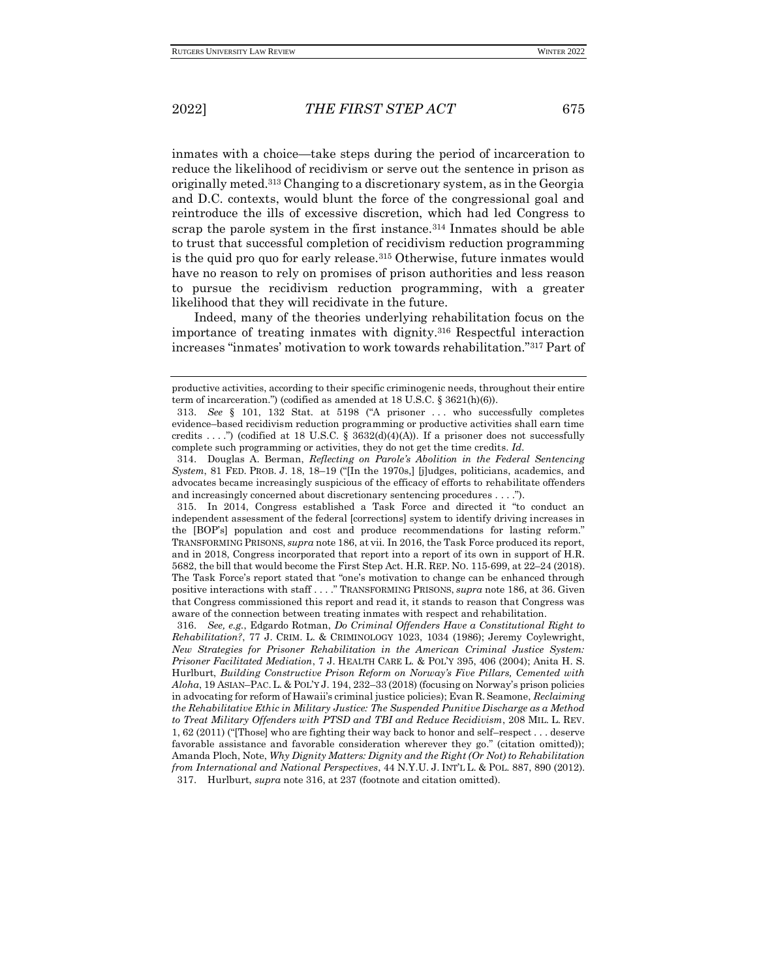inmates with a choice—take steps during the period of incarceration to reduce the likelihood of recidivism or serve out the sentence in prison as originally meted.<sup>313</sup> Changing to a discretionary system, as in the Georgia and D.C. contexts, would blunt the force of the congressional goal and reintroduce the ills of excessive discretion, which had led Congress to scrap the parole system in the first instance.<sup>314</sup> Inmates should be able to trust that successful completion of recidivism reduction programming is the quid pro quo for early release.<sup>315</sup> Otherwise, future inmates would have no reason to rely on promises of prison authorities and less reason to pursue the recidivism reduction programming, with a greater likelihood that they will recidivate in the future.

Indeed, many of the theories underlying rehabilitation focus on the importance of treating inmates with dignity.<sup>316</sup> Respectful interaction increases "inmates' motivation to work towards rehabilitation."<sup>317</sup> Part of

productive activities, according to their specific criminogenic needs, throughout their entire term of incarceration.") (codified as amended at 18 U.S.C. § 3621(h)(6)).

<sup>313.</sup> *See* § 101, 132 Stat. at 5198 ("A prisoner . . . who successfully completes evidence–based recidivism reduction programming or productive activities shall earn time credits ....") (codified at 18 U.S.C. §  $3632(d)(4)(A)$ ). If a prisoner does not successfully complete such programming or activities, they do not get the time credits. *Id.*

<sup>314.</sup> Douglas A. Berman, *Reflecting on Parole's Abolition in the Federal Sentencing System*, 81 FED. PROB. J. 18, 18–19 ("[In the 1970s,] [j]udges, politicians, academics, and advocates became increasingly suspicious of the efficacy of efforts to rehabilitate offenders and increasingly concerned about discretionary sentencing procedures . . . .").

<sup>315.</sup> In 2014, Congress established a Task Force and directed it "to conduct an independent assessment of the federal [corrections] system to identify driving increases in the [BOP's] population and cost and produce recommendations for lasting reform." TRANSFORMING PRISONS, *supra* note 186, at vii. In 2016, the Task Force produced its report, and in 2018, Congress incorporated that report into a report of its own in support of H.R. 5682, the bill that would become the First Step Act. H.R. REP. NO. 115-699, at 22–24 (2018). The Task Force's report stated that "one's motivation to change can be enhanced through positive interactions with staff . . . ." TRANSFORMING PRISONS, *supra* note 186, at 36. Given that Congress commissioned this report and read it, it stands to reason that Congress was aware of the connection between treating inmates with respect and rehabilitation.

<sup>316.</sup> *See, e.g.*, Edgardo Rotman, *Do Criminal Offenders Have a Constitutional Right to Rehabilitation?*, 77 J. CRIM. L. & CRIMINOLOGY 1023, 1034 (1986); Jeremy Coylewright, *New Strategies for Prisoner Rehabilitation in the American Criminal Justice System: Prisoner Facilitated Mediation*, 7 J. HEALTH CARE L. & POL'Y 395, 406 (2004); Anita H. S. Hurlburt, *Building Constructive Prison Reform on Norway's Five Pillars, Cemented with Aloha*, 19 ASIAN–PAC.L. & POL'Y J. 194, 232–33 (2018) (focusing on Norway's prison policies in advocating for reform of Hawaii's criminal justice policies); Evan R. Seamone, *Reclaiming the Rehabilitative Ethic in Military Justice: The Suspended Punitive Discharge as a Method to Treat Military Offenders with PTSD and TBI and Reduce Recidivism*, 208 MIL. L. REV. 1, 62 (2011) ("[Those] who are fighting their way back to honor and self–respect . . . deserve favorable assistance and favorable consideration wherever they go." (citation omitted)); Amanda Ploch, Note, *Why Dignity Matters: Dignity and the Right (Or Not) to Rehabilitation from International and National Perspectives*, 44 N.Y.U. J. INT'L L. & POL. 887, 890 (2012). 317. Hurlburt, *supra* note 316, at 237 (footnote and citation omitted).